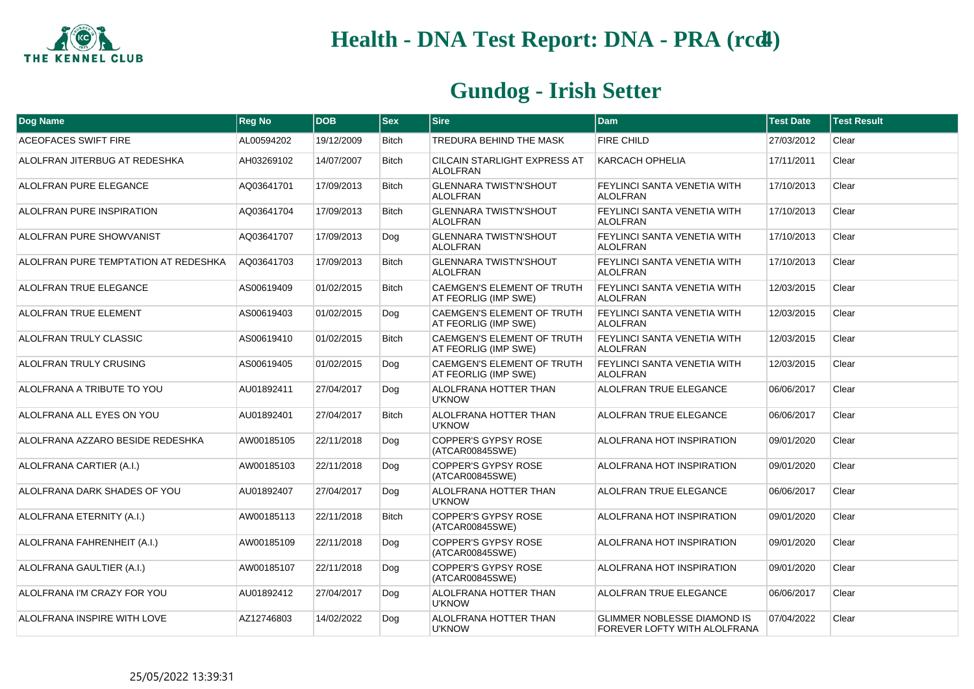

| Dog Name                             | <b>Reg No</b> | <b>DOB</b> | <b>Sex</b>   | <b>Sire</b>                                               | <b>Dam</b>                                                         | <b>Test Date</b> | <b>Test Result</b> |
|--------------------------------------|---------------|------------|--------------|-----------------------------------------------------------|--------------------------------------------------------------------|------------------|--------------------|
| <b>ACEOFACES SWIFT FIRE</b>          | AL00594202    | 19/12/2009 | <b>Bitch</b> | TREDURA BEHIND THE MASK                                   | <b>FIRE CHILD</b>                                                  | 27/03/2012       | Clear              |
| ALOLFRAN JITERBUG AT REDESHKA        | AH03269102    | 14/07/2007 | <b>Bitch</b> | <b>CILCAIN STARLIGHT EXPRESS AT</b><br><b>ALOLFRAN</b>    | <b>KARCACH OPHELIA</b>                                             | 17/11/2011       | Clear              |
| ALOLFRAN PURE ELEGANCE               | AQ03641701    | 17/09/2013 | <b>Bitch</b> | <b>GLENNARA TWIST'N'SHOUT</b><br><b>ALOLFRAN</b>          | <b>FEYLINCI SANTA VENETIA WITH</b><br><b>ALOLFRAN</b>              | 17/10/2013       | Clear              |
| <b>ALOLFRAN PURE INSPIRATION</b>     | AQ03641704    | 17/09/2013 | <b>Bitch</b> | <b>GLENNARA TWIST'N'SHOUT</b><br><b>ALOLFRAN</b>          | FEYLINCI SANTA VENETIA WITH<br><b>ALOLFRAN</b>                     | 17/10/2013       | Clear              |
| <b>ALOLFRAN PURE SHOWVANIST</b>      | AQ03641707    | 17/09/2013 | Dog          | <b>GLENNARA TWIST'N'SHOUT</b><br><b>ALOLFRAN</b>          | FEYLINCI SANTA VENETIA WITH<br><b>ALOLFRAN</b>                     | 17/10/2013       | Clear              |
| ALOLFRAN PURE TEMPTATION AT REDESHKA | AQ03641703    | 17/09/2013 | <b>Bitch</b> | <b>GLENNARA TWIST'N'SHOUT</b><br><b>ALOLFRAN</b>          | FEYLINCI SANTA VENETIA WITH<br><b>ALOLFRAN</b>                     | 17/10/2013       | Clear              |
| ALOLFRAN TRUE ELEGANCE               | AS00619409    | 01/02/2015 | <b>Bitch</b> | <b>CAEMGEN'S ELEMENT OF TRUTH</b><br>AT FEORLIG (IMP SWE) | FEYLINCI SANTA VENETIA WITH<br><b>ALOLFRAN</b>                     | 12/03/2015       | Clear              |
| <b>ALOLFRAN TRUE ELEMENT</b>         | AS00619403    | 01/02/2015 | Dog          | <b>CAEMGEN'S ELEMENT OF TRUTH</b><br>AT FEORLIG (IMP SWE) | FEYLINCI SANTA VENETIA WITH<br><b>ALOLFRAN</b>                     | 12/03/2015       | Clear              |
| ALOLFRAN TRULY CLASSIC               | AS00619410    | 01/02/2015 | <b>Bitch</b> | <b>CAEMGEN'S ELEMENT OF TRUTH</b><br>AT FEORLIG (IMP SWE) | FEYLINCI SANTA VENETIA WITH<br><b>ALOLFRAN</b>                     | 12/03/2015       | Clear              |
| ALOLFRAN TRULY CRUSING               | AS00619405    | 01/02/2015 | Dog          | CAEMGEN'S ELEMENT OF TRUTH<br>AT FEORLIG (IMP SWE)        | FEYLINCI SANTA VENETIA WITH<br><b>ALOLFRAN</b>                     | 12/03/2015       | Clear              |
| ALOLFRANA A TRIBUTE TO YOU           | AU01892411    | 27/04/2017 | Dog          | <b>ALOLFRANA HOTTER THAN</b><br><b>U'KNOW</b>             | ALOLFRAN TRUE ELEGANCE                                             | 06/06/2017       | Clear              |
| ALOLFRANA ALL EYES ON YOU            | AU01892401    | 27/04/2017 | <b>Bitch</b> | <b>ALOLFRANA HOTTER THAN</b><br><b>U'KNOW</b>             | ALOLFRAN TRUE ELEGANCE                                             | 06/06/2017       | Clear              |
| ALOLFRANA AZZARO BESIDE REDESHKA     | AW00185105    | 22/11/2018 | Dog          | <b>COPPER'S GYPSY ROSE</b><br>(ATCAR00845SWE)             | ALOLFRANA HOT INSPIRATION                                          | 09/01/2020       | Clear              |
| ALOLFRANA CARTIER (A.I.)             | AW00185103    | 22/11/2018 | Dog          | <b>COPPER'S GYPSY ROSE</b><br>(ATCAR00845SWE)             | ALOLFRANA HOT INSPIRATION                                          | 09/01/2020       | Clear              |
| ALOLFRANA DARK SHADES OF YOU         | AU01892407    | 27/04/2017 | Dog          | <b>ALOLFRANA HOTTER THAN</b><br><b>U'KNOW</b>             | ALOLFRAN TRUE ELEGANCE                                             | 06/06/2017       | Clear              |
| ALOLFRANA ETERNITY (A.I.)            | AW00185113    | 22/11/2018 | <b>Bitch</b> | <b>COPPER'S GYPSY ROSE</b><br>(ATCAR00845SWE)             | ALOLFRANA HOT INSPIRATION                                          | 09/01/2020       | Clear              |
| ALOLFRANA FAHRENHEIT (A.I.)          | AW00185109    | 22/11/2018 | Dog          | <b>COPPER'S GYPSY ROSE</b><br>(ATCAR00845SWE)             | ALOLFRANA HOT INSPIRATION                                          | 09/01/2020       | Clear              |
| ALOLFRANA GAULTIER (A.I.)            | AW00185107    | 22/11/2018 | Dog          | <b>COPPER'S GYPSY ROSE</b><br>(ATCAR00845SWE)             | ALOLFRANA HOT INSPIRATION                                          | 09/01/2020       | Clear              |
| ALOLFRANA I'M CRAZY FOR YOU          | AU01892412    | 27/04/2017 | Dog          | <b>ALOLFRANA HOTTER THAN</b><br><b>U'KNOW</b>             | ALOLFRAN TRUE ELEGANCE                                             | 06/06/2017       | Clear              |
| ALOLFRANA INSPIRE WITH LOVE          | AZ12746803    | 14/02/2022 | Dog          | ALOLFRANA HOTTER THAN<br><b>U'KNOW</b>                    | <b>GLIMMER NOBLESSE DIAMOND IS</b><br>FOREVER LOFTY WITH ALOLFRANA | 07/04/2022       | Clear              |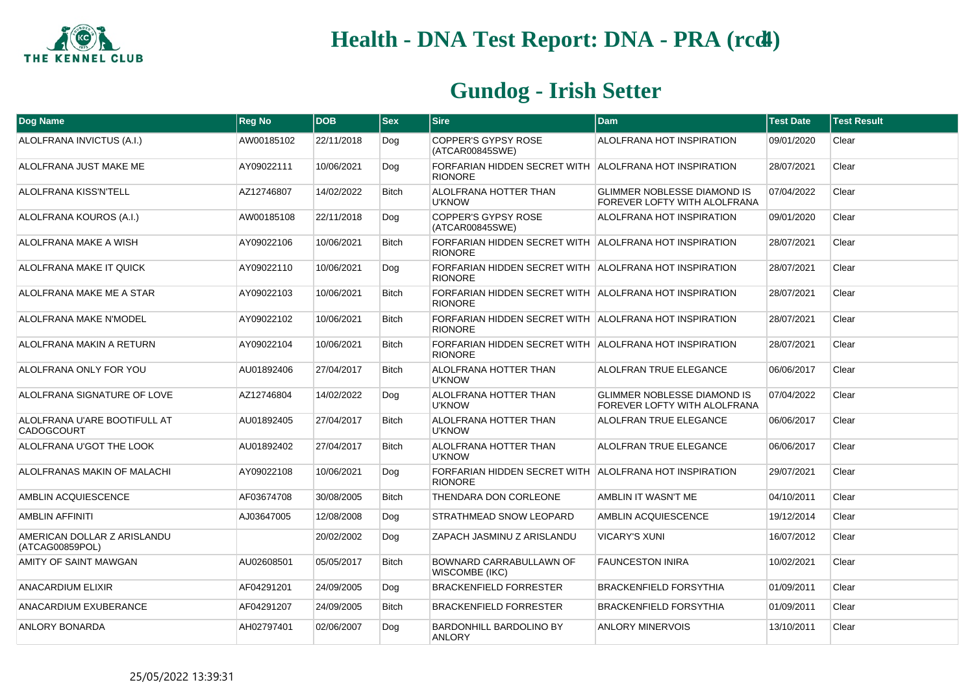

| Dog Name                                       | <b>Reg No</b> | <b>DOB</b> | <b>Sex</b>   | <b>Sire</b>                                                              | <b>Dam</b>                                                         | <b>Test Date</b> | <b>Test Result</b> |
|------------------------------------------------|---------------|------------|--------------|--------------------------------------------------------------------------|--------------------------------------------------------------------|------------------|--------------------|
| ALOLFRANA INVICTUS (A.I.)                      | AW00185102    | 22/11/2018 | Dog          | <b>COPPER'S GYPSY ROSE</b><br>(ATCAR00845SWE)                            | ALOLFRANA HOT INSPIRATION                                          | 09/01/2020       | Clear              |
| ALOLFRANA JUST MAKE ME                         | AY09022111    | 10/06/2021 | Dog          | FORFARIAN HIDDEN SECRET WITH ALOLFRANA HOT INSPIRATION<br><b>RIONORE</b> |                                                                    | 28/07/2021       | Clear              |
| <b>ALOLFRANA KISS'N'TELL</b>                   | AZ12746807    | 14/02/2022 | <b>Bitch</b> | <b>ALOLFRANA HOTTER THAN</b><br><b>U'KNOW</b>                            | <b>GLIMMER NOBLESSE DIAMOND IS</b><br>FOREVER LOFTY WITH ALOLFRANA | 07/04/2022       | Clear              |
| ALOLFRANA KOUROS (A.I.)                        | AW00185108    | 22/11/2018 | Dog          | <b>COPPER'S GYPSY ROSE</b><br>(ATCAR00845SWE)                            | ALOLFRANA HOT INSPIRATION                                          | 09/01/2020       | Clear              |
| ALOLFRANA MAKE A WISH                          | AY09022106    | 10/06/2021 | <b>Bitch</b> | FORFARIAN HIDDEN SECRET WITH ALOLFRANA HOT INSPIRATION<br><b>RIONORE</b> |                                                                    | 28/07/2021       | Clear              |
| ALOLFRANA MAKE IT QUICK                        | AY09022110    | 10/06/2021 | Dog          | FORFARIAN HIDDEN SECRET WITH ALOLFRANA HOT INSPIRATION<br><b>RIONORE</b> |                                                                    | 28/07/2021       | Clear              |
| ALOLFRANA MAKE ME A STAR                       | AY09022103    | 10/06/2021 | <b>Bitch</b> | FORFARIAN HIDDEN SECRET WITH ALOLFRANA HOT INSPIRATION<br><b>RIONORE</b> |                                                                    | 28/07/2021       | Clear              |
| ALOLFRANA MAKE N'MODEL                         | AY09022102    | 10/06/2021 | <b>Bitch</b> | FORFARIAN HIDDEN SECRET WITH ALOLFRANA HOT INSPIRATION<br><b>RIONORE</b> |                                                                    | 28/07/2021       | Clear              |
| ALOLFRANA MAKIN A RETURN                       | AY09022104    | 10/06/2021 | <b>Bitch</b> | FORFARIAN HIDDEN SECRET WITH ALOLFRANA HOT INSPIRATION<br><b>RIONORE</b> |                                                                    | 28/07/2021       | Clear              |
| ALOLFRANA ONLY FOR YOU                         | AU01892406    | 27/04/2017 | <b>Bitch</b> | <b>ALOLFRANA HOTTER THAN</b><br><b>U'KNOW</b>                            | ALOLFRAN TRUE ELEGANCE                                             | 06/06/2017       | Clear              |
| ALOLFRANA SIGNATURE OF LOVE                    | AZ12746804    | 14/02/2022 | Dog          | ALOLFRANA HOTTER THAN<br><b>U'KNOW</b>                                   | GLIMMER NOBLESSE DIAMOND IS<br>FOREVER LOFTY WITH ALOLFRANA        | 07/04/2022       | Clear              |
| ALOLFRANA U'ARE BOOTIFULL AT<br>CADOGCOURT     | AU01892405    | 27/04/2017 | <b>Bitch</b> | <b>ALOLFRANA HOTTER THAN</b><br><b>U'KNOW</b>                            | ALOLFRAN TRUE ELEGANCE                                             | 06/06/2017       | Clear              |
| ALOLFRANA U'GOT THE LOOK                       | AU01892402    | 27/04/2017 | <b>Bitch</b> | <b>ALOLFRANA HOTTER THAN</b><br><b>U'KNOW</b>                            | ALOLFRAN TRUE ELEGANCE                                             | 06/06/2017       | Clear              |
| ALOLFRANAS MAKIN OF MALACHI                    | AY09022108    | 10/06/2021 | Dog          | FORFARIAN HIDDEN SECRET WITH ALOLFRANA HOT INSPIRATION<br><b>RIONORE</b> |                                                                    | 29/07/2021       | Clear              |
| <b>AMBLIN ACQUIESCENCE</b>                     | AF03674708    | 30/08/2005 | <b>Bitch</b> | THENDARA DON CORLEONE                                                    | AMBLIN IT WASN'T ME                                                | 04/10/2011       | Clear              |
| <b>AMBLIN AFFINITI</b>                         | AJ03647005    | 12/08/2008 | Dog          | STRATHMEAD SNOW LEOPARD                                                  | AMBLIN ACQUIESCENCE                                                | 19/12/2014       | Clear              |
| AMERICAN DOLLAR Z ARISLANDU<br>(ATCAG00859POL) |               | 20/02/2002 | Dog          | ZAPACH JASMINU Z ARISLANDU                                               | <b>VICARY'S XUNI</b>                                               | 16/07/2012       | Clear              |
| AMITY OF SAINT MAWGAN                          | AU02608501    | 05/05/2017 | <b>Bitch</b> | BOWNARD CARRABULLAWN OF<br><b>WISCOMBE (IKC)</b>                         | <b>FAUNCESTON INIRA</b>                                            | 10/02/2021       | Clear              |
| ANACARDIUM ELIXIR                              | AF04291201    | 24/09/2005 | Dog          | <b>BRACKENFIELD FORRESTER</b>                                            | <b>BRACKENFIELD FORSYTHIA</b>                                      | 01/09/2011       | Clear              |
| ANACARDIUM EXUBERANCE                          | AF04291207    | 24/09/2005 | <b>Bitch</b> | <b>BRACKENFIELD FORRESTER</b>                                            | <b>BRACKENFIELD FORSYTHIA</b>                                      | 01/09/2011       | Clear              |
| ANLORY BONARDA                                 | AH02797401    | 02/06/2007 | Dog          | BARDONHILL BARDOLINO BY<br><b>ANLORY</b>                                 | <b>ANLORY MINERVOIS</b>                                            | 13/10/2011       | Clear              |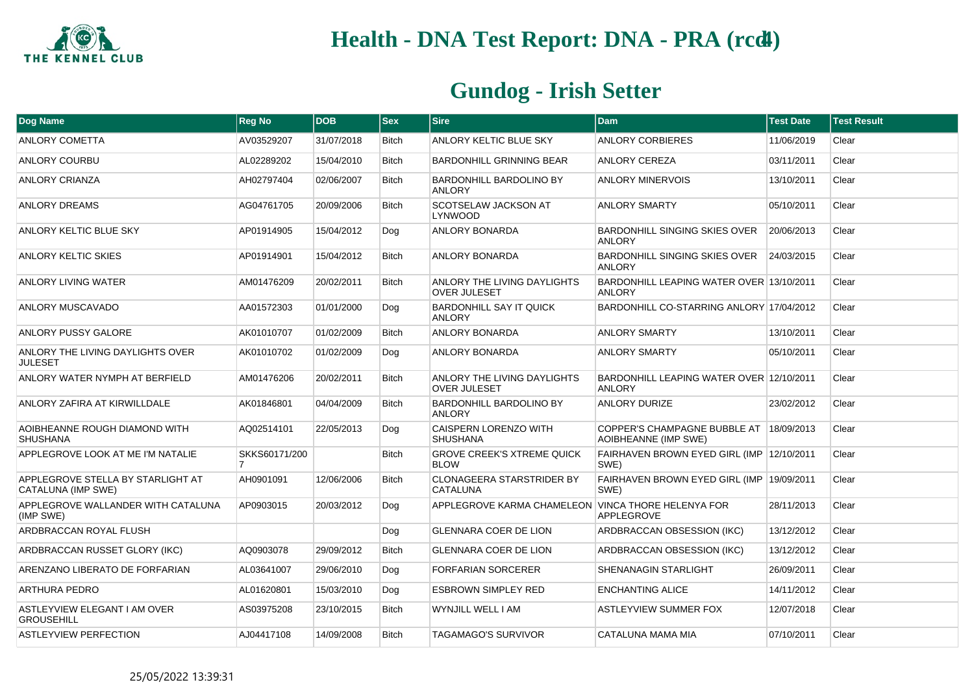

| Dog Name                                                | <b>Reg No</b> | <b>DOB</b> | <b>Sex</b>   | <b>Sire</b>                                        | <b>Dam</b>                                                      | <b>Test Date</b> | <b>Test Result</b> |
|---------------------------------------------------------|---------------|------------|--------------|----------------------------------------------------|-----------------------------------------------------------------|------------------|--------------------|
| <b>ANLORY COMETTA</b>                                   | AV03529207    | 31/07/2018 | Bitch        | ANLORY KELTIC BLUE SKY                             | <b>ANLORY CORBIERES</b>                                         | 11/06/2019       | Clear              |
| ANLORY COURBU                                           | AL02289202    | 15/04/2010 | <b>Bitch</b> | <b>BARDONHILL GRINNING BEAR</b>                    | <b>ANLORY CEREZA</b>                                            | 03/11/2011       | Clear              |
| ANLORY CRIANZA                                          | AH02797404    | 02/06/2007 | Bitch        | BARDONHILL BARDOLINO BY<br><b>ANLORY</b>           | <b>ANLORY MINERVOIS</b>                                         | 13/10/2011       | Clear              |
| <b>ANLORY DREAMS</b>                                    | AG04761705    | 20/09/2006 | <b>Bitch</b> | SCOTSELAW JACKSON AT<br>LYNWOOD                    | <b>ANLORY SMARTY</b>                                            | 05/10/2011       | Clear              |
| ANLORY KELTIC BLUE SKY                                  | AP01914905    | 15/04/2012 | Dog          | <b>ANLORY BONARDA</b>                              | BARDONHILL SINGING SKIES OVER<br><b>ANLORY</b>                  | 20/06/2013       | Clear              |
| ANLORY KELTIC SKIES                                     | AP01914901    | 15/04/2012 | <b>Bitch</b> | <b>ANLORY BONARDA</b>                              | BARDONHILL SINGING SKIES OVER<br><b>ANLORY</b>                  | 24/03/2015       | Clear              |
| ANLORY LIVING WATER                                     | AM01476209    | 20/02/2011 | <b>Bitch</b> | ANLORY THE LIVING DAYLIGHTS<br><b>OVER JULESET</b> | BARDONHILL LEAPING WATER OVER 13/10/2011<br><b>ANLORY</b>       |                  | Clear              |
| ANLORY MUSCAVADO                                        | AA01572303    | 01/01/2000 | Dog          | <b>BARDONHILL SAY IT QUICK</b><br><b>ANLORY</b>    | BARDONHILL CO-STARRING ANLORY 17/04/2012                        |                  | Clear              |
| ANLORY PUSSY GALORE                                     | AK01010707    | 01/02/2009 | <b>Bitch</b> | <b>ANLORY BONARDA</b>                              | <b>ANLORY SMARTY</b>                                            | 13/10/2011       | Clear              |
| ANLORY THE LIVING DAYLIGHTS OVER<br><b>JULESET</b>      | AK01010702    | 01/02/2009 | Dog          | <b>ANLORY BONARDA</b>                              | <b>ANLORY SMARTY</b>                                            | 05/10/2011       | Clear              |
| ANLORY WATER NYMPH AT BERFIELD                          | AM01476206    | 20/02/2011 | <b>Bitch</b> | ANLORY THE LIVING DAYLIGHTS<br><b>OVER JULESET</b> | BARDONHILL LEAPING WATER OVER 12/10/2011<br><b>ANLORY</b>       |                  | Clear              |
| ANLORY ZAFIRA AT KIRWILLDALE                            | AK01846801    | 04/04/2009 | <b>Bitch</b> | BARDONHILL BARDOLINO BY<br>ANLORY                  | ANLORY DURIZE                                                   | 23/02/2012       | Clear              |
| AOIBHEANNE ROUGH DIAMOND WITH<br><b>SHUSHANA</b>        | AQ02514101    | 22/05/2013 | Dog          | <b>CAISPERN LORENZO WITH</b><br><b>SHUSHANA</b>    | COPPER'S CHAMPAGNE BUBBLE AT 18/09/2013<br>AOIBHEANNE (IMP SWE) |                  | Clear              |
| APPLEGROVE LOOK AT ME I'M NATALIE                       | SKKS60171/200 |            | <b>Bitch</b> | <b>GROVE CREEK'S XTREME QUICK</b><br><b>BLOW</b>   | FAIRHAVEN BROWN EYED GIRL (IMP 12/10/2011<br>SWE)               |                  | Clear              |
| APPLEGROVE STELLA BY STARLIGHT AT<br>CATALUNA (IMP SWE) | AH0901091     | 12/06/2006 | <b>Bitch</b> | CLONAGEERA STARSTRIDER BY<br><b>CATALUNA</b>       | FAIRHAVEN BROWN EYED GIRL (IMP 19/09/2011<br>SWE)               |                  | Clear              |
| APPLEGROVE WALLANDER WITH CATALUNA<br>(IMP SWE)         | AP0903015     | 20/03/2012 | Dog          | APPLEGROVE KARMA CHAMELEON VINCA THORE HELENYA FOR | <b>APPLEGROVE</b>                                               | 28/11/2013       | Clear              |
| ARDBRACCAN ROYAL FLUSH                                  |               |            | Dog          | <b>GLENNARA COER DE LION</b>                       | ARDBRACCAN OBSESSION (IKC)                                      | 13/12/2012       | Clear              |
| ARDBRACCAN RUSSET GLORY (IKC)                           | AQ0903078     | 29/09/2012 | <b>Bitch</b> | <b>GLENNARA COER DE LION</b>                       | ARDBRACCAN OBSESSION (IKC)                                      | 13/12/2012       | Clear              |
| ARENZANO LIBERATO DE FORFARIAN                          | AL03641007    | 29/06/2010 | Dog          | <b>FORFARIAN SORCERER</b>                          | SHENANAGIN STARLIGHT                                            | 26/09/2011       | Clear              |
| <b>ARTHURA PEDRO</b>                                    | AL01620801    | 15/03/2010 | Dog          | <b>ESBROWN SIMPLEY RED</b>                         | <b>ENCHANTING ALICE</b>                                         | 14/11/2012       | Clear              |
| ASTLEYVIEW ELEGANT I AM OVER<br><b>GROUSEHILL</b>       | AS03975208    | 23/10/2015 | <b>Bitch</b> | WYNJILL WELL I AM                                  | ASTLEYVIEW SUMMER FOX                                           | 12/07/2018       | Clear              |
| <b>ASTLEYVIEW PERFECTION</b>                            | AJ04417108    | 14/09/2008 | <b>Bitch</b> | <b>TAGAMAGO'S SURVIVOR</b>                         | CATALUNA MAMA MIA                                               | 07/10/2011       | Clear              |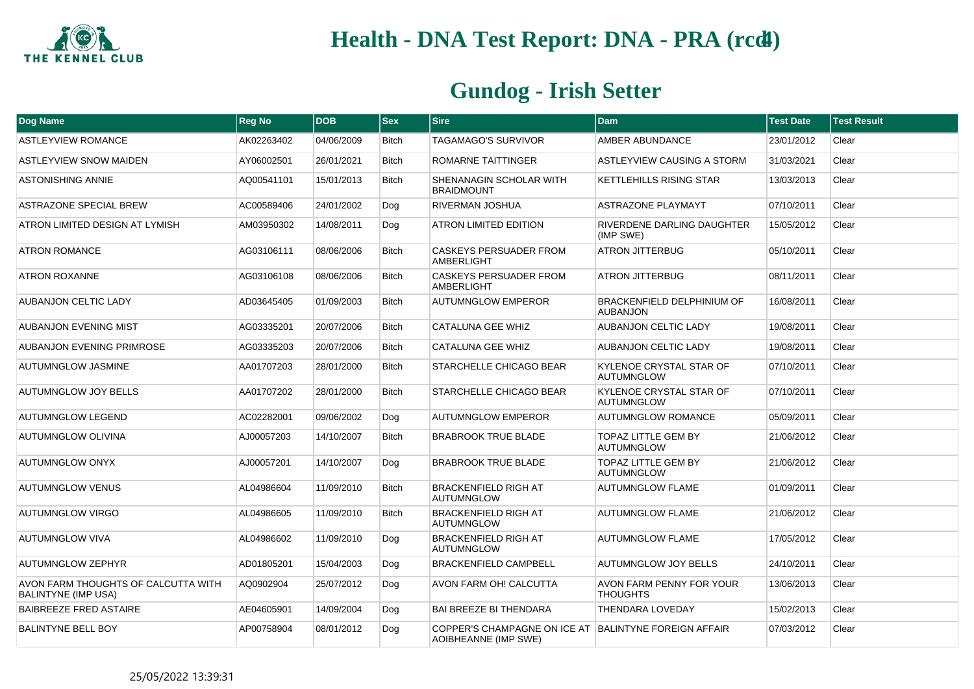

| Dog Name                                                          | <b>Reg No</b> | <b>DOB</b> | <b>Sex</b>   | <b>Sire</b>                                                                   | <b>Dam</b>                                          | <b>Test Date</b> | <b>Test Result</b> |
|-------------------------------------------------------------------|---------------|------------|--------------|-------------------------------------------------------------------------------|-----------------------------------------------------|------------------|--------------------|
| <b>ASTLEYVIEW ROMANCE</b>                                         | AK02263402    | 04/06/2009 | <b>Bitch</b> | TAGAMAGO'S SURVIVOR                                                           | AMBER ABUNDANCE                                     | 23/01/2012       | Clear              |
| <b>ASTLEYVIEW SNOW MAIDEN</b>                                     | AY06002501    | 26/01/2021 | <b>Bitch</b> | ROMARNE TAITTINGER                                                            | ASTLEYVIEW CAUSING A STORM                          | 31/03/2021       | Clear              |
| <b>ASTONISHING ANNIE</b>                                          | AQ00541101    | 15/01/2013 | <b>Bitch</b> | SHENANAGIN SCHOLAR WITH<br><b>BRAIDMOUNT</b>                                  | <b>KETTLEHILLS RISING STAR</b>                      | 13/03/2013       | Clear              |
| ASTRAZONE SPECIAL BREW                                            | AC00589406    | 24/01/2002 | Dog          | RIVERMAN JOSHUA                                                               | <b>ASTRAZONE PLAYMAYT</b>                           | 07/10/2011       | Clear              |
| ATRON LIMITED DESIGN AT LYMISH                                    | AM03950302    | 14/08/2011 | Dog          | ATRON LIMITED EDITION                                                         | RIVERDENE DARLING DAUGHTER<br>(IMP SWE)             | 15/05/2012       | Clear              |
| <b>ATRON ROMANCE</b>                                              | AG03106111    | 08/06/2006 | <b>Bitch</b> | <b>CASKEYS PERSUADER FROM</b><br><b>AMBERLIGHT</b>                            | <b>ATRON JITTERBUG</b>                              | 05/10/2011       | Clear              |
| <b>ATRON ROXANNE</b>                                              | AG03106108    | 08/06/2006 | <b>Bitch</b> | CASKEYS PERSUADER FROM<br><b>AMBERLIGHT</b>                                   | <b>ATRON JITTERBUG</b>                              | 08/11/2011       | Clear              |
| AUBANJON CELTIC LADY                                              | AD03645405    | 01/09/2003 | <b>Bitch</b> | <b>AUTUMNGLOW EMPEROR</b>                                                     | BRACKENFIELD DELPHINIUM OF<br><b>AUBANJON</b>       | 16/08/2011       | Clear              |
| <b>AUBANJON EVENING MIST</b>                                      | AG03335201    | 20/07/2006 | <b>Bitch</b> | CATALUNA GEE WHIZ                                                             | <b>AUBANJON CELTIC LADY</b>                         | 19/08/2011       | Clear              |
| <b>AUBANJON EVENING PRIMROSE</b>                                  | AG03335203    | 20/07/2006 | <b>Bitch</b> | <b>CATALUNA GEE WHIZ</b>                                                      | <b>AUBANJON CELTIC LADY</b>                         | 19/08/2011       | Clear              |
| <b>AUTUMNGLOW JASMINE</b>                                         | AA01707203    | 28/01/2000 | <b>Bitch</b> | STARCHELLE CHICAGO BEAR                                                       | KYLENOE CRYSTAL STAR OF<br><b>AUTUMNGLOW</b>        | 07/10/2011       | Clear              |
| <b>AUTUMNGLOW JOY BELLS</b>                                       | AA01707202    | 28/01/2000 | <b>Bitch</b> | STARCHELLE CHICAGO BEAR                                                       | <b>KYLENOE CRYSTAL STAR OF</b><br><b>AUTUMNGLOW</b> | 07/10/2011       | Clear              |
| <b>AUTUMNGLOW LEGEND</b>                                          | AC02282001    | 09/06/2002 | Dog          | <b>AUTUMNGLOW EMPEROR</b>                                                     | <b>AUTUMNGLOW ROMANCE</b>                           | 05/09/2011       | Clear              |
| <b>AUTUMNGLOW OLIVINA</b>                                         | AJ00057203    | 14/10/2007 | Bitch        | <b>BRABROOK TRUE BLADE</b>                                                    | <b>TOPAZ LITTLE GEM BY</b><br><b>AUTUMNGLOW</b>     | 21/06/2012       | Clear              |
| <b>AUTUMNGLOW ONYX</b>                                            | AJ00057201    | 14/10/2007 | Dog          | <b>BRABROOK TRUE BLADE</b>                                                    | <b>TOPAZ LITTLE GEM BY</b><br><b>AUTUMNGLOW</b>     | 21/06/2012       | Clear              |
| <b>AUTUMNGLOW VENUS</b>                                           | AL04986604    | 11/09/2010 | <b>Bitch</b> | <b>BRACKENFIELD RIGH AT</b><br><b>AUTUMNGLOW</b>                              | <b>AUTUMNGLOW FLAME</b>                             | 01/09/2011       | Clear              |
| <b>AUTUMNGLOW VIRGO</b>                                           | AL04986605    | 11/09/2010 | <b>Bitch</b> | <b>BRACKENFIELD RIGH AT</b><br><b>AUTUMNGLOW</b>                              | <b>AUTUMNGLOW FLAME</b>                             | 21/06/2012       | Clear              |
| <b>AUTUMNGLOW VIVA</b>                                            | AL04986602    | 11/09/2010 | Dog          | <b>BRACKENFIELD RIGH AT</b><br><b>AUTUMNGLOW</b>                              | <b>AUTUMNGLOW FLAME</b>                             | 17/05/2012       | Clear              |
| AUTUMNGLOW ZEPHYR                                                 | AD01805201    | 15/04/2003 | Dog          | <b>BRACKENFIELD CAMPBELL</b>                                                  | <b>AUTUMNGLOW JOY BELLS</b>                         | 24/10/2011       | Clear              |
| AVON FARM THOUGHTS OF CALCUTTA WITH<br><b>BALINTYNE (IMP USA)</b> | AQ0902904     | 25/07/2012 | Dog          | AVON FARM OH! CALCUTTA                                                        | <b>AVON FARM PENNY FOR YOUR</b><br><b>THOUGHTS</b>  | 13/06/2013       | Clear              |
| <b>BAIBREEZE FRED ASTAIRE</b>                                     | AE04605901    | 14/09/2004 | Dog          | <b>BAI BREEZE BI THENDARA</b>                                                 | <b>THENDARA LOVEDAY</b>                             | 15/02/2013       | Clear              |
| <b>BALINTYNE BELL BOY</b>                                         | AP00758904    | 08/01/2012 | Dog          | COPPER'S CHAMPAGNE ON ICE AT BALINTYNE FOREIGN AFFAIR<br>AOIBHEANNE (IMP SWE) |                                                     | 07/03/2012       | Clear              |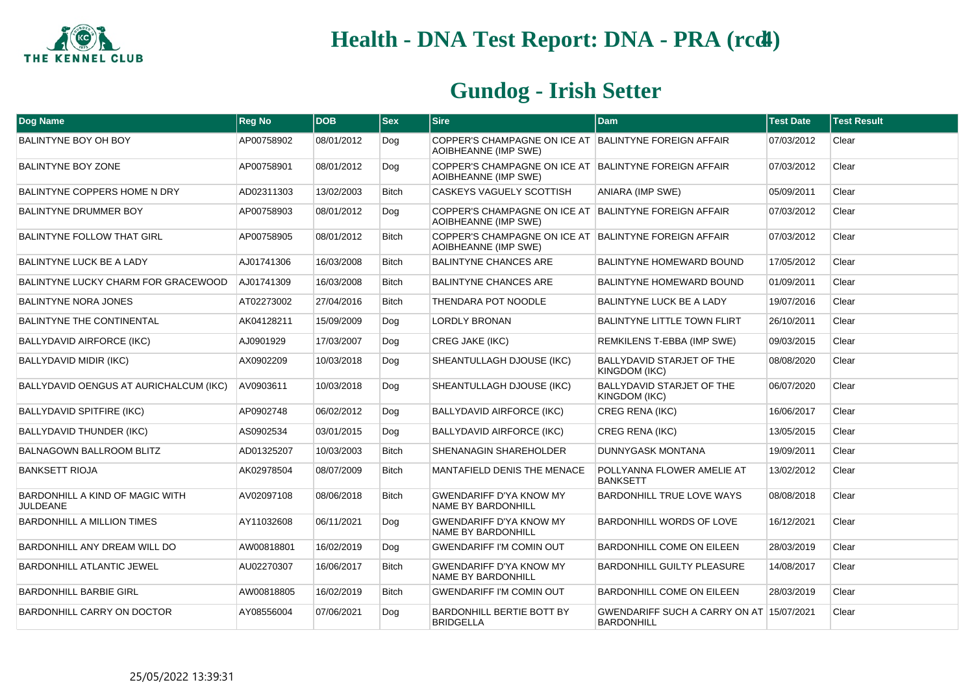

| Dog Name                                                  | <b>Reg No</b> | <b>DOB</b> | <b>Sex</b>   | <b>Sire</b>                                                                   | <b>Dam</b>                                                    | <b>Test Date</b> | <b>Test Result</b> |
|-----------------------------------------------------------|---------------|------------|--------------|-------------------------------------------------------------------------------|---------------------------------------------------------------|------------------|--------------------|
| <b>BALINTYNE BOY OH BOY</b>                               | AP00758902    | 08/01/2012 | Dog          | COPPER'S CHAMPAGNE ON ICE AT BALINTYNE FOREIGN AFFAIR<br>AOIBHEANNE (IMP SWE) |                                                               | 07/03/2012       | Clear              |
| <b>BALINTYNE BOY ZONE</b>                                 | AP00758901    | 08/01/2012 | Dog          | COPPER'S CHAMPAGNE ON ICE AT BALINTYNE FOREIGN AFFAIR<br>AOIBHEANNE (IMP SWE) |                                                               | 07/03/2012       | Clear              |
| BALINTYNE COPPERS HOME N DRY                              | AD02311303    | 13/02/2003 | <b>Bitch</b> | CASKEYS VAGUELY SCOTTISH                                                      | <b>ANIARA (IMP SWE)</b>                                       | 05/09/2011       | Clear              |
| <b>BALINTYNE DRUMMER BOY</b>                              | AP00758903    | 08/01/2012 | Dog          | COPPER'S CHAMPAGNE ON ICE AT BALINTYNE FOREIGN AFFAIR<br>AOIBHEANNE (IMP SWE) |                                                               | 07/03/2012       | Clear              |
| <b>BALINTYNE FOLLOW THAT GIRL</b>                         | AP00758905    | 08/01/2012 | <b>Bitch</b> | COPPER'S CHAMPAGNE ON ICE AT BALINTYNE FOREIGN AFFAIR<br>AOIBHEANNE (IMP SWE) |                                                               | 07/03/2012       | Clear              |
| <b>BALINTYNE LUCK BE A LADY</b>                           | AJ01741306    | 16/03/2008 | Bitch        | <b>BALINTYNE CHANCES ARE</b>                                                  | <b>BALINTYNE HOMEWARD BOUND</b>                               | 17/05/2012       | Clear              |
| BALINTYNE LUCKY CHARM FOR GRACEWOOD                       | AJ01741309    | 16/03/2008 | <b>Bitch</b> | <b>BALINTYNE CHANCES ARE</b>                                                  | <b>BALINTYNE HOMEWARD BOUND</b>                               | 01/09/2011       | Clear              |
| <b>BALINTYNE NORA JONES</b>                               | AT02273002    | 27/04/2016 | Bitch        | THENDARA POT NOODLE                                                           | BALINTYNE LUCK BE A LADY                                      | 19/07/2016       | Clear              |
| <b>BALINTYNE THE CONTINENTAL</b>                          | AK04128211    | 15/09/2009 | Dog          | <b>LORDLY BRONAN</b>                                                          | <b>BALINTYNE LITTLE TOWN FLIRT</b>                            | 26/10/2011       | Clear              |
| <b>BALLYDAVID AIRFORCE (IKC)</b>                          | AJ0901929     | 17/03/2007 | Dog          | <b>CREG JAKE (IKC)</b>                                                        | REMKILENS T-EBBA (IMP SWE)                                    | 09/03/2015       | Clear              |
| <b>BALLYDAVID MIDIR (IKC)</b>                             | AX0902209     | 10/03/2018 | Dog          | SHEANTULLAGH DJOUSE (IKC)                                                     | <b>BALLYDAVID STARJET OF THE</b><br>KINGDOM (IKC)             | 08/08/2020       | Clear              |
| BALLYDAVID OENGUS AT AURICHALCUM (IKC)                    | AV0903611     | 10/03/2018 | Dog          | SHEANTULLAGH DJOUSE (IKC)                                                     | <b>BALLYDAVID STARJET OF THE</b><br>KINGDOM (IKC)             | 06/07/2020       | Clear              |
| <b>BALLYDAVID SPITFIRE (IKC)</b>                          | AP0902748     | 06/02/2012 | Dog          | <b>BALLYDAVID AIRFORCE (IKC)</b>                                              | <b>CREG RENA (IKC)</b>                                        | 16/06/2017       | Clear              |
| <b>BALLYDAVID THUNDER (IKC)</b>                           | AS0902534     | 03/01/2015 | Dog          | <b>BALLYDAVID AIRFORCE (IKC)</b>                                              | <b>CREG RENA (IKC)</b>                                        | 13/05/2015       | Clear              |
| <b>BALNAGOWN BALLROOM BLITZ</b>                           | AD01325207    | 10/03/2003 | <b>Bitch</b> | SHENANAGIN SHAREHOLDER                                                        | DUNNYGASK MONTANA                                             | 19/09/2011       | Clear              |
| <b>BANKSETT RIOJA</b>                                     | AK02978504    | 08/07/2009 | <b>Bitch</b> | MANTAFIELD DENIS THE MENACE                                                   | POLLYANNA FLOWER AMELIE AT<br><b>BANKSETT</b>                 | 13/02/2012       | Clear              |
| <b>BARDONHILL A KIND OF MAGIC WITH</b><br><b>JULDEANE</b> | AV02097108    | 08/06/2018 | Bitch        | <b>GWENDARIFF D'YA KNOW MY</b><br>NAME BY BARDONHILL                          | BARDONHILL TRUE LOVE WAYS                                     | 08/08/2018       | Clear              |
| <b>BARDONHILL A MILLION TIMES</b>                         | AY11032608    | 06/11/2021 | Dog          | GWENDARIFF D'YA KNOW MY<br><b>NAME BY BARDONHILL</b>                          | <b>BARDONHILL WORDS OF LOVE</b>                               | 16/12/2021       | Clear              |
| BARDONHILL ANY DREAM WILL DO                              | AW00818801    | 16/02/2019 | Dog          | <b>GWENDARIFF I'M COMIN OUT</b>                                               | <b>BARDONHILL COME ON EILEEN</b>                              | 28/03/2019       | Clear              |
| <b>BARDONHILL ATLANTIC JEWEL</b>                          | AU02270307    | 16/06/2017 | <b>Bitch</b> | <b>GWENDARIFF D'YA KNOW MY</b><br>NAME BY BARDONHILL                          | <b>BARDONHILL GUILTY PLEASURE</b>                             | 14/08/2017       | Clear              |
| BARDONHILL BARBIE GIRL                                    | AW00818805    | 16/02/2019 | <b>Bitch</b> | <b>GWENDARIFF I'M COMIN OUT</b>                                               | <b>BARDONHILL COME ON EILEEN</b>                              | 28/03/2019       | Clear              |
| BARDONHILL CARRY ON DOCTOR                                | AY08556004    | 07/06/2021 | Dog          | BARDONHILL BERTIE BOTT BY<br>BRIDGELLA                                        | GWENDARIFF SUCH A CARRY ON AT 15/07/2021<br><b>BARDONHILL</b> |                  | Clear              |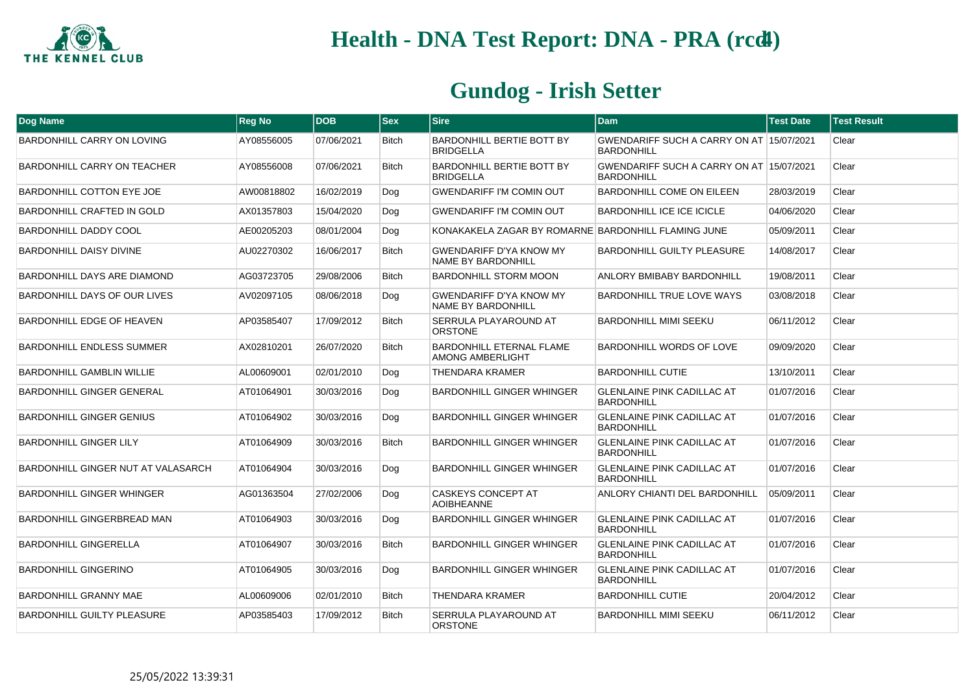

| <b>Dog Name</b>                    | <b>Reg No</b> | <b>DOB</b> | <b>Sex</b>   | <b>Sire</b>                                                 | <b>Dam</b>                                                    | <b>Test Date</b> | <b>Test Result</b> |
|------------------------------------|---------------|------------|--------------|-------------------------------------------------------------|---------------------------------------------------------------|------------------|--------------------|
| <b>BARDONHILL CARRY ON LOVING</b>  | AY08556005    | 07/06/2021 | <b>Bitch</b> | <b>BARDONHILL BERTIE BOTT BY</b><br><b>BRIDGELLA</b>        | GWENDARIFF SUCH A CARRY ON AT 15/07/2021<br><b>BARDONHILL</b> |                  | Clear              |
| <b>BARDONHILL CARRY ON TEACHER</b> | AY08556008    | 07/06/2021 | <b>Bitch</b> | <b>BARDONHILL BERTIE BOTT BY</b><br><b>BRIDGELLA</b>        | GWENDARIFF SUCH A CARRY ON AT 15/07/2021<br><b>BARDONHILL</b> |                  | Clear              |
| <b>BARDONHILL COTTON EYE JOE</b>   | AW00818802    | 16/02/2019 | Dog          | <b>GWENDARIFF I'M COMIN OUT</b>                             | <b>BARDONHILL COME ON EILEEN</b>                              | 28/03/2019       | Clear              |
| <b>BARDONHILL CRAFTED IN GOLD</b>  | AX01357803    | 15/04/2020 | Dog          | <b>GWENDARIFF I'M COMIN OUT</b>                             | <b>BARDONHILL ICE ICE ICICLE</b>                              | 04/06/2020       | Clear              |
| <b>BARDONHILL DADDY COOL</b>       | AE00205203    | 08/01/2004 | Dog          | KONAKAKELA ZAGAR BY ROMARNE BARDONHILL FLAMING JUNE         |                                                               | 05/09/2011       | Clear              |
| <b>BARDONHILL DAISY DIVINE</b>     | AU02270302    | 16/06/2017 | <b>Bitch</b> | <b>GWENDARIFF D'YA KNOW MY</b><br>NAME BY BARDONHILL        | <b>BARDONHILL GUILTY PLEASURE</b>                             | 14/08/2017       | Clear              |
| BARDONHILL DAYS ARE DIAMOND        | AG03723705    | 29/08/2006 | <b>Bitch</b> | <b>BARDONHILL STORM MOON</b>                                | ANLORY BMIBABY BARDONHILL                                     | 19/08/2011       | Clear              |
| BARDONHILL DAYS OF OUR LIVES       | AV02097105    | 08/06/2018 | Dog          | <b>GWENDARIFF D'YA KNOW MY</b><br><b>NAME BY BARDONHILL</b> | BARDONHILL TRUE LOVE WAYS                                     | 03/08/2018       | Clear              |
| BARDONHILL EDGE OF HEAVEN          | AP03585407    | 17/09/2012 | <b>Bitch</b> | SERRULA PLAYAROUND AT<br><b>ORSTONE</b>                     | BARDONHILL MIMI SEEKU                                         | 06/11/2012       | Clear              |
| <b>BARDONHILL ENDLESS SUMMER</b>   | AX02810201    | 26/07/2020 | <b>Bitch</b> | <b>BARDONHILL ETERNAL FLAME</b><br>AMONG AMBERLIGHT         | BARDONHILL WORDS OF LOVE                                      | 09/09/2020       | Clear              |
| <b>BARDONHILL GAMBLIN WILLIE</b>   | AL00609001    | 02/01/2010 | Dog          | THENDARA KRAMER                                             | <b>BARDONHILL CUTIE</b>                                       | 13/10/2011       | Clear              |
| <b>BARDONHILL GINGER GENERAL</b>   | AT01064901    | 30/03/2016 | Dog          | <b>BARDONHILL GINGER WHINGER</b>                            | <b>GLENLAINE PINK CADILLAC AT</b><br><b>BARDONHILL</b>        | 01/07/2016       | Clear              |
| <b>BARDONHILL GINGER GENIUS</b>    | AT01064902    | 30/03/2016 | Dog          | <b>BARDONHILL GINGER WHINGER</b>                            | <b>GLENLAINE PINK CADILLAC AT</b><br><b>BARDONHILL</b>        | 01/07/2016       | Clear              |
| <b>BARDONHILL GINGER LILY</b>      | AT01064909    | 30/03/2016 | <b>Bitch</b> | <b>BARDONHILL GINGER WHINGER</b>                            | <b>GLENLAINE PINK CADILLAC AT</b><br><b>BARDONHILL</b>        | 01/07/2016       | Clear              |
| BARDONHILL GINGER NUT AT VALASARCH | AT01064904    | 30/03/2016 | Dog          | <b>BARDONHILL GINGER WHINGER</b>                            | <b>GLENLAINE PINK CADILLAC AT</b><br><b>BARDONHILL</b>        | 01/07/2016       | Clear              |
| <b>BARDONHILL GINGER WHINGER</b>   | AG01363504    | 27/02/2006 | Dog          | <b>CASKEYS CONCEPT AT</b><br><b>AOIBHEANNE</b>              | ANLORY CHIANTI DEL BARDONHILL                                 | 05/09/2011       | Clear              |
| BARDONHILL GINGERBREAD MAN         | AT01064903    | 30/03/2016 | Dog          | <b>BARDONHILL GINGER WHINGER</b>                            | <b>GLENLAINE PINK CADILLAC AT</b><br><b>BARDONHILL</b>        | 01/07/2016       | Clear              |
| <b>BARDONHILL GINGERELLA</b>       | AT01064907    | 30/03/2016 | <b>Bitch</b> | <b>BARDONHILL GINGER WHINGER</b>                            | <b>GLENLAINE PINK CADILLAC AT</b><br><b>BARDONHILL</b>        | 01/07/2016       | Clear              |
| <b>BARDONHILL GINGERINO</b>        | AT01064905    | 30/03/2016 | Dog          | <b>BARDONHILL GINGER WHINGER</b>                            | <b>GLENLAINE PINK CADILLAC AT</b><br><b>BARDONHILL</b>        | 01/07/2016       | Clear              |
| BARDONHILL GRANNY MAE              | AL00609006    | 02/01/2010 | <b>Bitch</b> | THENDARA KRAMER                                             | <b>BARDONHILL CUTIE</b>                                       | 20/04/2012       | Clear              |
| <b>BARDONHILL GUILTY PLEASURE</b>  | AP03585403    | 17/09/2012 | <b>Bitch</b> | SERRULA PLAYAROUND AT<br><b>ORSTONE</b>                     | <b>BARDONHILL MIMI SEEKU</b>                                  | 06/11/2012       | Clear              |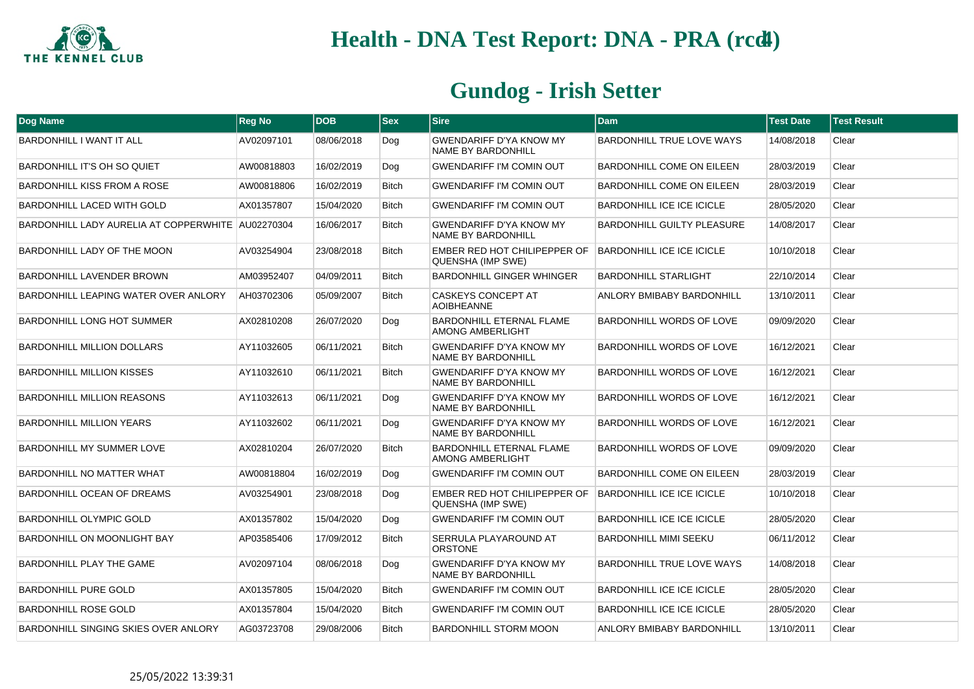

| Dog Name                                          | <b>Reg No</b> | <b>DOB</b> | <b>Sex</b>   | <b>Sire</b>                                                 | <b>Dam</b>                        | <b>Test Date</b> | <b>Test Result</b> |
|---------------------------------------------------|---------------|------------|--------------|-------------------------------------------------------------|-----------------------------------|------------------|--------------------|
| BARDONHILL I WANT IT ALL                          | AV02097101    | 08/06/2018 | Dog          | <b>GWENDARIFF D'YA KNOW MY</b><br><b>NAME BY BARDONHILL</b> | <b>BARDONHILL TRUE LOVE WAYS</b>  | 14/08/2018       | Clear              |
| BARDONHILL IT'S OH SO QUIET                       | AW00818803    | 16/02/2019 | Dog          | <b>GWENDARIFF I'M COMIN OUT</b>                             | BARDONHILL COME ON EILEEN         | 28/03/2019       | Clear              |
| BARDONHILL KISS FROM A ROSE                       | AW00818806    | 16/02/2019 | <b>Bitch</b> | <b>GWENDARIFF I'M COMIN OUT</b>                             | BARDONHILL COME ON EILEEN         | 28/03/2019       | Clear              |
| <b>BARDONHILL LACED WITH GOLD</b>                 | AX01357807    | 15/04/2020 | <b>Bitch</b> | <b>GWENDARIFF I'M COMIN OUT</b>                             | <b>BARDONHILL ICE ICE ICICLE</b>  | 28/05/2020       | Clear              |
| BARDONHILL LADY AURELIA AT COPPERWHITE AU02270304 |               | 16/06/2017 | <b>Bitch</b> | <b>GWENDARIFF D'YA KNOW MY</b><br><b>NAME BY BARDONHILL</b> | <b>BARDONHILL GUILTY PLEASURE</b> | 14/08/2017       | Clear              |
| BARDONHILL LADY OF THE MOON                       | AV03254904    | 23/08/2018 | <b>Bitch</b> | EMBER RED HOT CHILIPEPPER OF<br>QUENSHA (IMP SWE)           | <b>BARDONHILL ICE ICE ICICLE</b>  | 10/10/2018       | Clear              |
| <b>BARDONHILL LAVENDER BROWN</b>                  | AM03952407    | 04/09/2011 | <b>Bitch</b> | <b>BARDONHILL GINGER WHINGER</b>                            | <b>BARDONHILL STARLIGHT</b>       | 22/10/2014       | Clear              |
| BARDONHILL LEAPING WATER OVER ANLORY              | AH03702306    | 05/09/2007 | <b>Bitch</b> | <b>CASKEYS CONCEPT AT</b><br><b>AOIBHEANNE</b>              | <b>ANLORY BMIBABY BARDONHILL</b>  | 13/10/2011       | Clear              |
| BARDONHILL LONG HOT SUMMER                        | AX02810208    | 26/07/2020 | Dog          | BARDONHILL ETERNAL FLAME<br><b>AMONG AMBERLIGHT</b>         | BARDONHILL WORDS OF LOVE          | 09/09/2020       | Clear              |
| <b>BARDONHILL MILLION DOLLARS</b>                 | AY11032605    | 06/11/2021 | <b>Bitch</b> | <b>GWENDARIFF D'YA KNOW MY</b><br>NAME BY BARDONHILL        | <b>BARDONHILL WORDS OF LOVE</b>   | 16/12/2021       | Clear              |
| <b>BARDONHILL MILLION KISSES</b>                  | AY11032610    | 06/11/2021 | <b>Bitch</b> | <b>GWENDARIFF D'YA KNOW MY</b><br><b>NAME BY BARDONHILL</b> | BARDONHILL WORDS OF LOVE          | 16/12/2021       | Clear              |
| <b>BARDONHILL MILLION REASONS</b>                 | AY11032613    | 06/11/2021 | Dog          | GWENDARIFF D'YA KNOW MY<br><b>NAME BY BARDONHILL</b>        | BARDONHILL WORDS OF LOVE          | 16/12/2021       | Clear              |
| <b>BARDONHILL MILLION YEARS</b>                   | AY11032602    | 06/11/2021 | Dog          | <b>GWENDARIFF D'YA KNOW MY</b><br><b>NAME BY BARDONHILL</b> | BARDONHILL WORDS OF LOVE          | 16/12/2021       | Clear              |
| BARDONHILL MY SUMMER LOVE                         | AX02810204    | 26/07/2020 | <b>Bitch</b> | <b>BARDONHILL ETERNAL FLAME</b><br><b>AMONG AMBERLIGHT</b>  | BARDONHILL WORDS OF LOVE          | 09/09/2020       | Clear              |
| <b>BARDONHILL NO MATTER WHAT</b>                  | AW00818804    | 16/02/2019 | Dog          | <b>GWENDARIFF I'M COMIN OUT</b>                             | BARDONHILL COME ON EILEEN         | 28/03/2019       | Clear              |
| BARDONHILL OCEAN OF DREAMS                        | AV03254901    | 23/08/2018 | Dog          | EMBER RED HOT CHILIPEPPER OF<br>QUENSHA (IMP SWE)           | BARDONHILL ICE ICE ICICLE         | 10/10/2018       | Clear              |
| <b>BARDONHILL OLYMPIC GOLD</b>                    | AX01357802    | 15/04/2020 | Dog          | <b>GWENDARIFF I'M COMIN OUT</b>                             | <b>BARDONHILL ICE ICE ICICLE</b>  | 28/05/2020       | Clear              |
| <b>BARDONHILL ON MOONLIGHT BAY</b>                | AP03585406    | 17/09/2012 | <b>Bitch</b> | SERRULA PLAYAROUND AT<br><b>ORSTONE</b>                     | <b>BARDONHILL MIMI SEEKU</b>      | 06/11/2012       | Clear              |
| BARDONHILL PLAY THE GAME                          | AV02097104    | 08/06/2018 | Dog          | GWENDARIFF D'YA KNOW MY<br><b>NAME BY BARDONHILL</b>        | BARDONHILL TRUE LOVE WAYS         | 14/08/2018       | Clear              |
| <b>BARDONHILL PURE GOLD</b>                       | AX01357805    | 15/04/2020 | <b>Bitch</b> | <b>GWENDARIFF I'M COMIN OUT</b>                             | <b>BARDONHILL ICE ICE ICICLE</b>  | 28/05/2020       | Clear              |
| <b>BARDONHILL ROSE GOLD</b>                       | AX01357804    | 15/04/2020 | <b>Bitch</b> | <b>GWENDARIFF I'M COMIN OUT</b>                             | BARDONHILL ICE ICE ICICLE         | 28/05/2020       | Clear              |
| <b>BARDONHILL SINGING SKIES OVER ANLORY</b>       | AG03723708    | 29/08/2006 | <b>Bitch</b> | <b>BARDONHILL STORM MOON</b>                                | ANLORY BMIBABY BARDONHILL         | 13/10/2011       | Clear              |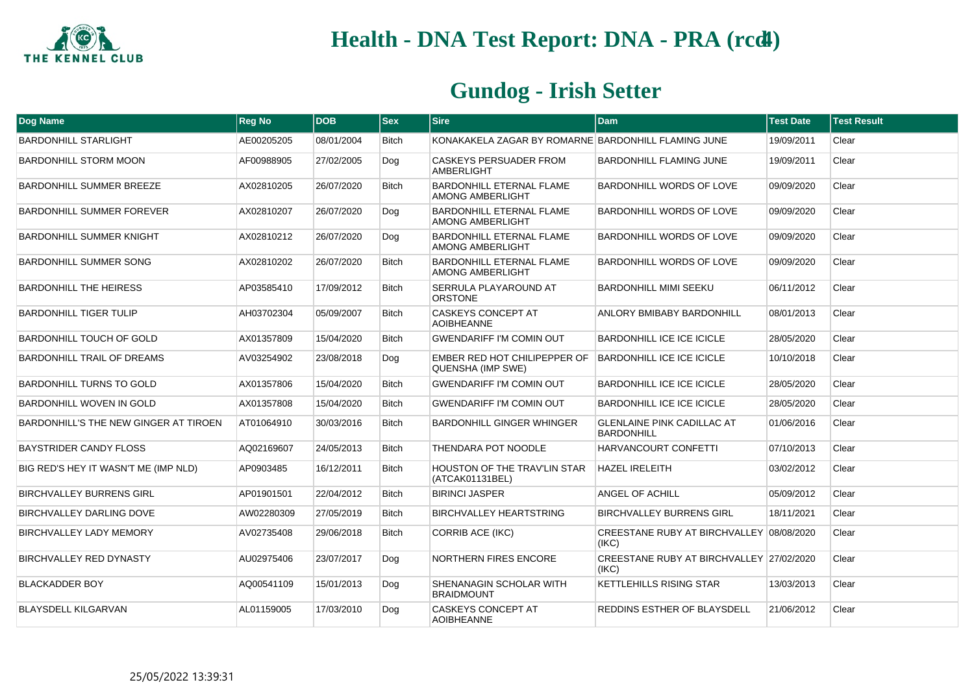

| Dog Name                              | <b>Reg No</b> | <b>DOB</b> | $ $ Sex      | <b>Sire</b>                                                | <b>Dam</b>                                             | <b>Test Date</b> | <b>Test Result</b> |
|---------------------------------------|---------------|------------|--------------|------------------------------------------------------------|--------------------------------------------------------|------------------|--------------------|
| <b>BARDONHILL STARLIGHT</b>           | AE00205205    | 08/01/2004 | <b>Bitch</b> | KONAKAKELA ZAGAR BY ROMARNE BARDONHILL FLAMING JUNE        |                                                        | 19/09/2011       | Clear              |
| <b>BARDONHILL STORM MOON</b>          | AF00988905    | 27/02/2005 | Dog          | <b>CASKEYS PERSUADER FROM</b><br><b>AMBERLIGHT</b>         | <b>BARDONHILL FLAMING JUNE</b>                         | 19/09/2011       | Clear              |
| BARDONHILL SUMMER BREEZE              | AX02810205    | 26/07/2020 | Bitch        | <b>BARDONHILL ETERNAL FLAME</b><br><b>AMONG AMBERLIGHT</b> | BARDONHILL WORDS OF LOVE                               | 09/09/2020       | Clear              |
| BARDONHILL SUMMER FOREVER             | AX02810207    | 26/07/2020 | Dog          | <b>BARDONHILL ETERNAL FLAME</b><br><b>AMONG AMBERLIGHT</b> | BARDONHILL WORDS OF LOVE                               | 09/09/2020       | Clear              |
| <b>BARDONHILL SUMMER KNIGHT</b>       | AX02810212    | 26/07/2020 | Dog          | <b>BARDONHILL ETERNAL FLAME</b><br>AMONG AMBERLIGHT        | <b>BARDONHILL WORDS OF LOVE</b>                        | 09/09/2020       | Clear              |
| <b>BARDONHILL SUMMER SONG</b>         | AX02810202    | 26/07/2020 | <b>Bitch</b> | <b>BARDONHILL ETERNAL FLAME</b><br>AMONG AMBERLIGHT        | <b>BARDONHILL WORDS OF LOVE</b>                        | 09/09/2020       | Clear              |
| <b>BARDONHILL THE HEIRESS</b>         | AP03585410    | 17/09/2012 | <b>Bitch</b> | SERRULA PLAYAROUND AT<br><b>ORSTONE</b>                    | <b>BARDONHILL MIMI SEEKU</b>                           | 06/11/2012       | Clear              |
| <b>BARDONHILL TIGER TULIP</b>         | AH03702304    | 05/09/2007 | <b>Bitch</b> | <b>CASKEYS CONCEPT AT</b><br><b>AOIBHEANNE</b>             | ANLORY BMIBABY BARDONHILL                              | 08/01/2013       | Clear              |
| <b>BARDONHILL TOUCH OF GOLD</b>       | AX01357809    | 15/04/2020 | <b>Bitch</b> | <b>GWENDARIFF I'M COMIN OUT</b>                            | BARDONHILL ICE ICE ICICLE                              | 28/05/2020       | Clear              |
| <b>BARDONHILL TRAIL OF DREAMS</b>     | AV03254902    | 23/08/2018 | Dog          | EMBER RED HOT CHILIPEPPER OF<br>QUENSHA (IMP SWE)          | <b>BARDONHILL ICE ICE ICICLE</b>                       | 10/10/2018       | Clear              |
| <b>BARDONHILL TURNS TO GOLD</b>       | AX01357806    | 15/04/2020 | <b>Bitch</b> | <b>GWENDARIFF I'M COMIN OUT</b>                            | BARDONHILL ICE ICE ICICLE                              | 28/05/2020       | Clear              |
| BARDONHILL WOVEN IN GOLD              | AX01357808    | 15/04/2020 | Bitch        | <b>GWENDARIFF I'M COMIN OUT</b>                            | <b>BARDONHILL ICE ICE ICICLE</b>                       | 28/05/2020       | Clear              |
| BARDONHILL'S THE NEW GINGER AT TIROEN | AT01064910    | 30/03/2016 | <b>Bitch</b> | <b>BARDONHILL GINGER WHINGER</b>                           | <b>GLENLAINE PINK CADILLAC AT</b><br><b>BARDONHILL</b> | 01/06/2016       | Clear              |
| <b>BAYSTRIDER CANDY FLOSS</b>         | AQ02169607    | 24/05/2013 | <b>Bitch</b> | THENDARA POT NOODLE                                        | <b>HARVANCOURT CONFETTI</b>                            | 07/10/2013       | Clear              |
| BIG RED'S HEY IT WASN'T ME (IMP NLD)  | AP0903485     | 16/12/2011 | <b>Bitch</b> | <b>HOUSTON OF THE TRAV'LIN STAR</b><br>(ATCAK01131BEL)     | <b>HAZEL IRELEITH</b>                                  | 03/02/2012       | Clear              |
| <b>BIRCHVALLEY BURRENS GIRL</b>       | AP01901501    | 22/04/2012 | <b>Bitch</b> | <b>BIRINCI JASPER</b>                                      | <b>ANGEL OF ACHILL</b>                                 | 05/09/2012       | Clear              |
| BIRCHVALLEY DARLING DOVE              | AW02280309    | 27/05/2019 | Bitch        | <b>BIRCHVALLEY HEARTSTRING</b>                             | <b>BIRCHVALLEY BURRENS GIRL</b>                        | 18/11/2021       | Clear              |
| <b>BIRCHVALLEY LADY MEMORY</b>        | AV02735408    | 29/06/2018 | Bitch        | CORRIB ACE (IKC)                                           | CREESTANE RUBY AT BIRCHVALLEY 08/08/2020<br>(IKC)      |                  | Clear              |
| <b>BIRCHVALLEY RED DYNASTY</b>        | AU02975406    | 23/07/2017 | Dog          | <b>NORTHERN FIRES ENCORE</b>                               | CREESTANE RUBY AT BIRCHVALLEY 27/02/2020<br>(IKC)      |                  | Clear              |
| <b>BLACKADDER BOY</b>                 | AQ00541109    | 15/01/2013 | Dog          | SHENANAGIN SCHOLAR WITH<br><b>BRAIDMOUNT</b>               | KETTLEHILLS RISING STAR                                | 13/03/2013       | Clear              |
| <b>BLAYSDELL KILGARVAN</b>            | AL01159005    | 17/03/2010 | Dog          | CASKEYS CONCEPT AT<br><b>AOIBHEANNE</b>                    | <b>REDDINS ESTHER OF BLAYSDELL</b>                     | 21/06/2012       | Clear              |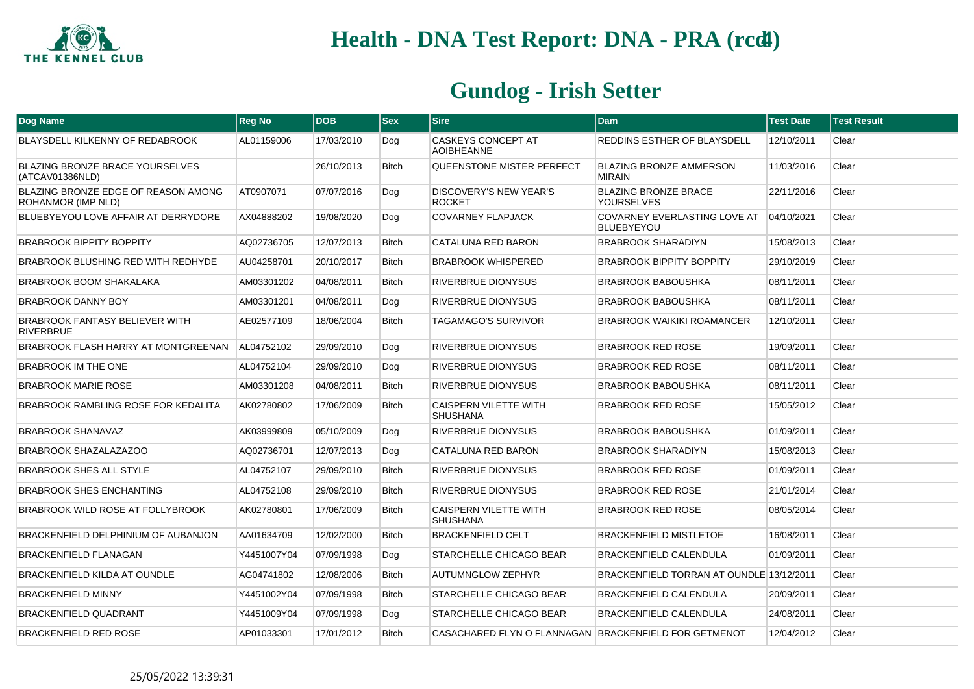

| <b>Dog Name</b>                                           | <b>Reg No</b> | <b>DOB</b> | <b>Sex</b>   | <b>Sire</b>                                             | <b>Dam</b>                                        | <b>Test Date</b> | <b>Test Result</b> |
|-----------------------------------------------------------|---------------|------------|--------------|---------------------------------------------------------|---------------------------------------------------|------------------|--------------------|
| BLAYSDELL KILKENNY OF REDABROOK                           | AL01159006    | 17/03/2010 | Dog          | <b>CASKEYS CONCEPT AT</b><br><b>AOIBHEANNE</b>          | REDDINS ESTHER OF BLAYSDELL                       | 12/10/2011       | Clear              |
| <b>BLAZING BRONZE BRACE YOURSELVES</b><br>(ATCAV01386NLD) |               | 26/10/2013 | <b>Bitch</b> | QUEENSTONE MISTER PERFECT                               | <b>BLAZING BRONZE AMMERSON</b><br><b>MIRAIN</b>   | 11/03/2016       | Clear              |
| BLAZING BRONZE EDGE OF REASON AMONG<br>ROHANMOR (IMP NLD) | AT0907071     | 07/07/2016 | Dog          | DISCOVERY'S NEW YEAR'S<br><b>ROCKET</b>                 | <b>BLAZING BRONZE BRACE</b><br><b>YOURSELVES</b>  | 22/11/2016       | Clear              |
| BLUEBYEYOU LOVE AFFAIR AT DERRYDORE                       | AX04888202    | 19/08/2020 | Dog          | <b>COVARNEY FLAPJACK</b>                                | COVARNEY EVERLASTING LOVE AT<br><b>BLUEBYEYOU</b> | 04/10/2021       | Clear              |
| <b>BRABROOK BIPPITY BOPPITY</b>                           | AQ02736705    | 12/07/2013 | <b>Bitch</b> | CATALUNA RED BARON                                      | <b>BRABROOK SHARADIYN</b>                         | 15/08/2013       | Clear              |
| BRABROOK BLUSHING RED WITH REDHYDE                        | AU04258701    | 20/10/2017 | Bitch        | <b>BRABROOK WHISPERED</b>                               | <b>BRABROOK BIPPITY BOPPITY</b>                   | 29/10/2019       | Clear              |
| <b>BRABROOK BOOM SHAKALAKA</b>                            | AM03301202    | 04/08/2011 | <b>Bitch</b> | <b>RIVERBRUE DIONYSUS</b>                               | <b>BRABROOK BABOUSHKA</b>                         | 08/11/2011       | Clear              |
| <b>BRABROOK DANNY BOY</b>                                 | AM03301201    | 04/08/2011 | Dog          | RIVERBRUE DIONYSUS                                      | <b>BRABROOK BABOUSHKA</b>                         | 08/11/2011       | Clear              |
| <b>BRABROOK FANTASY BELIEVER WITH</b><br><b>RIVERBRUE</b> | AE02577109    | 18/06/2004 | <b>Bitch</b> | <b>TAGAMAGO'S SURVIVOR</b>                              | <b>BRABROOK WAIKIKI ROAMANCER</b>                 | 12/10/2011       | Clear              |
| BRABROOK FLASH HARRY AT MONTGREENAN                       | AL04752102    | 29/09/2010 | Dog          | RIVERBRUE DIONYSUS                                      | <b>BRABROOK RED ROSE</b>                          | 19/09/2011       | Clear              |
| <b>BRABROOK IM THE ONE</b>                                | AL04752104    | 29/09/2010 | Dog          | RIVERBRUE DIONYSUS                                      | <b>BRABROOK RED ROSE</b>                          | 08/11/2011       | Clear              |
| <b>BRABROOK MARIE ROSE</b>                                | AM03301208    | 04/08/2011 | <b>Bitch</b> | <b>RIVERBRUE DIONYSUS</b>                               | <b>BRABROOK BABOUSHKA</b>                         | 08/11/2011       | Clear              |
| BRABROOK RAMBLING ROSE FOR KEDALITA                       | AK02780802    | 17/06/2009 | <b>Bitch</b> | <b>CAISPERN VILETTE WITH</b><br><b>SHUSHANA</b>         | <b>BRABROOK RED ROSE</b>                          | 15/05/2012       | Clear              |
| <b>BRABROOK SHANAVAZ</b>                                  | AK03999809    | 05/10/2009 | Dog          | <b>RIVERBRUE DIONYSUS</b>                               | <b>BRABROOK BABOUSHKA</b>                         | 01/09/2011       | Clear              |
| BRABROOK SHAZALAZAZOO                                     | AQ02736701    | 12/07/2013 | Dog          | CATALUNA RED BARON                                      | <b>BRABROOK SHARADIYN</b>                         | 15/08/2013       | Clear              |
| <b>BRABROOK SHES ALL STYLE</b>                            | AL04752107    | 29/09/2010 | <b>Bitch</b> | <b>RIVERBRUE DIONYSUS</b>                               | <b>BRABROOK RED ROSE</b>                          | 01/09/2011       | Clear              |
| <b>BRABROOK SHES ENCHANTING</b>                           | AL04752108    | 29/09/2010 | <b>Bitch</b> | <b>RIVERBRUE DIONYSUS</b>                               | <b>BRABROOK RED ROSE</b>                          | 21/01/2014       | Clear              |
| BRABROOK WILD ROSE AT FOLLYBROOK                          | AK02780801    | 17/06/2009 | <b>Bitch</b> | <b>CAISPERN VILETTE WITH</b><br>SHUSHANA                | <b>BRABROOK RED ROSE</b>                          | 08/05/2014       | Clear              |
| BRACKENFIELD DELPHINIUM OF AUBANJON                       | AA01634709    | 12/02/2000 | <b>Bitch</b> | <b>BRACKENFIELD CELT</b>                                | <b>BRACKENFIELD MISTLETOE</b>                     | 16/08/2011       | Clear              |
| <b>BRACKENFIELD FLANAGAN</b>                              | Y4451007Y04   | 07/09/1998 | Dog          | <b>STARCHELLE CHICAGO BEAR</b>                          | <b>BRACKENFIELD CALENDULA</b>                     | 01/09/2011       | Clear              |
| <b>BRACKENFIELD KILDA AT OUNDLE</b>                       | AG04741802    | 12/08/2006 | <b>Bitch</b> | <b>AUTUMNGLOW ZEPHYR</b>                                | BRACKENFIELD TORRAN AT OUNDLE 13/12/2011          |                  | Clear              |
| <b>BRACKENFIELD MINNY</b>                                 | Y4451002Y04   | 07/09/1998 | <b>Bitch</b> | STARCHELLE CHICAGO BEAR                                 | <b>BRACKENFIELD CALENDULA</b>                     | 20/09/2011       | Clear              |
| <b>BRACKENFIELD QUADRANT</b>                              | Y4451009Y04   | 07/09/1998 | Dog          | STARCHELLE CHICAGO BEAR                                 | <b>BRACKENFIELD CALENDULA</b>                     | 24/08/2011       | Clear              |
| <b>BRACKENFIELD RED ROSE</b>                              | AP01033301    | 17/01/2012 | <b>Bitch</b> | CASACHARED FLYN O FLANNAGAN   BRACKENFIELD FOR GETMENOT |                                                   | 12/04/2012       | Clear              |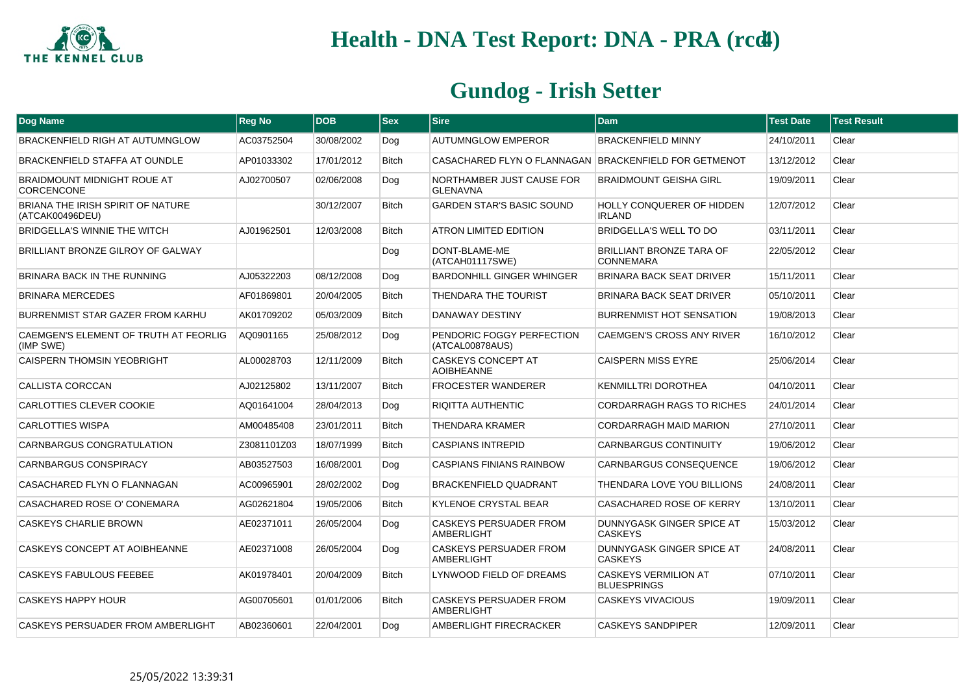

| <b>Dog Name</b>                                             | <b>Reg No</b> | <b>DOB</b> | $ s_{ex} $   | <b>Sire</b>                                        | <b>Dam</b>                                          | <b>Test Date</b> | <b>Test Result</b> |
|-------------------------------------------------------------|---------------|------------|--------------|----------------------------------------------------|-----------------------------------------------------|------------------|--------------------|
| BRACKENFIELD RIGH AT AUTUMNGLOW                             | AC03752504    | 30/08/2002 | Dog          | <b>AUTUMNGLOW EMPEROR</b>                          | <b>BRACKENFIELD MINNY</b>                           | 24/10/2011       | Clear              |
| <b>BRACKENFIELD STAFFA AT OUNDLE</b>                        | AP01033302    | 17/01/2012 | <b>Bitch</b> | CASACHARED FLYN O FLANNAGAN                        | <b>BRACKENFIELD FOR GETMENOT</b>                    | 13/12/2012       | Clear              |
| <b>BRAIDMOUNT MIDNIGHT ROUE AT</b><br><b>CORCENCONE</b>     | AJ02700507    | 02/06/2008 | Dog          | NORTHAMBER JUST CAUSE FOR<br><b>GLENAVNA</b>       | <b>BRAIDMOUNT GEISHA GIRL</b>                       | 19/09/2011       | Clear              |
| <b>BRIANA THE IRISH SPIRIT OF NATURE</b><br>(ATCAK00496DEU) |               | 30/12/2007 | <b>Bitch</b> | <b>GARDEN STAR'S BASIC SOUND</b>                   | HOLLY CONQUERER OF HIDDEN<br><b>IRLAND</b>          | 12/07/2012       | Clear              |
| BRIDGELLA'S WINNIE THE WITCH                                | AJ01962501    | 12/03/2008 | Bitch        | <b>ATRON LIMITED EDITION</b>                       | BRIDGELLA'S WELL TO DO                              | 03/11/2011       | Clear              |
| BRILLIANT BRONZE GILROY OF GALWAY                           |               |            | Dog          | DONT-BLAME-ME<br>(ATCAH01117SWE)                   | <b>BRILLIANT BRONZE TARA OF</b><br><b>CONNEMARA</b> | 22/05/2012       | Clear              |
| BRINARA BACK IN THE RUNNING                                 | AJ05322203    | 08/12/2008 | Dog          | BARDONHILL GINGER WHINGER                          | <b>BRINARA BACK SEAT DRIVER</b>                     | 15/11/2011       | Clear              |
| <b>BRINARA MERCEDES</b>                                     | AF01869801    | 20/04/2005 | <b>Bitch</b> | THENDARA THE TOURIST                               | <b>BRINARA BACK SEAT DRIVER</b>                     | 05/10/2011       | Clear              |
| BURRENMIST STAR GAZER FROM KARHU                            | AK01709202    | 05/03/2009 | <b>Bitch</b> | <b>DANAWAY DESTINY</b>                             | <b>BURRENMIST HOT SENSATION</b>                     | 19/08/2013       | Clear              |
| CAEMGEN'S ELEMENT OF TRUTH AT FEORLIG<br>(IMP SWE)          | AQ0901165     | 25/08/2012 | Dog          | PENDORIC FOGGY PERFECTION<br>(ATCAL00878AUS)       | CAEMGEN'S CROSS ANY RIVER                           | 16/10/2012       | Clear              |
| <b>CAISPERN THOMSIN YEOBRIGHT</b>                           | AL00028703    | 12/11/2009 | <b>Bitch</b> | <b>CASKEYS CONCEPT AT</b><br><b>AOIBHEANNE</b>     | CAISPERN MISS EYRE                                  | 25/06/2014       | Clear              |
| CALLISTA CORCCAN                                            | AJ02125802    | 13/11/2007 | <b>Bitch</b> | <b>FROCESTER WANDERER</b>                          | <b>KENMILLTRI DOROTHEA</b>                          | 04/10/2011       | Clear              |
| <b>CARLOTTIES CLEVER COOKIE</b>                             | AQ01641004    | 28/04/2013 | Dog          | RIQITTA AUTHENTIC                                  | <b>CORDARRAGH RAGS TO RICHES</b>                    | 24/01/2014       | Clear              |
| <b>CARLOTTIES WISPA</b>                                     | AM00485408    | 23/01/2011 | <b>Bitch</b> | <b>THENDARA KRAMER</b>                             | <b>CORDARRAGH MAID MARION</b>                       | 27/10/2011       | Clear              |
| CARNBARGUS CONGRATULATION                                   | Z3081101Z03   | 18/07/1999 | <b>Bitch</b> | <b>CASPIANS INTREPID</b>                           | <b>CARNBARGUS CONTINUITY</b>                        | 19/06/2012       | Clear              |
| CARNBARGUS CONSPIRACY                                       | AB03527503    | 16/08/2001 | Dog          | <b>CASPIANS FINIANS RAINBOW</b>                    | CARNBARGUS CONSEQUENCE                              | 19/06/2012       | Clear              |
| CASACHARED FLYN O FLANNAGAN                                 | AC00965901    | 28/02/2002 | Dog          | BRACKENFIELD QUADRANT                              | THENDARA LOVE YOU BILLIONS                          | 24/08/2011       | Clear              |
| CASACHARED ROSE O' CONEMARA                                 | AG02621804    | 19/05/2006 | <b>Bitch</b> | <b>KYLENOE CRYSTAL BEAR</b>                        | CASACHARED ROSE OF KERRY                            | 13/10/2011       | Clear              |
| <b>CASKEYS CHARLIE BROWN</b>                                | AE02371011    | 26/05/2004 | Dog          | <b>CASKEYS PERSUADER FROM</b><br><b>AMBERLIGHT</b> | DUNNYGASK GINGER SPICE AT<br><b>CASKEYS</b>         | 15/03/2012       | Clear              |
| CASKEYS CONCEPT AT AOIBHEANNE                               | AE02371008    | 26/05/2004 | Dog          | CASKEYS PERSUADER FROM<br><b>AMBERLIGHT</b>        | DUNNYGASK GINGER SPICE AT<br><b>CASKEYS</b>         | 24/08/2011       | Clear              |
| CASKEYS FABULOUS FEEBEE                                     | AK01978401    | 20/04/2009 | <b>Bitch</b> | LYNWOOD FIELD OF DREAMS                            | <b>CASKEYS VERMILION AT</b><br><b>BLUESPRINGS</b>   | 07/10/2011       | Clear              |
| <b>CASKEYS HAPPY HOUR</b>                                   | AG00705601    | 01/01/2006 | <b>Bitch</b> | <b>CASKEYS PERSUADER FROM</b><br>AMBERLIGHT        | <b>CASKEYS VIVACIOUS</b>                            | 19/09/2011       | Clear              |
| CASKEYS PERSUADER FROM AMBERLIGHT                           | AB02360601    | 22/04/2001 | Dog          | AMBERLIGHT FIRECRACKER                             | <b>CASKEYS SANDPIPER</b>                            | 12/09/2011       | Clear              |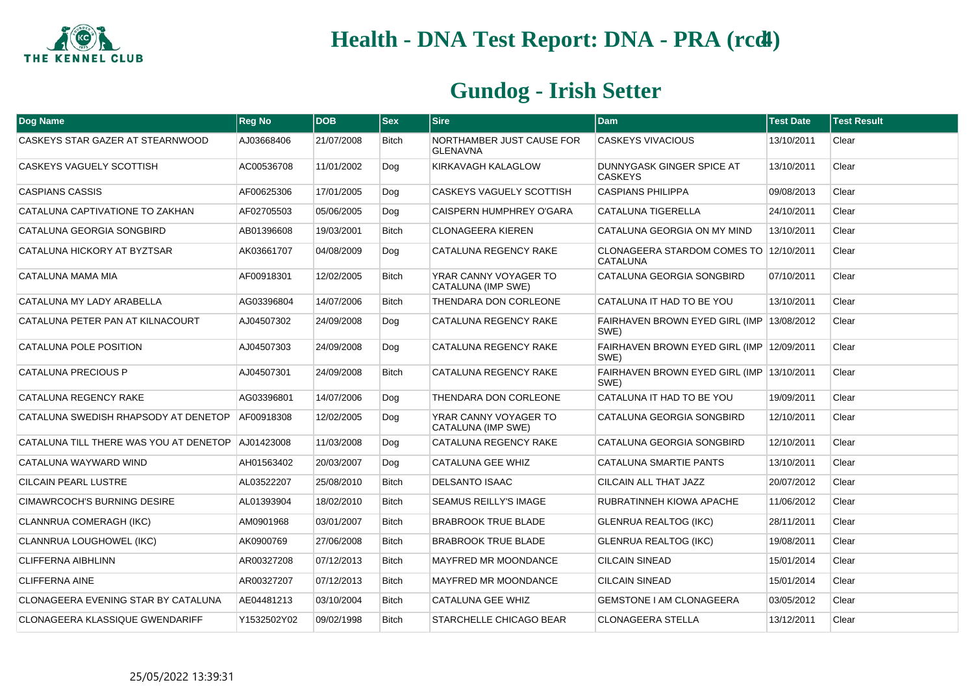

| Dog Name                                            | <b>Reg No</b> | <b>DOB</b> | <b>Sex</b>   | <b>Sire</b>                                  | <b>Dam</b>                                                | <b>Test Date</b> | <b>Test Result</b> |
|-----------------------------------------------------|---------------|------------|--------------|----------------------------------------------|-----------------------------------------------------------|------------------|--------------------|
| CASKEYS STAR GAZER AT STEARNWOOD                    | AJ03668406    | 21/07/2008 | <b>Bitch</b> | NORTHAMBER JUST CAUSE FOR<br><b>GLENAVNA</b> | <b>CASKEYS VIVACIOUS</b>                                  | 13/10/2011       | Clear              |
| CASKEYS VAGUELY SCOTTISH                            | AC00536708    | 11/01/2002 | Dog          | KIRKAVAGH KALAGLOW                           | DUNNYGASK GINGER SPICE AT<br><b>CASKEYS</b>               | 13/10/2011       | Clear              |
| <b>CASPIANS CASSIS</b>                              | AF00625306    | 17/01/2005 | Dog          | CASKEYS VAGUELY SCOTTISH                     | <b>CASPIANS PHILIPPA</b>                                  | 09/08/2013       | Clear              |
| CATALUNA CAPTIVATIONE TO ZAKHAN                     | AF02705503    | 05/06/2005 | Dog          | CAISPERN HUMPHREY O'GARA                     | <b>CATALUNA TIGERELLA</b>                                 | 24/10/2011       | Clear              |
| CATALUNA GEORGIA SONGBIRD                           | AB01396608    | 19/03/2001 | <b>Bitch</b> | <b>CLONAGEERA KIEREN</b>                     | CATALUNA GEORGIA ON MY MIND                               | 13/10/2011       | Clear              |
| CATALUNA HICKORY AT BYZTSAR                         | AK03661707    | 04/08/2009 | Dog          | CATALUNA REGENCY RAKE                        | CLONAGEERA STARDOM COMES TO 12/10/2011<br><b>CATALUNA</b> |                  | Clear              |
| CATALUNA MAMA MIA                                   | AF00918301    | 12/02/2005 | <b>Bitch</b> | YRAR CANNY VOYAGER TO<br>CATALUNA (IMP SWE)  | CATALUNA GEORGIA SONGBIRD                                 | 07/10/2011       | Clear              |
| CATALUNA MY LADY ARABELLA                           | AG03396804    | 14/07/2006 | <b>Bitch</b> | THENDARA DON CORLEONE                        | CATALUNA IT HAD TO BE YOU                                 | 13/10/2011       | Clear              |
| CATALUNA PETER PAN AT KILNACOURT                    | AJ04507302    | 24/09/2008 | Dog          | CATALUNA REGENCY RAKE                        | FAIRHAVEN BROWN EYED GIRL (IMP 13/08/2012)<br>SWE)        |                  | Clear              |
| CATALUNA POLE POSITION                              | AJ04507303    | 24/09/2008 | Dog          | CATALUNA REGENCY RAKE                        | FAIRHAVEN BROWN EYED GIRL (IMP 12/09/2011<br>SWE)         |                  | Clear              |
| CATALUNA PRECIOUS P                                 | AJ04507301    | 24/09/2008 | <b>Bitch</b> | CATALUNA REGENCY RAKE                        | FAIRHAVEN BROWN EYED GIRL (IMP 13/10/2011<br>SWE)         |                  | Clear              |
| CATALUNA REGENCY RAKE                               | AG03396801    | 14/07/2006 | Dog          | THENDARA DON CORLEONE                        | CATALUNA IT HAD TO BE YOU                                 | 19/09/2011       | Clear              |
| CATALUNA SWEDISH RHAPSODY AT DENETOP                | AF00918308    | 12/02/2005 | Dog          | YRAR CANNY VOYAGER TO<br>CATALUNA (IMP SWE)  | CATALUNA GEORGIA SONGBIRD                                 | 12/10/2011       | Clear              |
| CATALUNA TILL THERE WAS YOU AT DENETOP   AJ01423008 |               | 11/03/2008 | Dog          | CATALUNA REGENCY RAKE                        | CATALUNA GEORGIA SONGBIRD                                 | 12/10/2011       | Clear              |
| CATALUNA WAYWARD WIND                               | AH01563402    | 20/03/2007 | Dog          | <b>CATALUNA GEE WHIZ</b>                     | <b>CATALUNA SMARTIE PANTS</b>                             | 13/10/2011       | Clear              |
| CILCAIN PEARL LUSTRE                                | AL03522207    | 25/08/2010 | <b>Bitch</b> | <b>DELSANTO ISAAC</b>                        | CILCAIN ALL THAT JAZZ                                     | 20/07/2012       | Clear              |
| CIMAWRCOCH'S BURNING DESIRE                         | AL01393904    | 18/02/2010 | <b>Bitch</b> | <b>SEAMUS REILLY'S IMAGE</b>                 | RUBRATINNEH KIOWA APACHE                                  | 11/06/2012       | Clear              |
| CLANNRUA COMERAGH (IKC)                             | AM0901968     | 03/01/2007 | <b>Bitch</b> | <b>BRABROOK TRUE BLADE</b>                   | <b>GLENRUA REALTOG (IKC)</b>                              | 28/11/2011       | Clear              |
| CLANNRUA LOUGHOWEL (IKC)                            | AK0900769     | 27/06/2008 | <b>Bitch</b> | <b>BRABROOK TRUE BLADE</b>                   | <b>GLENRUA REALTOG (IKC)</b>                              | 19/08/2011       | Clear              |
| <b>CLIFFERNA AIBHLINN</b>                           | AR00327208    | 07/12/2013 | <b>Bitch</b> | <b>MAYFRED MR MOONDANCE</b>                  | <b>CILCAIN SINEAD</b>                                     | 15/01/2014       | Clear              |
| <b>CLIFFERNA AINE</b>                               | AR00327207    | 07/12/2013 | <b>Bitch</b> | MAYFRED MR MOONDANCE                         | <b>CILCAIN SINEAD</b>                                     | 15/01/2014       | Clear              |
| CLONAGEERA EVENING STAR BY CATALUNA                 | AE04481213    | 03/10/2004 | <b>Bitch</b> | <b>CATALUNA GEE WHIZ</b>                     | <b>GEMSTONE I AM CLONAGEERA</b>                           | 03/05/2012       | Clear              |
| CLONAGEERA KLASSIQUE GWENDARIFF                     | Y1532502Y02   | 09/02/1998 | <b>Bitch</b> | STARCHELLE CHICAGO BEAR                      | <b>CLONAGEERA STELLA</b>                                  | 13/12/2011       | Clear              |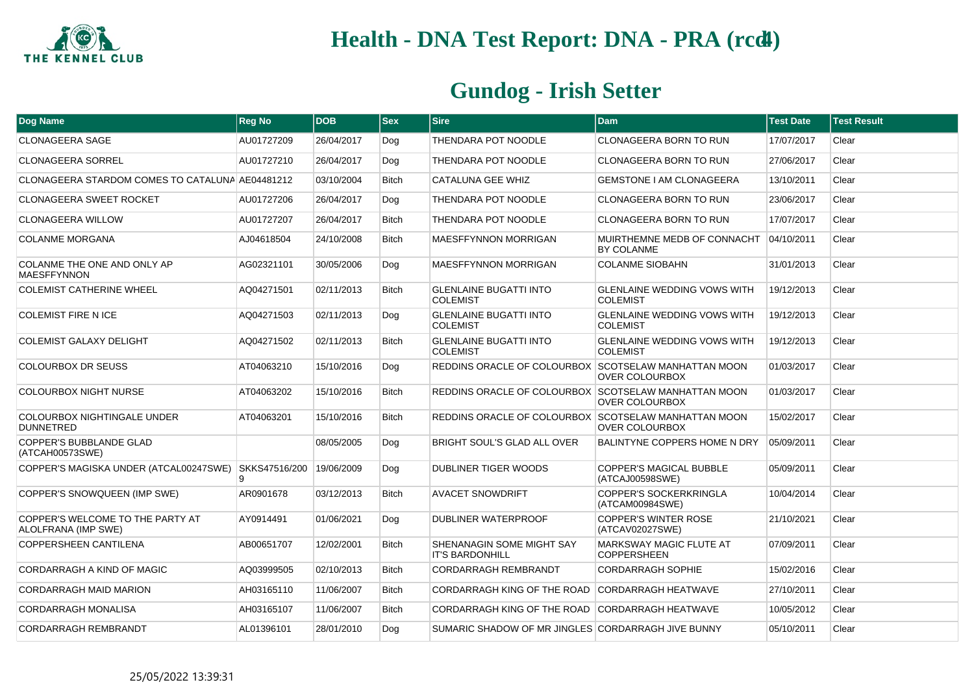

| Dog Name                                                | <b>Reg No</b>      | <b>DOB</b> | <b>Sex</b>   | <b>Sire</b>                                          | <b>Dam</b>                                            | <b>Test Date</b> | <b>Test Result</b> |
|---------------------------------------------------------|--------------------|------------|--------------|------------------------------------------------------|-------------------------------------------------------|------------------|--------------------|
| <b>CLONAGEERA SAGE</b>                                  | AU01727209         | 26/04/2017 | Dog          | THENDARA POT NOODLE                                  | <b>CLONAGEERA BORN TO RUN</b>                         | 17/07/2017       | Clear              |
| <b>CLONAGEERA SORREL</b>                                | AU01727210         | 26/04/2017 | Dog          | THENDARA POT NOODLE                                  | <b>CLONAGEERA BORN TO RUN</b>                         | 27/06/2017       | Clear              |
| CLONAGEERA STARDOM COMES TO CATALUNA AE04481212         |                    | 03/10/2004 | <b>Bitch</b> | <b>CATALUNA GEE WHIZ</b>                             | <b>GEMSTONE I AM CLONAGEERA</b>                       | 13/10/2011       | Clear              |
| <b>CLONAGEERA SWEET ROCKET</b>                          | AU01727206         | 26/04/2017 | Dog          | THENDARA POT NOODLE                                  | CLONAGEERA BORN TO RUN                                | 23/06/2017       | Clear              |
| <b>CLONAGEERA WILLOW</b>                                | AU01727207         | 26/04/2017 | <b>Bitch</b> | THENDARA POT NOODLE                                  | <b>CLONAGEERA BORN TO RUN</b>                         | 17/07/2017       | Clear              |
| <b>COLANME MORGANA</b>                                  | AJ04618504         | 24/10/2008 | <b>Bitch</b> | <b>MAESFFYNNON MORRIGAN</b>                          | MUIRTHEMNE MEDB OF CONNACHT<br>BY COLANME             | 04/10/2011       | Clear              |
| COLANME THE ONE AND ONLY AP<br><b>MAESFFYNNON</b>       | AG02321101         | 30/05/2006 | Dog          | <b>MAESFFYNNON MORRIGAN</b>                          | <b>COLANME SIOBAHN</b>                                | 31/01/2013       | Clear              |
| <b>COLEMIST CATHERINE WHEEL</b>                         | AQ04271501         | 02/11/2013 | <b>Bitch</b> | <b>GLENLAINE BUGATTI INTO</b><br><b>COLEMIST</b>     | <b>GLENLAINE WEDDING VOWS WITH</b><br><b>COLEMIST</b> | 19/12/2013       | Clear              |
| <b>COLEMIST FIRE N ICE</b>                              | AQ04271503         | 02/11/2013 | Dog          | <b>GLENLAINE BUGATTI INTO</b><br><b>COLEMIST</b>     | <b>GLENLAINE WEDDING VOWS WITH</b><br><b>COLEMIST</b> | 19/12/2013       | Clear              |
| <b>COLEMIST GALAXY DELIGHT</b>                          | AQ04271502         | 02/11/2013 | <b>Bitch</b> | <b>GLENLAINE BUGATTI INTO</b><br><b>COLEMIST</b>     | <b>GLENLAINE WEDDING VOWS WITH</b><br><b>COLEMIST</b> | 19/12/2013       | Clear              |
| COLOURBOX DR SEUSS                                      | AT04063210         | 15/10/2016 | Dog          | REDDINS ORACLE OF COLOURBOX SCOTSELAW MANHATTAN MOON | OVER COLOURBOX                                        | 01/03/2017       | Clear              |
| <b>COLOURBOX NIGHT NURSE</b>                            | AT04063202         | 15/10/2016 | <b>Bitch</b> | REDDINS ORACLE OF COLOURBOX SCOTSELAW MANHATTAN MOON | <b>OVER COLOURBOX</b>                                 | 01/03/2017       | Clear              |
| COLOURBOX NIGHTINGALE UNDER<br><b>DUNNETRED</b>         | AT04063201         | 15/10/2016 | <b>Bitch</b> | REDDINS ORACLE OF COLOURBOX SCOTSELAW MANHATTAN MOON | <b>OVER COLOURBOX</b>                                 | 15/02/2017       | Clear              |
| <b>COPPER'S BUBBLANDE GLAD</b><br>(ATCAH00573SWE)       |                    | 08/05/2005 | Dog          | BRIGHT SOUL'S GLAD ALL OVER                          | <b>BALINTYNE COPPERS HOME N DRY</b>                   | 05/09/2011       | Clear              |
| COPPER'S MAGISKA UNDER (ATCAL00247SWE)                  | SKKS47516/200<br>9 | 19/06/2009 | Dog          | DUBLINER TIGER WOODS                                 | <b>COPPER'S MAGICAL BUBBLE</b><br>(ATCAJ00598SWE)     | 05/09/2011       | Clear              |
| COPPER'S SNOWQUEEN (IMP SWE)                            | AR0901678          | 03/12/2013 | <b>Bitch</b> | <b>AVACET SNOWDRIFT</b>                              | COPPER'S SOCKERKRINGLA<br>(ATCAM00984SWE)             | 10/04/2014       | Clear              |
| COPPER'S WELCOME TO THE PARTY AT<br>ALOLFRANA (IMP SWE) | AY0914491          | 01/06/2021 | Dog          | DUBLINER WATERPROOF                                  | <b>COPPER'S WINTER ROSE</b><br>(ATCAV02027SWE)        | 21/10/2021       | Clear              |
| <b>COPPERSHEEN CANTILENA</b>                            | AB00651707         | 12/02/2001 | <b>Bitch</b> | SHENANAGIN SOME MIGHT SAY<br><b>IT'S BARDONHILL</b>  | <b>MARKSWAY MAGIC FLUTE AT</b><br><b>COPPERSHEEN</b>  | 07/09/2011       | Clear              |
| CORDARRAGH A KIND OF MAGIC                              | AQ03999505         | 02/10/2013 | <b>Bitch</b> | CORDARRAGH REMBRANDT                                 | <b>CORDARRAGH SOPHIE</b>                              | 15/02/2016       | Clear              |
| <b>CORDARRAGH MAID MARION</b>                           | AH03165110         | 11/06/2007 | <b>Bitch</b> | CORDARRAGH KING OF THE ROAD CORDARRAGH HEATWAVE      |                                                       | 27/10/2011       | Clear              |
| <b>CORDARRAGH MONALISA</b>                              | AH03165107         | 11/06/2007 | <b>Bitch</b> | CORDARRAGH KING OF THE ROAD CORDARRAGH HEATWAVE      |                                                       | 10/05/2012       | Clear              |
| <b>CORDARRAGH REMBRANDT</b>                             | AL01396101         | 28/01/2010 | Dog          | SUMARIC SHADOW OF MR JINGLES CORDARRAGH JIVE BUNNY   |                                                       | 05/10/2011       | Clear              |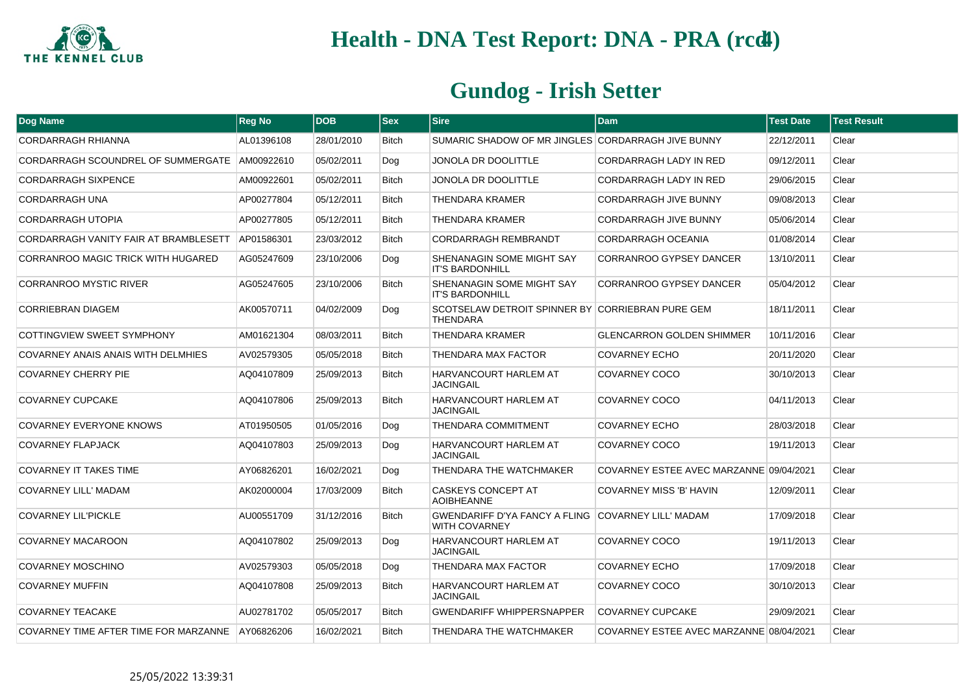

| Dog Name                              | <b>Reg No</b> | <b>DOB</b> | <b>Sex</b>   | <b>Sire</b>                                                                | <b>Dam</b>                              | <b>Test Date</b> | <b>Test Result</b> |
|---------------------------------------|---------------|------------|--------------|----------------------------------------------------------------------------|-----------------------------------------|------------------|--------------------|
| <b>CORDARRAGH RHIANNA</b>             | AL01396108    | 28/01/2010 | <b>Bitch</b> | SUMARIC SHADOW OF MR JINGLES CORDARRAGH JIVE BUNNY                         |                                         | 22/12/2011       | Clear              |
| CORDARRAGH SCOUNDREL OF SUMMERGATE    | AM00922610    | 05/02/2011 | Dog          | <b>JONOLA DR DOOLITTLE</b>                                                 | <b>CORDARRAGH LADY IN RED</b>           | 09/12/2011       | Clear              |
| <b>CORDARRAGH SIXPENCE</b>            | AM00922601    | 05/02/2011 | <b>Bitch</b> | JONOLA DR DOOLITTLE                                                        | CORDARRAGH LADY IN RED                  | 29/06/2015       | Clear              |
| <b>CORDARRAGH UNA</b>                 | AP00277804    | 05/12/2011 | <b>Bitch</b> | THENDARA KRAMER                                                            | <b>CORDARRAGH JIVE BUNNY</b>            | 09/08/2013       | Clear              |
| CORDARRAGH UTOPIA                     | AP00277805    | 05/12/2011 | <b>Bitch</b> | THENDARA KRAMER                                                            | <b>CORDARRAGH JIVE BUNNY</b>            | 05/06/2014       | Clear              |
| CORDARRAGH VANITY FAIR AT BRAMBLESETT | AP01586301    | 23/03/2012 | Bitch        | CORDARRAGH REMBRANDT                                                       | CORDARRAGH OCEANIA                      | 01/08/2014       | Clear              |
| CORRANROO MAGIC TRICK WITH HUGARED    | AG05247609    | 23/10/2006 | Dog          | SHENANAGIN SOME MIGHT SAY<br><b>IT'S BARDONHILL</b>                        | CORRANROO GYPSEY DANCER                 | 13/10/2011       | Clear              |
| <b>CORRANROO MYSTIC RIVER</b>         | AG05247605    | 23/10/2006 | <b>Bitch</b> | SHENANAGIN SOME MIGHT SAY<br><b>IT'S BARDONHILL</b>                        | CORRANROO GYPSEY DANCER                 | 05/04/2012       | Clear              |
| <b>CORRIEBRAN DIAGEM</b>              | AK00570711    | 04/02/2009 | Dog          | SCOTSELAW DETROIT SPINNER BY CORRIEBRAN PURE GEM<br><b>THENDARA</b>        |                                         | 18/11/2011       | Clear              |
| COTTINGVIEW SWEET SYMPHONY            | AM01621304    | 08/03/2011 | <b>Bitch</b> | <b>THENDARA KRAMER</b>                                                     | <b>GLENCARRON GOLDEN SHIMMER</b>        | 10/11/2016       | Clear              |
| COVARNEY ANAIS ANAIS WITH DELMHIES    | AV02579305    | 05/05/2018 | <b>Bitch</b> | THENDARA MAX FACTOR                                                        | <b>COVARNEY ECHO</b>                    | 20/11/2020       | Clear              |
| <b>COVARNEY CHERRY PIE</b>            | AQ04107809    | 25/09/2013 | <b>Bitch</b> | <b>HARVANCOURT HARLEM AT</b><br><b>JACINGAIL</b>                           | COVARNEY COCO                           | 30/10/2013       | Clear              |
| <b>COVARNEY CUPCAKE</b>               | AQ04107806    | 25/09/2013 | <b>Bitch</b> | HARVANCOURT HARLEM AT<br><b>JACINGAIL</b>                                  | COVARNEY COCO                           | 04/11/2013       | Clear              |
| <b>COVARNEY EVERYONE KNOWS</b>        | AT01950505    | 01/05/2016 | Dog          | THENDARA COMMITMENT                                                        | <b>COVARNEY ECHO</b>                    | 28/03/2018       | Clear              |
| <b>COVARNEY FLAPJACK</b>              | AQ04107803    | 25/09/2013 | Dog          | <b>HARVANCOURT HARLEM AT</b><br><b>JACINGAIL</b>                           | COVARNEY COCO                           | 19/11/2013       | Clear              |
| <b>COVARNEY IT TAKES TIME</b>         | AY06826201    | 16/02/2021 | Dog          | THENDARA THE WATCHMAKER                                                    | COVARNEY ESTEE AVEC MARZANNE 09/04/2021 |                  | Clear              |
| <b>COVARNEY LILL' MADAM</b>           | AK02000004    | 17/03/2009 | <b>Bitch</b> | <b>CASKEYS CONCEPT AT</b><br><b>AOIBHEANNE</b>                             | <b>COVARNEY MISS 'B' HAVIN</b>          | 12/09/2011       | Clear              |
| <b>COVARNEY LIL'PICKLE</b>            | AU00551709    | 31/12/2016 | <b>Bitch</b> | GWENDARIFF D'YA FANCY A FLING COVARNEY LILL' MADAM<br><b>WITH COVARNEY</b> |                                         | 17/09/2018       | Clear              |
| <b>COVARNEY MACAROON</b>              | AQ04107802    | 25/09/2013 | Dog          | <b>HARVANCOURT HARLEM AT</b><br><b>JACINGAIL</b>                           | COVARNEY COCO                           | 19/11/2013       | Clear              |
| <b>COVARNEY MOSCHINO</b>              | AV02579303    | 05/05/2018 | Dog          | THENDARA MAX FACTOR                                                        | <b>COVARNEY ECHO</b>                    | 17/09/2018       | Clear              |
| <b>COVARNEY MUFFIN</b>                | AQ04107808    | 25/09/2013 | <b>Bitch</b> | <b>HARVANCOURT HARLEM AT</b><br><b>JACINGAIL</b>                           | COVARNEY COCO                           | 30/10/2013       | Clear              |
| <b>COVARNEY TEACAKE</b>               | AU02781702    | 05/05/2017 | <b>Bitch</b> | <b>GWENDARIFF WHIPPERSNAPPER</b>                                           | <b>COVARNEY CUPCAKE</b>                 | 29/09/2021       | Clear              |
| COVARNEY TIME AFTER TIME FOR MARZANNE | AY06826206    | 16/02/2021 | <b>Bitch</b> | THENDARA THE WATCHMAKER                                                    | COVARNEY ESTEE AVEC MARZANNE 08/04/2021 |                  | Clear              |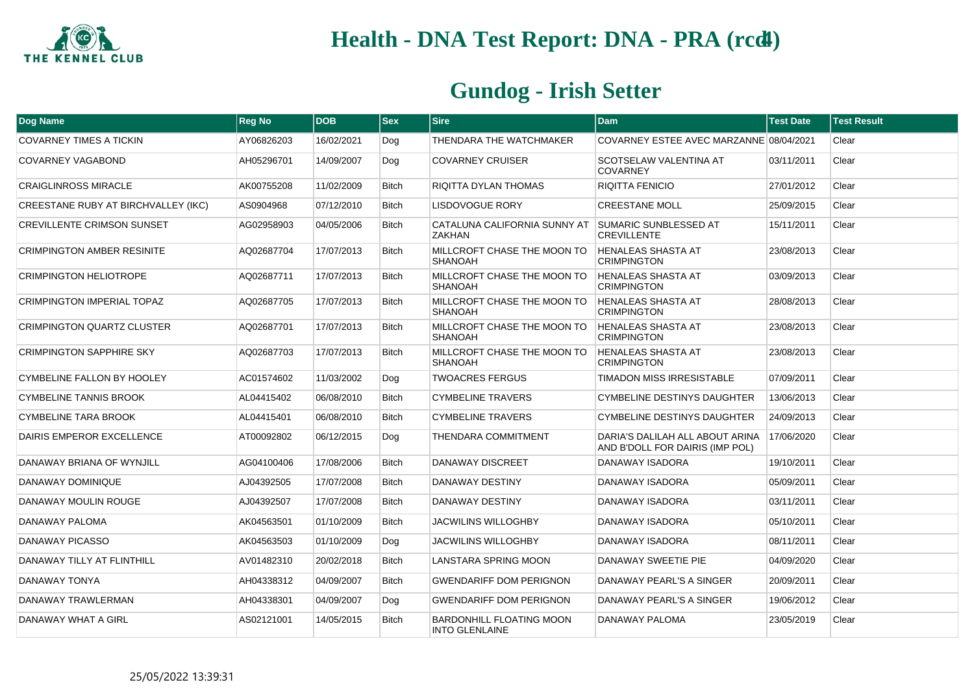

| <b>Dog Name</b>                     | <b>Reg No</b> | <b>DOB</b> | <b>Sex</b>   | <b>Sire</b>                                              | <b>Dam</b>                                                         | <b>Test Date</b> | <b>Test Result</b> |
|-------------------------------------|---------------|------------|--------------|----------------------------------------------------------|--------------------------------------------------------------------|------------------|--------------------|
| <b>COVARNEY TIMES A TICKIN</b>      | AY06826203    | 16/02/2021 | Dog          | THENDARA THE WATCHMAKER                                  | COVARNEY ESTEE AVEC MARZANNE 08/04/2021                            |                  | Clear              |
| COVARNEY VAGABOND                   | AH05296701    | 14/09/2007 | Dog          | <b>COVARNEY CRUISER</b>                                  | SCOTSELAW VALENTINA AT<br><b>COVARNEY</b>                          | 03/11/2011       | Clear              |
| <b>CRAIGLINROSS MIRACLE</b>         | AK00755208    | 11/02/2009 | <b>Bitch</b> | RIQITTA DYLAN THOMAS                                     | <b>RIQITTA FENICIO</b>                                             | 27/01/2012       | Clear              |
| CREESTANE RUBY AT BIRCHVALLEY (IKC) | AS0904968     | 07/12/2010 | <b>Bitch</b> | LISDOVOGUE RORY                                          | <b>CREESTANE MOLL</b>                                              | 25/09/2015       | Clear              |
| <b>CREVILLENTE CRIMSON SUNSET</b>   | AG02958903    | 04/05/2006 | <b>Bitch</b> | CATALUNA CALIFORNIA SUNNY AT<br><b>ZAKHAN</b>            | <b>SUMARIC SUNBLESSED AT</b><br><b>CREVILLENTE</b>                 | 15/11/2011       | Clear              |
| <b>CRIMPINGTON AMBER RESINITE</b>   | AQ02687704    | 17/07/2013 | Bitch        | MILLCROFT CHASE THE MOON TO<br>SHANOAH                   | <b>HENALEAS SHASTA AT</b><br><b>CRIMPINGTON</b>                    | 23/08/2013       | Clear              |
| <b>CRIMPINGTON HELIOTROPE</b>       | AQ02687711    | 17/07/2013 | <b>Bitch</b> | MILLCROFT CHASE THE MOON TO<br><b>SHANOAH</b>            | <b>HENALEAS SHASTA AT</b><br><b>CRIMPINGTON</b>                    | 03/09/2013       | Clear              |
| <b>CRIMPINGTON IMPERIAL TOPAZ</b>   | AQ02687705    | 17/07/2013 | <b>Bitch</b> | MILLCROFT CHASE THE MOON TO<br><b>SHANOAH</b>            | <b>HENALEAS SHASTA AT</b><br><b>CRIMPINGTON</b>                    | 28/08/2013       | Clear              |
| <b>CRIMPINGTON QUARTZ CLUSTER</b>   | AQ02687701    | 17/07/2013 | <b>Bitch</b> | MILLCROFT CHASE THE MOON TO<br><b>SHANOAH</b>            | <b>HENALEAS SHASTA AT</b><br><b>CRIMPINGTON</b>                    | 23/08/2013       | Clear              |
| <b>CRIMPINGTON SAPPHIRE SKY</b>     | AQ02687703    | 17/07/2013 | <b>Bitch</b> | MILLCROFT CHASE THE MOON TO<br><b>SHANOAH</b>            | <b>HENALEAS SHASTA AT</b><br><b>CRIMPINGTON</b>                    | 23/08/2013       | Clear              |
| CYMBELINE FALLON BY HOOLEY          | AC01574602    | 11/03/2002 | Dog          | <b>TWOACRES FERGUS</b>                                   | <b>TIMADON MISS IRRESISTABLE</b>                                   | 07/09/2011       | Clear              |
| <b>CYMBELINE TANNIS BROOK</b>       | AL04415402    | 06/08/2010 | <b>Bitch</b> | <b>CYMBELINE TRAVERS</b>                                 | <b>CYMBELINE DESTINYS DAUGHTER</b>                                 | 13/06/2013       | Clear              |
| <b>CYMBELINE TARA BROOK</b>         | AL04415401    | 06/08/2010 | <b>Bitch</b> | <b>CYMBELINE TRAVERS</b>                                 | <b>CYMBELINE DESTINYS DAUGHTER</b>                                 | 24/09/2013       | Clear              |
| DAIRIS EMPEROR EXCELLENCE           | AT00092802    | 06/12/2015 | Dog          | THENDARA COMMITMENT                                      | DARIA'S DALILAH ALL ABOUT ARINA<br>AND B'DOLL FOR DAIRIS (IMP POL) | 17/06/2020       | Clear              |
| DANAWAY BRIANA OF WYNJILL           | AG04100406    | 17/08/2006 | <b>Bitch</b> | <b>DANAWAY DISCREET</b>                                  | DANAWAY ISADORA                                                    | 19/10/2011       | Clear              |
| DANAWAY DOMINIQUE                   | AJ04392505    | 17/07/2008 | <b>Bitch</b> | <b>DANAWAY DESTINY</b>                                   | DANAWAY ISADORA                                                    | 05/09/2011       | Clear              |
| DANAWAY MOULIN ROUGE                | AJ04392507    | 17/07/2008 | <b>Bitch</b> | <b>DANAWAY DESTINY</b>                                   | DANAWAY ISADORA                                                    | 03/11/2011       | Clear              |
| DANAWAY PALOMA                      | AK04563501    | 01/10/2009 | <b>Bitch</b> | <b>JACWILINS WILLOGHBY</b>                               | DANAWAY ISADORA                                                    | 05/10/2011       | Clear              |
| DANAWAY PICASSO                     | AK04563503    | 01/10/2009 | Dog          | <b>JACWILINS WILLOGHBY</b>                               | DANAWAY ISADORA                                                    | 08/11/2011       | Clear              |
| DANAWAY TILLY AT FLINTHILL          | AV01482310    | 20/02/2018 | <b>Bitch</b> | LANSTARA SPRING MOON                                     | DANAWAY SWEETIE PIE                                                | 04/09/2020       | Clear              |
| DANAWAY TONYA                       | AH04338312    | 04/09/2007 | <b>Bitch</b> | <b>GWENDARIFF DOM PERIGNON</b>                           | DANAWAY PEARL'S A SINGER                                           | 20/09/2011       | Clear              |
| DANAWAY TRAWLERMAN                  | AH04338301    | 04/09/2007 | Dog          | <b>GWENDARIFF DOM PERIGNON</b>                           | DANAWAY PEARL'S A SINGER                                           | 19/06/2012       | Clear              |
| DANAWAY WHAT A GIRL                 | AS02121001    | 14/05/2015 | <b>Bitch</b> | <b>BARDONHILL FLOATING MOON</b><br><b>INTO GLENLAINE</b> | DANAWAY PALOMA                                                     | 23/05/2019       | Clear              |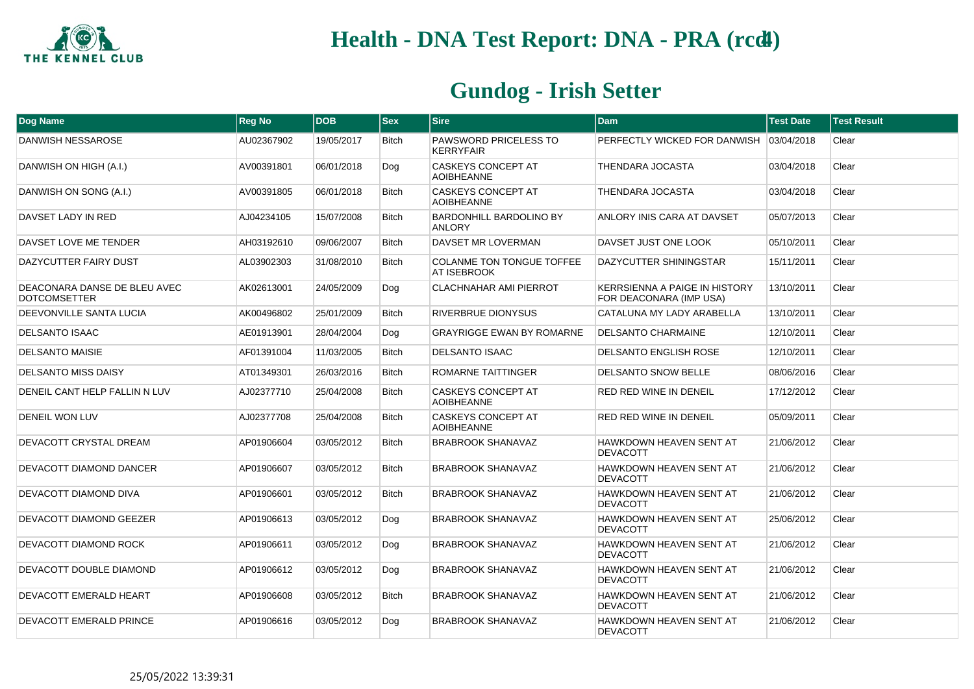

| Dog Name                                            | <b>Reg No</b> | <b>DOB</b> | <b>Sex</b>   | <b>Sire</b>                                      | <b>Dam</b>                                                      | <b>Test Date</b> | <b>Test Result</b> |
|-----------------------------------------------------|---------------|------------|--------------|--------------------------------------------------|-----------------------------------------------------------------|------------------|--------------------|
| DANWISH NESSAROSE                                   | AU02367902    | 19/05/2017 | <b>Bitch</b> | <b>PAWSWORD PRICELESS TO</b><br><b>KERRYFAIR</b> | PERFECTLY WICKED FOR DANWISH                                    | 03/04/2018       | Clear              |
| DANWISH ON HIGH (A.I.)                              | AV00391801    | 06/01/2018 | Dog          | <b>CASKEYS CONCEPT AT</b><br><b>AOIBHEANNE</b>   | <b>THENDARA JOCASTA</b>                                         | 03/04/2018       | Clear              |
| DANWISH ON SONG (A.I.)                              | AV00391805    | 06/01/2018 | <b>Bitch</b> | CASKEYS CONCEPT AT<br><b>AOIBHEANNE</b>          | THENDARA JOCASTA                                                | 03/04/2018       | Clear              |
| DAVSET LADY IN RED                                  | AJ04234105    | 15/07/2008 | <b>Bitch</b> | <b>BARDONHILL BARDOLINO BY</b><br><b>ANLORY</b>  | ANLORY INIS CARA AT DAVSET                                      | 05/07/2013       | Clear              |
| DAVSET LOVE ME TENDER                               | AH03192610    | 09/06/2007 | <b>Bitch</b> | DAVSET MR LOVERMAN                               | DAVSET JUST ONE LOOK                                            | 05/10/2011       | Clear              |
| DAZYCUTTER FAIRY DUST                               | AL03902303    | 31/08/2010 | <b>Bitch</b> | COLANME TON TONGUE TOFFEE<br><b>AT ISEBROOK</b>  | DAZYCUTTER SHININGSTAR                                          | 15/11/2011       | Clear              |
| DEACONARA DANSE DE BLEU AVEC<br><b>DOTCOMSETTER</b> | AK02613001    | 24/05/2009 | Dog          | <b>CLACHNAHAR AMI PIERROT</b>                    | <b>KERRSIENNA A PAIGE IN HISTORY</b><br>FOR DEACONARA (IMP USA) | 13/10/2011       | Clear              |
| DEEVONVILLE SANTA LUCIA                             | AK00496802    | 25/01/2009 | <b>Bitch</b> | RIVERBRUE DIONYSUS                               | CATALUNA MY LADY ARABELLA                                       | 13/10/2011       | Clear              |
| <b>DELSANTO ISAAC</b>                               | AE01913901    | 28/04/2004 | Dog          | <b>GRAYRIGGE EWAN BY ROMARNE</b>                 | <b>DELSANTO CHARMAINE</b>                                       | 12/10/2011       | Clear              |
| <b>DELSANTO MAISIE</b>                              | AF01391004    | 11/03/2005 | <b>Bitch</b> | <b>DELSANTO ISAAC</b>                            | <b>DELSANTO ENGLISH ROSE</b>                                    | 12/10/2011       | Clear              |
| <b>DELSANTO MISS DAISY</b>                          | AT01349301    | 26/03/2016 | <b>Bitch</b> | ROMARNE TAITTINGER                               | DELSANTO SNOW BELLE                                             | 08/06/2016       | Clear              |
| DENEIL CANT HELP FALLIN N LUV                       | AJ02377710    | 25/04/2008 | <b>Bitch</b> | <b>CASKEYS CONCEPT AT</b><br><b>AOIBHEANNE</b>   | <b>RED RED WINE IN DENEIL</b>                                   | 17/12/2012       | Clear              |
| DENEIL WON LUV                                      | AJ02377708    | 25/04/2008 | <b>Bitch</b> | CASKEYS CONCEPT AT<br><b>AOIBHEANNE</b>          | RED RED WINE IN DENEIL                                          | 05/09/2011       | Clear              |
| DEVACOTT CRYSTAL DREAM                              | AP01906604    | 03/05/2012 | <b>Bitch</b> | <b>BRABROOK SHANAVAZ</b>                         | HAWKDOWN HEAVEN SENT AT<br><b>DEVACOTT</b>                      | 21/06/2012       | Clear              |
| DEVACOTT DIAMOND DANCER                             | AP01906607    | 03/05/2012 | <b>Bitch</b> | <b>BRABROOK SHANAVAZ</b>                         | HAWKDOWN HEAVEN SENT AT<br><b>DEVACOTT</b>                      | 21/06/2012       | Clear              |
| DEVACOTT DIAMOND DIVA                               | AP01906601    | 03/05/2012 | <b>Bitch</b> | BRABROOK SHANAVAZ                                | HAWKDOWN HEAVEN SENT AT<br><b>DEVACOTT</b>                      | 21/06/2012       | Clear              |
| DEVACOTT DIAMOND GEEZER                             | AP01906613    | 03/05/2012 | Dog          | <b>BRABROOK SHANAVAZ</b>                         | HAWKDOWN HEAVEN SENT AT<br><b>DEVACOTT</b>                      | 25/06/2012       | Clear              |
| DEVACOTT DIAMOND ROCK                               | AP01906611    | 03/05/2012 | Dog          | <b>BRABROOK SHANAVAZ</b>                         | HAWKDOWN HEAVEN SENT AT<br><b>DEVACOTT</b>                      | 21/06/2012       | Clear              |
| DEVACOTT DOUBLE DIAMOND                             | AP01906612    | 03/05/2012 | Dog          | <b>BRABROOK SHANAVAZ</b>                         | HAWKDOWN HEAVEN SENT AT<br><b>DEVACOTT</b>                      | 21/06/2012       | Clear              |
| DEVACOTT EMERALD HEART                              | AP01906608    | 03/05/2012 | <b>Bitch</b> | <b>BRABROOK SHANAVAZ</b>                         | HAWKDOWN HEAVEN SENT AT<br><b>DEVACOTT</b>                      | 21/06/2012       | Clear              |
| DEVACOTT EMERALD PRINCE                             | AP01906616    | 03/05/2012 | Dog          | <b>BRABROOK SHANAVAZ</b>                         | HAWKDOWN HEAVEN SENT AT<br><b>DEVACOTT</b>                      | 21/06/2012       | Clear              |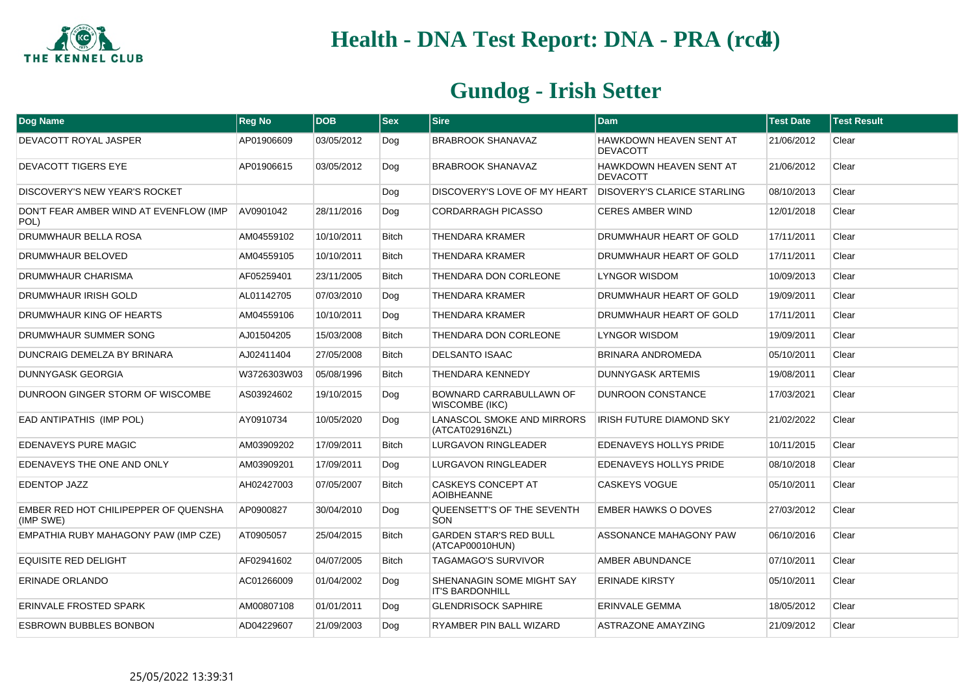

| Dog Name                                          | <b>Reg No</b> | <b>DOB</b> | $ s_{ex} $   | <b>Sire</b>                                         | <b>Dam</b>                                 | <b>Test Date</b> | <b>Test Result</b> |
|---------------------------------------------------|---------------|------------|--------------|-----------------------------------------------------|--------------------------------------------|------------------|--------------------|
| DEVACOTT ROYAL JASPER                             | AP01906609    | 03/05/2012 | Dog          | BRABROOK SHANAVAZ                                   | HAWKDOWN HEAVEN SENT AT<br><b>DEVACOTT</b> | 21/06/2012       | Clear              |
| DEVACOTT TIGERS EYE                               | AP01906615    | 03/05/2012 | Dog          | <b>BRABROOK SHANAVAZ</b>                            | HAWKDOWN HEAVEN SENT AT<br><b>DEVACOTT</b> | 21/06/2012       | Clear              |
| DISCOVERY'S NEW YEAR'S ROCKET                     |               |            | Dog          | DISCOVERY'S LOVE OF MY HEART                        | <b>DISOVERY'S CLARICE STARLING</b>         | 08/10/2013       | Clear              |
| DON'T FEAR AMBER WIND AT EVENFLOW (IMP<br>POL)    | AV0901042     | 28/11/2016 | Dog          | <b>CORDARRAGH PICASSO</b>                           | <b>CERES AMBER WIND</b>                    | 12/01/2018       | Clear              |
| DRUMWHAUR BELLA ROSA                              | AM04559102    | 10/10/2011 | <b>Bitch</b> | <b>THENDARA KRAMER</b>                              | DRUMWHAUR HEART OF GOLD                    | 17/11/2011       | Clear              |
| DRUMWHAUR BELOVED                                 | AM04559105    | 10/10/2011 | <b>Bitch</b> | <b>THENDARA KRAMER</b>                              | DRUMWHAUR HEART OF GOLD                    | 17/11/2011       | Clear              |
| DRUMWHAUR CHARISMA                                | AF05259401    | 23/11/2005 | <b>Bitch</b> | THENDARA DON CORLEONE                               | <b>LYNGOR WISDOM</b>                       | 10/09/2013       | Clear              |
| DRUMWHAUR IRISH GOLD                              | AL01142705    | 07/03/2010 | Dog          | <b>THENDARA KRAMER</b>                              | <b>DRUMWHAUR HEART OF GOLD</b>             | 19/09/2011       | Clear              |
| DRUMWHAUR KING OF HEARTS                          | AM04559106    | 10/10/2011 | Dog          | <b>THENDARA KRAMER</b>                              | DRUMWHAUR HEART OF GOLD                    | 17/11/2011       | Clear              |
| DRUMWHAUR SUMMER SONG                             | AJ01504205    | 15/03/2008 | <b>Bitch</b> | THENDARA DON CORLEONE                               | <b>LYNGOR WISDOM</b>                       | 19/09/2011       | Clear              |
| DUNCRAIG DEMELZA BY BRINARA                       | AJ02411404    | 27/05/2008 | <b>Bitch</b> | <b>DELSANTO ISAAC</b>                               | <b>BRINARA ANDROMEDA</b>                   | 05/10/2011       | Clear              |
| DUNNYGASK GEORGIA                                 | W3726303W03   | 05/08/1996 | <b>Bitch</b> | <b>THENDARA KENNEDY</b>                             | <b>DUNNYGASK ARTEMIS</b>                   | 19/08/2011       | Clear              |
| DUNROON GINGER STORM OF WISCOMBE                  | AS03924602    | 19/10/2015 | Dog          | BOWNARD CARRABULLAWN OF<br>WISCOMBE (IKC)           | <b>DUNROON CONSTANCE</b>                   | 17/03/2021       | Clear              |
| EAD ANTIPATHIS (IMP POL)                          | AY0910734     | 10/05/2020 | Dog          | LANASCOL SMOKE AND MIRRORS<br>(ATCAT02916NZL)       | <b>IRISH FUTURE DIAMOND SKY</b>            | 21/02/2022       | Clear              |
| <b>EDENAVEYS PURE MAGIC</b>                       | AM03909202    | 17/09/2011 | <b>Bitch</b> | <b>LURGAVON RINGLEADER</b>                          | EDENAVEYS HOLLYS PRIDE                     | 10/11/2015       | Clear              |
| EDENAVEYS THE ONE AND ONLY                        | AM03909201    | 17/09/2011 | Dog          | LURGAVON RINGLEADER                                 | EDENAVEYS HOLLYS PRIDE                     | 08/10/2018       | Clear              |
| EDENTOP JAZZ                                      | AH02427003    | 07/05/2007 | <b>Bitch</b> | <b>CASKEYS CONCEPT AT</b><br><b>AOIBHEANNE</b>      | <b>CASKEYS VOGUE</b>                       | 05/10/2011       | Clear              |
| EMBER RED HOT CHILIPEPPER OF QUENSHA<br>(IMP SWE) | AP0900827     | 30/04/2010 | Dog          | QUEENSETT'S OF THE SEVENTH<br>SON                   | <b>EMBER HAWKS O DOVES</b>                 | 27/03/2012       | Clear              |
| EMPATHIA RUBY MAHAGONY PAW (IMP CZE)              | AT0905057     | 25/04/2015 | <b>Bitch</b> | <b>GARDEN STAR'S RED BULL</b><br>(ATCAP00010HUN)    | ASSONANCE MAHAGONY PAW                     | 06/10/2016       | Clear              |
| <b>EQUISITE RED DELIGHT</b>                       | AF02941602    | 04/07/2005 | <b>Bitch</b> | <b>TAGAMAGO'S SURVIVOR</b>                          | AMBER ABUNDANCE                            | 07/10/2011       | Clear              |
| ERINADE ORLANDO                                   | AC01266009    | 01/04/2002 | Dog          | SHENANAGIN SOME MIGHT SAY<br><b>IT'S BARDONHILL</b> | <b>ERINADE KIRSTY</b>                      | 05/10/2011       | Clear              |
| <b>ERINVALE FROSTED SPARK</b>                     | AM00807108    | 01/01/2011 | Dog          | <b>GLENDRISOCK SAPHIRE</b>                          | <b>ERINVALE GEMMA</b>                      | 18/05/2012       | Clear              |
| <b>ESBROWN BUBBLES BONBON</b>                     | AD04229607    | 21/09/2003 | Dog          | RYAMBER PIN BALL WIZARD                             | <b>ASTRAZONE AMAYZING</b>                  | 21/09/2012       | Clear              |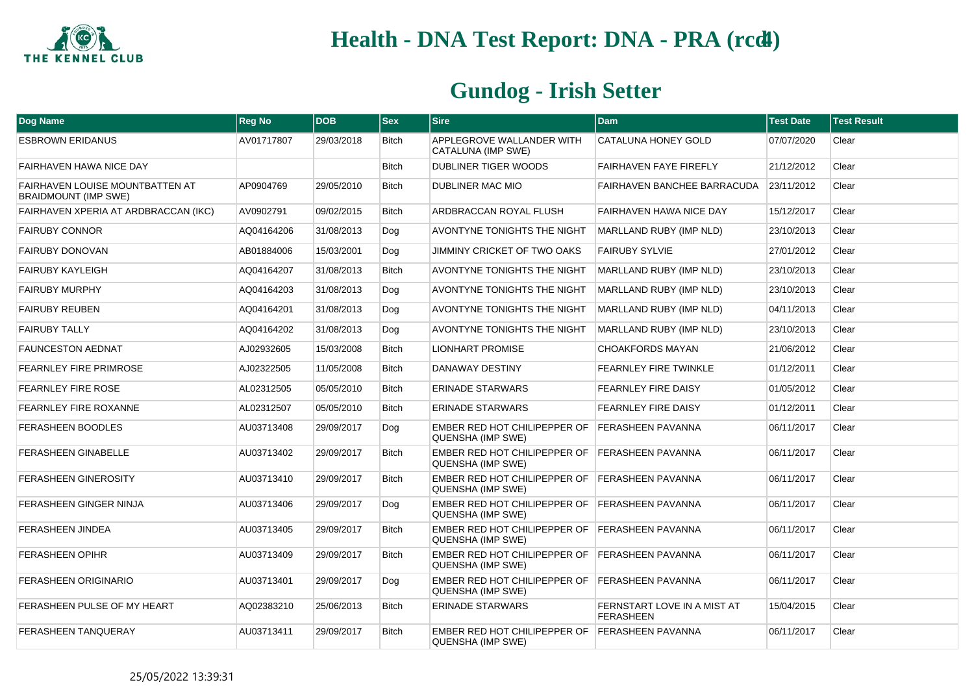

| Dog Name                                                       | <b>Reg No</b> | <b>DOB</b> | <b>Sex</b>   | <b>Sire</b>                                                                | <b>Dam</b>                                      | <b>Test Date</b> | <b>Test Result</b> |
|----------------------------------------------------------------|---------------|------------|--------------|----------------------------------------------------------------------------|-------------------------------------------------|------------------|--------------------|
| <b>ESBROWN ERIDANUS</b>                                        | AV01717807    | 29/03/2018 | <b>Bitch</b> | APPLEGROVE WALLANDER WITH<br>CATALUNA (IMP SWE)                            | CATALUNA HONEY GOLD                             | 07/07/2020       | Clear              |
| <b>FAIRHAVEN HAWA NICE DAY</b>                                 |               |            | <b>Bitch</b> | DUBLINER TIGER WOODS                                                       | <b>FAIRHAVEN FAYE FIREFLY</b>                   | 21/12/2012       | Clear              |
| FAIRHAVEN LOUISE MOUNTBATTEN AT<br><b>BRAIDMOUNT (IMP SWE)</b> | AP0904769     | 29/05/2010 | <b>Bitch</b> | DUBLINER MAC MIO                                                           | FAIRHAVEN BANCHEE BARRACUDA                     | 23/11/2012       | Clear              |
| FAIRHAVEN XPERIA AT ARDBRACCAN (IKC)                           | AV0902791     | 09/02/2015 | <b>Bitch</b> | ARDBRACCAN ROYAL FLUSH                                                     | <b>FAIRHAVEN HAWA NICE DAY</b>                  | 15/12/2017       | Clear              |
| <b>FAIRUBY CONNOR</b>                                          | AQ04164206    | 31/08/2013 | Dog          | AVONTYNE TONIGHTS THE NIGHT                                                | MARLLAND RUBY (IMP NLD)                         | 23/10/2013       | Clear              |
| FAIRUBY DONOVAN                                                | AB01884006    | 15/03/2001 | Dog          | JIMMINY CRICKET OF TWO OAKS                                                | <b>FAIRUBY SYLVIE</b>                           | 27/01/2012       | Clear              |
| <b>FAIRUBY KAYLEIGH</b>                                        | AQ04164207    | 31/08/2013 | <b>Bitch</b> | AVONTYNE TONIGHTS THE NIGHT                                                | MARLLAND RUBY (IMP NLD)                         | 23/10/2013       | Clear              |
| <b>FAIRUBY MURPHY</b>                                          | AQ04164203    | 31/08/2013 | Dog          | AVONTYNE TONIGHTS THE NIGHT                                                | MARLLAND RUBY (IMP NLD)                         | 23/10/2013       | Clear              |
| <b>FAIRUBY REUBEN</b>                                          | AQ04164201    | 31/08/2013 | Dog          | AVONTYNE TONIGHTS THE NIGHT                                                | MARLLAND RUBY (IMP NLD)                         | 04/11/2013       | Clear              |
| <b>FAIRUBY TALLY</b>                                           | AQ04164202    | 31/08/2013 | Dog          | AVONTYNE TONIGHTS THE NIGHT                                                | MARLLAND RUBY (IMP NLD)                         | 23/10/2013       | Clear              |
| <b>FAUNCESTON AEDNAT</b>                                       | AJ02932605    | 15/03/2008 | <b>Bitch</b> | <b>LIONHART PROMISE</b>                                                    | <b>CHOAKFORDS MAYAN</b>                         | 21/06/2012       | Clear              |
| <b>FEARNLEY FIRE PRIMROSE</b>                                  | AJ02322505    | 11/05/2008 | <b>Bitch</b> | DANAWAY DESTINY                                                            | <b>FEARNLEY FIRE TWINKLE</b>                    | 01/12/2011       | Clear              |
| <b>FEARNLEY FIRE ROSE</b>                                      | AL02312505    | 05/05/2010 | <b>Bitch</b> | ERINADE STARWARS                                                           | <b>FEARNLEY FIRE DAISY</b>                      | 01/05/2012       | Clear              |
| <b>FEARNLEY FIRE ROXANNE</b>                                   | AL02312507    | 05/05/2010 | <b>Bitch</b> | ERINADE STARWARS                                                           | <b>FEARNLEY FIRE DAISY</b>                      | 01/12/2011       | Clear              |
| <b>FERASHEEN BOODLES</b>                                       | AU03713408    | 29/09/2017 | Dog          | EMBER RED HOT CHILIPEPPER OF<br>QUENSHA (IMP SWE)                          | <b>FERASHEEN PAVANNA</b>                        | 06/11/2017       | Clear              |
| <b>FERASHEEN GINABELLE</b>                                     | AU03713402    | 29/09/2017 | <b>Bitch</b> | EMBER RED HOT CHILIPEPPER OF FERASHEEN PAVANNA<br><b>QUENSHA (IMP SWE)</b> |                                                 | 06/11/2017       | Clear              |
| <b>FERASHEEN GINEROSITY</b>                                    | AU03713410    | 29/09/2017 | <b>Bitch</b> | EMBER RED HOT CHILIPEPPER OF<br>QUENSHA (IMP SWE)                          | <b>FERASHEEN PAVANNA</b>                        | 06/11/2017       | Clear              |
| FERASHEEN GINGER NINJA                                         | AU03713406    | 29/09/2017 | Dog          | EMBER RED HOT CHILIPEPPER OF<br>QUENSHA (IMP SWE)                          | <b>FERASHEEN PAVANNA</b>                        | 06/11/2017       | Clear              |
| <b>FERASHEEN JINDEA</b>                                        | AU03713405    | 29/09/2017 | <b>Bitch</b> | EMBER RED HOT CHILIPEPPER OF<br>QUENSHA (IMP SWE)                          | <b>FERASHEEN PAVANNA</b>                        | 06/11/2017       | Clear              |
| <b>FERASHEEN OPIHR</b>                                         | AU03713409    | 29/09/2017 | <b>Bitch</b> | EMBER RED HOT CHILIPEPPER OF<br>QUENSHA (IMP SWE)                          | <b>FERASHEEN PAVANNA</b>                        | 06/11/2017       | Clear              |
| <b>FERASHEEN ORIGINARIO</b>                                    | AU03713401    | 29/09/2017 | Dog          | EMBER RED HOT CHILIPEPPER OF<br>QUENSHA (IMP SWE)                          | <b>FERASHEEN PAVANNA</b>                        | 06/11/2017       | Clear              |
| FERASHEEN PULSE OF MY HEART                                    | AQ02383210    | 25/06/2013 | <b>Bitch</b> | <b>ERINADE STARWARS</b>                                                    | FERNSTART LOVE IN A MIST AT<br><b>FERASHEEN</b> | 15/04/2015       | Clear              |
| <b>FERASHEEN TANQUERAY</b>                                     | AU03713411    | 29/09/2017 | <b>Bitch</b> | EMBER RED HOT CHILIPEPPER OF<br><b>QUENSHA (IMP SWE)</b>                   | <b>FERASHEEN PAVANNA</b>                        | 06/11/2017       | Clear              |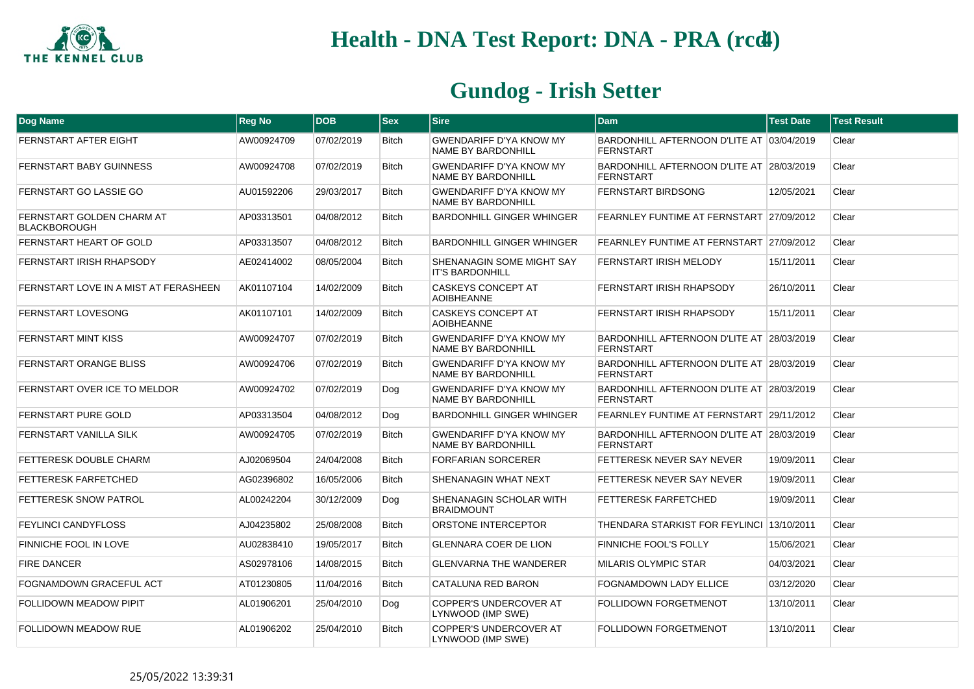

| Dog Name                                         | <b>Reg No</b> | <b>DOB</b> | <b>Sex</b>   | <b>Sire</b>                                                 | Dam                                                           | <b>Test Date</b> | <b>Test Result</b> |
|--------------------------------------------------|---------------|------------|--------------|-------------------------------------------------------------|---------------------------------------------------------------|------------------|--------------------|
| FERNSTART AFTER EIGHT                            | AW00924709    | 07/02/2019 | <b>Bitch</b> | <b>GWENDARIFF D'YA KNOW MY</b><br>NAME BY BARDONHILL        | BARDONHILL AFTERNOON D'LITE AT 03/04/2019<br><b>FERNSTART</b> |                  | Clear              |
| FERNSTART BABY GUINNESS                          | AW00924708    | 07/02/2019 | <b>Bitch</b> | <b>GWENDARIFF D'YA KNOW MY</b><br>NAME BY BARDONHILL        | BARDONHILL AFTERNOON D'LITE AT 28/03/2019<br><b>FERNSTART</b> |                  | Clear              |
| FERNSTART GO LASSIE GO                           | AU01592206    | 29/03/2017 | <b>Bitch</b> | <b>GWENDARIFF D'YA KNOW MY</b><br>NAME BY BARDONHILL        | <b>FERNSTART BIRDSONG</b>                                     | 12/05/2021       | Clear              |
| FERNSTART GOLDEN CHARM AT<br><b>BLACKBOROUGH</b> | AP03313501    | 04/08/2012 | <b>Bitch</b> | <b>BARDONHILL GINGER WHINGER</b>                            | FEARNLEY FUNTIME AT FERNSTART 27/09/2012                      |                  | Clear              |
| FERNSTART HEART OF GOLD                          | AP03313507    | 04/08/2012 | <b>Bitch</b> | <b>BARDONHILL GINGER WHINGER</b>                            | FEARNLEY FUNTIME AT FERNSTART 27/09/2012                      |                  | Clear              |
| FERNSTART IRISH RHAPSODY                         | AE02414002    | 08/05/2004 | <b>Bitch</b> | SHENANAGIN SOME MIGHT SAY<br><b>IT'S BARDONHILL</b>         | FERNSTART IRISH MELODY                                        | 15/11/2011       | Clear              |
| FERNSTART LOVE IN A MIST AT FERASHEEN            | AK01107104    | 14/02/2009 | <b>Bitch</b> | <b>CASKEYS CONCEPT AT</b><br><b>AOIBHEANNE</b>              | <b>FERNSTART IRISH RHAPSODY</b>                               | 26/10/2011       | Clear              |
| <b>FERNSTART LOVESONG</b>                        | AK01107101    | 14/02/2009 | <b>Bitch</b> | <b>CASKEYS CONCEPT AT</b><br><b>AOIBHEANNE</b>              | <b>FERNSTART IRISH RHAPSODY</b>                               | 15/11/2011       | Clear              |
| FERNSTART MINT KISS                              | AW00924707    | 07/02/2019 | <b>Bitch</b> | <b>GWENDARIFF D'YA KNOW MY</b><br>NAME BY BARDONHILL        | BARDONHILL AFTERNOON D'LITE AT 28/03/2019<br><b>FERNSTART</b> |                  | Clear              |
| FERNSTART ORANGE BLISS                           | AW00924706    | 07/02/2019 | Bitch        | <b>GWENDARIFF D'YA KNOW MY</b><br>NAME BY BARDONHILL        | BARDONHILL AFTERNOON D'LITE AT 28/03/2019<br><b>FERNSTART</b> |                  | Clear              |
| FERNSTART OVER ICE TO MELDOR                     | AW00924702    | 07/02/2019 | Dog          | <b>GWENDARIFF D'YA KNOW MY</b><br><b>NAME BY BARDONHILL</b> | BARDONHILL AFTERNOON D'LITE AT 28/03/2019<br><b>FERNSTART</b> |                  | Clear              |
| <b>FERNSTART PURE GOLD</b>                       | AP03313504    | 04/08/2012 | Dog          | <b>BARDONHILL GINGER WHINGER</b>                            | FEARNLEY FUNTIME AT FERNSTART 29/11/2012                      |                  | Clear              |
| FERNSTART VANILLA SILK                           | AW00924705    | 07/02/2019 | <b>Bitch</b> | <b>GWENDARIFF D'YA KNOW MY</b><br>NAME BY BARDONHILL        | BARDONHILL AFTERNOON D'LITE AT 28/03/2019<br>FERNSTART        |                  | Clear              |
| FETTERESK DOUBLE CHARM                           | AJ02069504    | 24/04/2008 | <b>Bitch</b> | <b>FORFARIAN SORCERER</b>                                   | FETTERESK NEVER SAY NEVER                                     | 19/09/2011       | Clear              |
| FETTERESK FARFETCHED                             | AG02396802    | 16/05/2006 | <b>Bitch</b> | SHENANAGIN WHAT NEXT                                        | FETTERESK NEVER SAY NEVER                                     | 19/09/2011       | Clear              |
| <b>FETTERESK SNOW PATROL</b>                     | AL00242204    | 30/12/2009 | Dog          | SHENANAGIN SCHOLAR WITH<br><b>BRAIDMOUNT</b>                | <b>FETTERESK FARFETCHED</b>                                   | 19/09/2011       | Clear              |
| FEYLINCI CANDYFLOSS                              | AJ04235802    | 25/08/2008 | <b>Bitch</b> | ORSTONE INTERCEPTOR                                         | THENDARA STARKIST FOR FEYLINCI 13/10/2011                     |                  | Clear              |
| <b>FINNICHE FOOL IN LOVE</b>                     | AU02838410    | 19/05/2017 | <b>Bitch</b> | <b>GLENNARA COER DE LION</b>                                | <b>FINNICHE FOOL'S FOLLY</b>                                  | 15/06/2021       | Clear              |
| <b>FIRE DANCER</b>                               | AS02978106    | 14/08/2015 | <b>Bitch</b> | <b>GLENVARNA THE WANDERER</b>                               | <b>MILARIS OLYMPIC STAR</b>                                   | 04/03/2021       | Clear              |
| FOGNAMDOWN GRACEFUL ACT                          | AT01230805    | 11/04/2016 | <b>Bitch</b> | CATALUNA RED BARON                                          | <b>FOGNAMDOWN LADY ELLICE</b>                                 | 03/12/2020       | Clear              |
| FOLLIDOWN MEADOW PIPIT                           | AL01906201    | 25/04/2010 | Dog          | COPPER'S UNDERCOVER AT<br>LYNWOOD (IMP SWE)                 | <b>FOLLIDOWN FORGETMENOT</b>                                  | 13/10/2011       | Clear              |
| <b>FOLLIDOWN MEADOW RUE</b>                      | AL01906202    | 25/04/2010 | <b>Bitch</b> | COPPER'S UNDERCOVER AT<br>LYNWOOD (IMP SWE)                 | FOLLIDOWN FORGETMENOT                                         | 13/10/2011       | Clear              |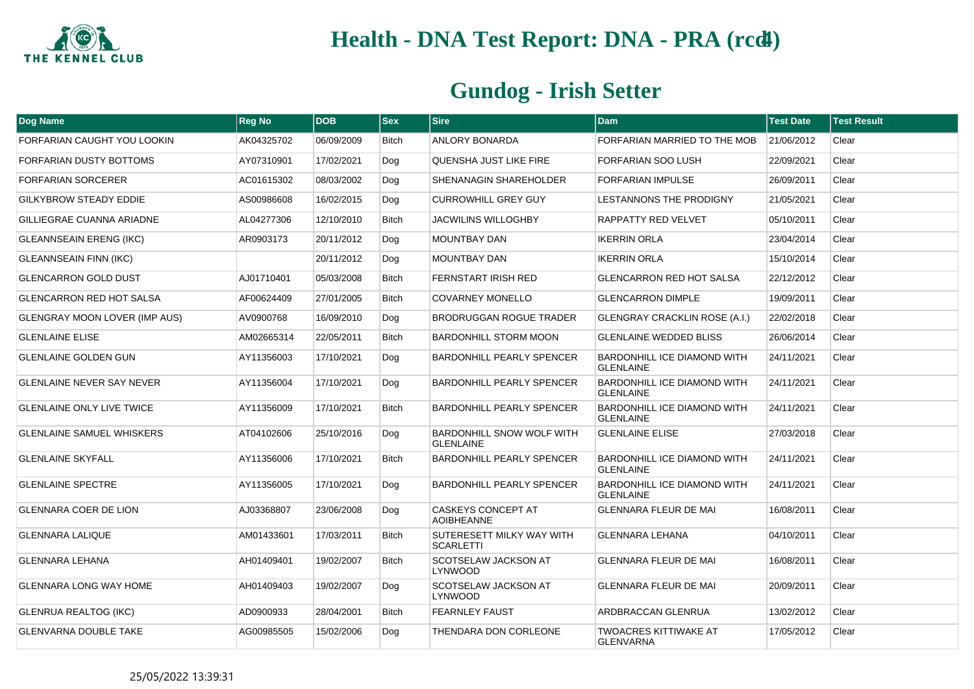

| <b>Dog Name</b>                      | <b>Reg No</b> | <b>DOB</b> | $ $ Sex      | <b>Sire</b>                                          | <b>Dam</b>                                             | <b>Test Date</b> | <b>Test Result</b> |
|--------------------------------------|---------------|------------|--------------|------------------------------------------------------|--------------------------------------------------------|------------------|--------------------|
| FORFARIAN CAUGHT YOU LOOKIN          | AK04325702    | 06/09/2009 | <b>Bitch</b> | <b>ANLORY BONARDA</b>                                | FORFARIAN MARRIED TO THE MOB                           | 21/06/2012       | Clear              |
| FORFARIAN DUSTY BOTTOMS              | AY07310901    | 17/02/2021 | Dog          | QUENSHA JUST LIKE FIRE                               | FORFARIAN SOO LUSH                                     | 22/09/2021       | Clear              |
| <b>FORFARIAN SORCERER</b>            | AC01615302    | 08/03/2002 | Dog          | SHENANAGIN SHAREHOLDER                               | <b>FORFARIAN IMPULSE</b>                               | 26/09/2011       | Clear              |
| <b>GILKYBROW STEADY EDDIE</b>        | AS00986608    | 16/02/2015 | Dog          | <b>CURROWHILL GREY GUY</b>                           | LESTANNONS THE PRODIGNY                                | 21/05/2021       | Clear              |
| GILLIEGRAE CUANNA ARIADNE            | AL04277306    | 12/10/2010 | <b>Bitch</b> | JACWILINS WILLOGHBY                                  | RAPPATTY RED VELVET                                    | 05/10/2011       | Clear              |
| <b>GLEANNSEAIN ERENG (IKC)</b>       | AR0903173     | 20/11/2012 | Dog          | <b>MOUNTBAY DAN</b>                                  | <b>IKERRIN ORLA</b>                                    | 23/04/2014       | Clear              |
| <b>GLEANNSEAIN FINN (IKC)</b>        |               | 20/11/2012 | Dog          | MOUNTBAY DAN                                         | <b>IKERRIN ORLA</b>                                    | 15/10/2014       | Clear              |
| <b>GLENCARRON GOLD DUST</b>          | AJ01710401    | 05/03/2008 | <b>Bitch</b> | <b>FERNSTART IRISH RED</b>                           | <b>GLENCARRON RED HOT SALSA</b>                        | 22/12/2012       | Clear              |
| <b>GLENCARRON RED HOT SALSA</b>      | AF00624409    | 27/01/2005 | <b>Bitch</b> | <b>COVARNEY MONELLO</b>                              | <b>GLENCARRON DIMPLE</b>                               | 19/09/2011       | Clear              |
| <b>GLENGRAY MOON LOVER (IMP AUS)</b> | AV0900768     | 16/09/2010 | Dog          | <b>BRODRUGGAN ROGUE TRADER</b>                       | <b>GLENGRAY CRACKLIN ROSE (A.I.)</b>                   | 22/02/2018       | Clear              |
| <b>GLENLAINE ELISE</b>               | AM02665314    | 22/05/2011 | <b>Bitch</b> | <b>BARDONHILL STORM MOON</b>                         | <b>GLENLAINE WEDDED BLISS</b>                          | 26/06/2014       | Clear              |
| <b>GLENLAINE GOLDEN GUN</b>          | AY11356003    | 17/10/2021 | Dog          | <b>BARDONHILL PEARLY SPENCER</b>                     | BARDONHILL ICE DIAMOND WITH<br><b>GLENLAINE</b>        | 24/11/2021       | Clear              |
| <b>GLENLAINE NEVER SAY NEVER</b>     | AY11356004    | 17/10/2021 | Dog          | <b>BARDONHILL PEARLY SPENCER</b>                     | <b>BARDONHILL ICE DIAMOND WITH</b><br><b>GLENLAINE</b> | 24/11/2021       | Clear              |
| <b>GLENLAINE ONLY LIVE TWICE</b>     | AY11356009    | 17/10/2021 | <b>Bitch</b> | <b>BARDONHILL PEARLY SPENCER</b>                     | <b>BARDONHILL ICE DIAMOND WITH</b><br><b>GLENLAINE</b> | 24/11/2021       | Clear              |
| <b>GLENLAINE SAMUEL WHISKERS</b>     | AT04102606    | 25/10/2016 | Dog          | <b>BARDONHILL SNOW WOLF WITH</b><br><b>GLENLAINE</b> | <b>GLENLAINE ELISE</b>                                 | 27/03/2018       | Clear              |
| <b>GLENLAINE SKYFALL</b>             | AY11356006    | 17/10/2021 | <b>Bitch</b> | <b>BARDONHILL PEARLY SPENCER</b>                     | <b>BARDONHILL ICE DIAMOND WITH</b><br><b>GLENLAINE</b> | 24/11/2021       | Clear              |
| <b>GLENLAINE SPECTRE</b>             | AY11356005    | 17/10/2021 | Dog          | <b>BARDONHILL PEARLY SPENCER</b>                     | BARDONHILL ICE DIAMOND WITH<br><b>GLENLAINE</b>        | 24/11/2021       | Clear              |
| <b>GLENNARA COER DE LION</b>         | AJ03368807    | 23/06/2008 | Dog          | <b>CASKEYS CONCEPT AT</b><br><b>AOIBHEANNE</b>       | <b>GLENNARA FLEUR DE MAI</b>                           | 16/08/2011       | Clear              |
| <b>GLENNARA LALIQUE</b>              | AM01433601    | 17/03/2011 | <b>Bitch</b> | SUTERESETT MILKY WAY WITH<br><b>SCARLETTI</b>        | <b>GLENNARA LEHANA</b>                                 | 04/10/2011       | Clear              |
| GLENNARA LEHANA                      | AH01409401    | 19/02/2007 | <b>Bitch</b> | SCOTSELAW JACKSON AT<br><b>LYNWOOD</b>               | GLENNARA FLEUR DE MAI                                  | 16/08/2011       | Clear              |
| <b>GLENNARA LONG WAY HOME</b>        | AH01409403    | 19/02/2007 | Dog          | SCOTSELAW JACKSON AT<br><b>LYNWOOD</b>               | GLENNARA FLEUR DE MAI                                  | 20/09/2011       | Clear              |
| <b>GLENRUA REALTOG (IKC)</b>         | AD0900933     | 28/04/2001 | <b>Bitch</b> | <b>FEARNLEY FAUST</b>                                | ARDBRACCAN GLENRUA                                     | 13/02/2012       | Clear              |
| <b>GLENVARNA DOUBLE TAKE</b>         | AG00985505    | 15/02/2006 | Dog          | THENDARA DON CORLEONE                                | <b>TWOACRES KITTIWAKE AT</b><br><b>GLENVARNA</b>       | 17/05/2012       | Clear              |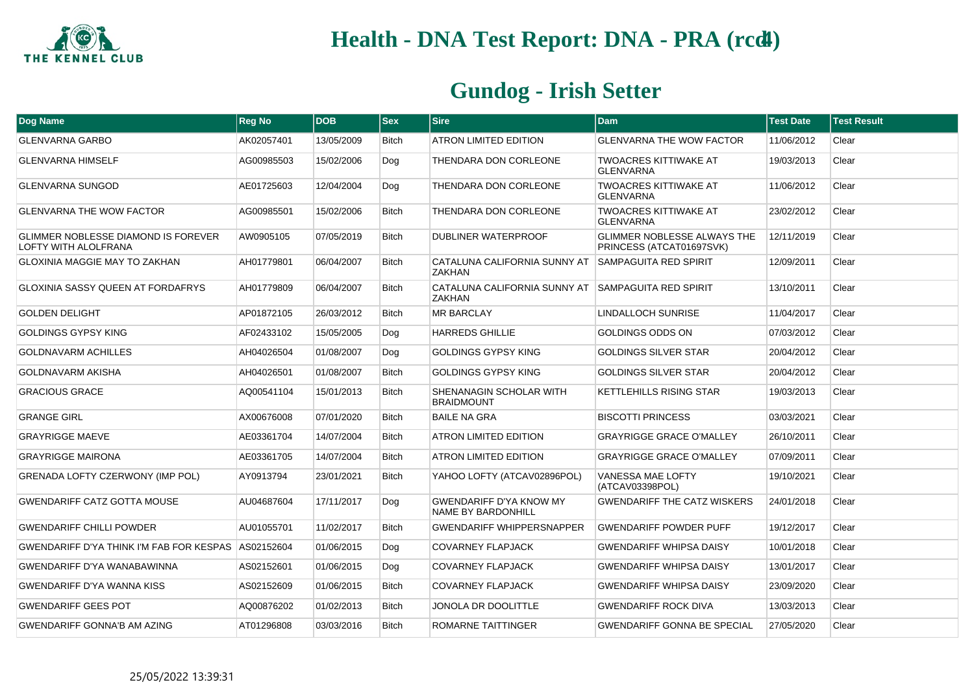

| Dog Name                                                                  | <b>Reg No</b> | <b>DOB</b> | $ $ Sex      | <b>Sire</b>                                                         | <b>Dam</b>                                                     | <b>Test Date</b> | <b>Test Result</b> |
|---------------------------------------------------------------------------|---------------|------------|--------------|---------------------------------------------------------------------|----------------------------------------------------------------|------------------|--------------------|
| <b>GLENVARNA GARBO</b>                                                    | AK02057401    | 13/05/2009 | Bitch        | ATRON LIMITED EDITION                                               | <b>GLENVARNA THE WOW FACTOR</b>                                | 11/06/2012       | Clear              |
| <b>GLENVARNA HIMSELF</b>                                                  | AG00985503    | 15/02/2006 | Dog          | THENDARA DON CORLEONE                                               | <b>TWOACRES KITTIWAKE AT</b><br><b>GLENVARNA</b>               | 19/03/2013       | Clear              |
| <b>GLENVARNA SUNGOD</b>                                                   | AE01725603    | 12/04/2004 | Dog          | THENDARA DON CORLEONE                                               | <b>TWOACRES KITTIWAKE AT</b><br><b>GLENVARNA</b>               | 11/06/2012       | Clear              |
| <b>GLENVARNA THE WOW FACTOR</b>                                           | AG00985501    | 15/02/2006 | <b>Bitch</b> | THENDARA DON CORLEONE                                               | <b>TWOACRES KITTIWAKE AT</b><br><b>GLENVARNA</b>               | 23/02/2012       | Clear              |
| <b>GLIMMER NOBLESSE DIAMOND IS FOREVER</b><br><b>LOFTY WITH ALOLFRANA</b> | AW0905105     | 07/05/2019 | <b>Bitch</b> | DUBLINER WATERPROOF                                                 | <b>GLIMMER NOBLESSE ALWAYS THE</b><br>PRINCESS (ATCAT01697SVK) | 12/11/2019       | Clear              |
| <b>GLOXINIA MAGGIE MAY TO ZAKHAN</b>                                      | AH01779801    | 06/04/2007 | <b>Bitch</b> | CATALUNA CALIFORNIA SUNNY AT<br><b>7AKHAN</b>                       | <b>SAMPAGUITA RED SPIRIT</b>                                   | 12/09/2011       | Clear              |
| <b>GLOXINIA SASSY QUEEN AT FORDAFRYS</b>                                  | AH01779809    | 06/04/2007 | <b>Bitch</b> | CATALUNA CALIFORNIA SUNNY AT SAMPAGUITA RED SPIRIT<br><b>ZAKHAN</b> |                                                                | 13/10/2011       | Clear              |
| <b>GOLDEN DELIGHT</b>                                                     | AP01872105    | 26/03/2012 | Bitch        | <b>MR BARCLAY</b>                                                   | <b>LINDALLOCH SUNRISE</b>                                      | 11/04/2017       | Clear              |
| <b>GOLDINGS GYPSY KING</b>                                                | AF02433102    | 15/05/2005 | Dog          | <b>HARREDS GHILLIE</b>                                              | GOLDINGS ODDS ON                                               | 07/03/2012       | Clear              |
| <b>GOLDNAVARM ACHILLES</b>                                                | AH04026504    | 01/08/2007 | Dog          | GOLDINGS GYPSY KING                                                 | <b>GOLDINGS SILVER STAR</b>                                    | 20/04/2012       | Clear              |
| GOLDNAVARM AKISHA                                                         | AH04026501    | 01/08/2007 | <b>Bitch</b> | GOLDINGS GYPSY KING                                                 | <b>GOLDINGS SILVER STAR</b>                                    | 20/04/2012       | Clear              |
| <b>GRACIOUS GRACE</b>                                                     | AQ00541104    | 15/01/2013 | <b>Bitch</b> | SHENANAGIN SCHOLAR WITH<br><b>BRAIDMOUNT</b>                        | <b>KETTLEHILLS RISING STAR</b>                                 | 19/03/2013       | Clear              |
| <b>GRANGE GIRL</b>                                                        | AX00676008    | 07/01/2020 | <b>Bitch</b> | <b>BAILE NA GRA</b>                                                 | <b>BISCOTTI PRINCESS</b>                                       | 03/03/2021       | Clear              |
| <b>GRAYRIGGE MAEVE</b>                                                    | AE03361704    | 14/07/2004 | <b>Bitch</b> | <b>ATRON LIMITED EDITION</b>                                        | <b>GRAYRIGGE GRACE O'MALLEY</b>                                | 26/10/2011       | Clear              |
| <b>GRAYRIGGE MAIRONA</b>                                                  | AE03361705    | 14/07/2004 | <b>Bitch</b> | <b>ATRON LIMITED EDITION</b>                                        | <b>GRAYRIGGE GRACE O'MALLEY</b>                                | 07/09/2011       | Clear              |
| <b>GRENADA LOFTY CZERWONY (IMP POL)</b>                                   | AY0913794     | 23/01/2021 | Bitch        | YAHOO LOFTY (ATCAV02896POL)                                         | <b>VANESSA MAE LOFTY</b><br>(ATCAV03398POL)                    | 19/10/2021       | Clear              |
| <b>GWENDARIFF CATZ GOTTA MOUSE</b>                                        | AU04687604    | 17/11/2017 | Dog          | <b>GWENDARIFF D'YA KNOW MY</b><br><b>NAME BY BARDONHILL</b>         | <b>GWENDARIFF THE CATZ WISKERS</b>                             | 24/01/2018       | Clear              |
| <b>GWENDARIFF CHILLI POWDER</b>                                           | AU01055701    | 11/02/2017 | Bitch        | <b>GWENDARIFF WHIPPERSNAPPER</b>                                    | <b>GWENDARIFF POWDER PUFF</b>                                  | 19/12/2017       | Clear              |
| GWENDARIFF D'YA THINK I'M FAB FOR KESPAS                                  | AS02152604    | 01/06/2015 | Dog          | <b>COVARNEY FLAPJACK</b>                                            | <b>GWENDARIFF WHIPSA DAISY</b>                                 | 10/01/2018       | Clear              |
| GWENDARIFF D'YA WANABAWINNA                                               | AS02152601    | 01/06/2015 | Dog          | <b>COVARNEY FLAPJACK</b>                                            | <b>GWENDARIFF WHIPSA DAISY</b>                                 | 13/01/2017       | Clear              |
| <b>GWENDARIFF D'YA WANNA KISS</b>                                         | AS02152609    | 01/06/2015 | Bitch        | <b>COVARNEY FLAPJACK</b>                                            | <b>GWENDARIFF WHIPSA DAISY</b>                                 | 23/09/2020       | Clear              |
| <b>GWENDARIFF GEES POT</b>                                                | AQ00876202    | 01/02/2013 | <b>Bitch</b> | <b>JONOLA DR DOOLITTLE</b>                                          | <b>GWENDARIFF ROCK DIVA</b>                                    | 13/03/2013       | Clear              |
| <b>GWENDARIFF GONNA'B AM AZING</b>                                        | AT01296808    | 03/03/2016 | <b>Bitch</b> | ROMARNE TAITTINGER                                                  | <b>GWENDARIFF GONNA BE SPECIAL</b>                             | 27/05/2020       | Clear              |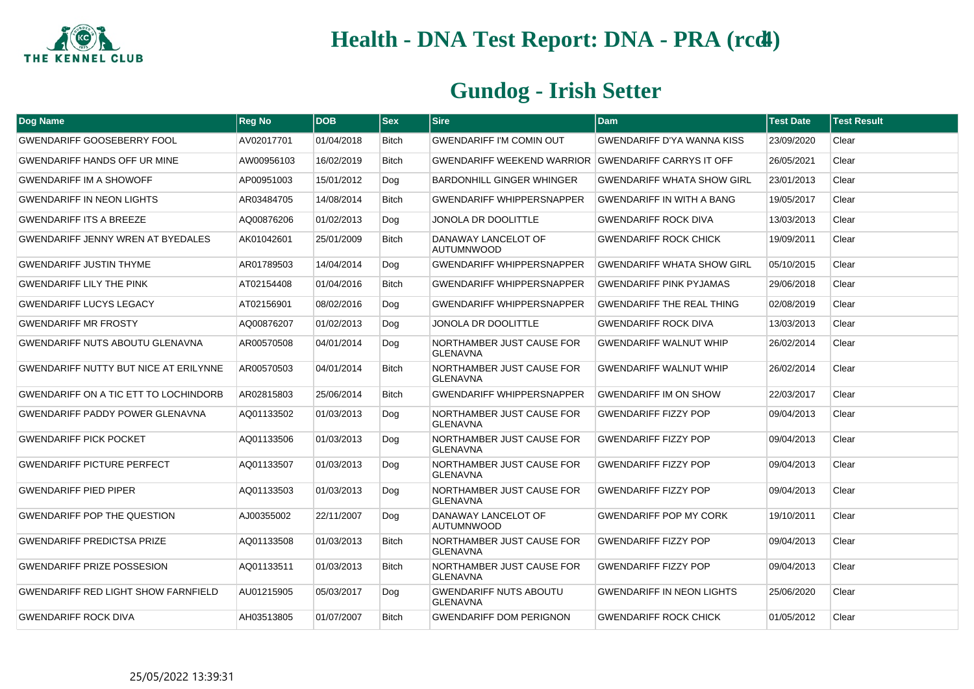

| <b>Dog Name</b>                              | <b>Reg No</b> | <b>DOB</b> | $ $ Sex      | <b>Sire</b>                                         | <b>Dam</b>                        | <b>Test Date</b> | <b>Test Result</b> |
|----------------------------------------------|---------------|------------|--------------|-----------------------------------------------------|-----------------------------------|------------------|--------------------|
| <b>GWENDARIFF GOOSEBERRY FOOL</b>            | AV02017701    | 01/04/2018 | <b>Bitch</b> | <b>GWENDARIFF I'M COMIN OUT</b>                     | <b>GWENDARIFF D'YA WANNA KISS</b> | 23/09/2020       | Clear              |
| GWENDARIFF HANDS OFF UR MINE                 | AW00956103    | 16/02/2019 | Bitch        | GWENDARIFF WEEKEND WARRIOR GWENDARIFF CARRYS IT OFF |                                   | 26/05/2021       | Clear              |
| <b>GWENDARIFF IM A SHOWOFF</b>               | AP00951003    | 15/01/2012 | Dog          | <b>BARDONHILL GINGER WHINGER</b>                    | <b>GWENDARIFF WHATA SHOW GIRL</b> | 23/01/2013       | Clear              |
| <b>GWENDARIFF IN NEON LIGHTS</b>             | AR03484705    | 14/08/2014 | <b>Bitch</b> | <b>GWENDARIFF WHIPPERSNAPPER</b>                    | <b>GWENDARIFF IN WITH A BANG</b>  | 19/05/2017       | Clear              |
| <b>GWENDARIFF ITS A BREEZE</b>               | AQ00876206    | 01/02/2013 | Dog          | JONOLA DR DOOLITTLE                                 | <b>GWENDARIFF ROCK DIVA</b>       | 13/03/2013       | Clear              |
| GWENDARIFF JENNY WREN AT BYEDALES            | AK01042601    | 25/01/2009 | <b>Bitch</b> | DANAWAY LANCELOT OF<br><b>AUTUMNWOOD</b>            | <b>GWENDARIFF ROCK CHICK</b>      | 19/09/2011       | Clear              |
| <b>GWENDARIFF JUSTIN THYME</b>               | AR01789503    | 14/04/2014 | Dog          | <b>GWENDARIFF WHIPPERSNAPPER</b>                    | <b>GWENDARIFF WHATA SHOW GIRL</b> | 05/10/2015       | Clear              |
| <b>GWENDARIFF LILY THE PINK</b>              | AT02154408    | 01/04/2016 | <b>Bitch</b> | <b>GWENDARIFF WHIPPERSNAPPER</b>                    | <b>GWENDARIFF PINK PYJAMAS</b>    | 29/06/2018       | Clear              |
| <b>GWENDARIFF LUCYS LEGACY</b>               | AT02156901    | 08/02/2016 | Dog          | <b>GWENDARIFF WHIPPERSNAPPER</b>                    | <b>GWENDARIFF THE REAL THING</b>  | 02/08/2019       | Clear              |
| <b>GWENDARIFF MR FROSTY</b>                  | AQ00876207    | 01/02/2013 | Dog          | <b>JONOLA DR DOOLITTLE</b>                          | <b>GWENDARIFF ROCK DIVA</b>       | 13/03/2013       | Clear              |
| GWENDARIFF NUTS ABOUTU GLENAVNA              | AR00570508    | 04/01/2014 | Dog          | NORTHAMBER JUST CAUSE FOR<br><b>GLENAVNA</b>        | <b>GWENDARIFF WALNUT WHIP</b>     | 26/02/2014       | Clear              |
| <b>GWENDARIFF NUTTY BUT NICE AT ERILYNNE</b> | AR00570503    | 04/01/2014 | <b>Bitch</b> | NORTHAMBER JUST CAUSE FOR<br><b>GLENAVNA</b>        | <b>GWENDARIFF WALNUT WHIP</b>     | 26/02/2014       | Clear              |
| <b>GWENDARIFF ON A TIC ETT TO LOCHINDORB</b> | AR02815803    | 25/06/2014 | <b>Bitch</b> | <b>GWENDARIFF WHIPPERSNAPPER</b>                    | <b>GWENDARIFF IM ON SHOW</b>      | 22/03/2017       | Clear              |
| GWENDARIFF PADDY POWER GLENAVNA              | AQ01133502    | 01/03/2013 | Dog          | NORTHAMBER JUST CAUSE FOR<br><b>GLENAVNA</b>        | <b>GWENDARIFF FIZZY POP</b>       | 09/04/2013       | Clear              |
| <b>GWENDARIFF PICK POCKET</b>                | AQ01133506    | 01/03/2013 | Dog          | NORTHAMBER JUST CAUSE FOR<br><b>GLENAVNA</b>        | <b>GWENDARIFF FIZZY POP</b>       | 09/04/2013       | Clear              |
| <b>GWENDARIFF PICTURE PERFECT</b>            | AQ01133507    | 01/03/2013 | Dog          | NORTHAMBER JUST CAUSE FOR<br><b>GLENAVNA</b>        | <b>GWENDARIFF FIZZY POP</b>       | 09/04/2013       | Clear              |
| <b>GWENDARIFF PIED PIPER</b>                 | AQ01133503    | 01/03/2013 | Dog          | NORTHAMBER JUST CAUSE FOR<br><b>GLENAVNA</b>        | <b>GWENDARIFF FIZZY POP</b>       | 09/04/2013       | Clear              |
| <b>GWENDARIFF POP THE QUESTION</b>           | AJ00355002    | 22/11/2007 | Dog          | DANAWAY LANCELOT OF<br><b>AUTUMNWOOD</b>            | <b>GWENDARIFF POP MY CORK</b>     | 19/10/2011       | Clear              |
| <b>GWENDARIFF PREDICTSA PRIZE</b>            | AQ01133508    | 01/03/2013 | <b>Bitch</b> | NORTHAMBER JUST CAUSE FOR<br><b>GLENAVNA</b>        | <b>GWENDARIFF FIZZY POP</b>       | 09/04/2013       | Clear              |
| <b>GWENDARIFF PRIZE POSSESION</b>            | AQ01133511    | 01/03/2013 | <b>Bitch</b> | NORTHAMBER JUST CAUSE FOR<br><b>GLENAVNA</b>        | <b>GWENDARIFF FIZZY POP</b>       | 09/04/2013       | Clear              |
| <b>GWENDARIFF RED LIGHT SHOW FARNFIELD</b>   | AU01215905    | 05/03/2017 | Dog          | <b>GWENDARIFF NUTS ABOUTU</b><br><b>GLENAVNA</b>    | <b>GWENDARIFF IN NEON LIGHTS</b>  | 25/06/2020       | Clear              |
| <b>GWENDARIFF ROCK DIVA</b>                  | AH03513805    | 01/07/2007 | <b>Bitch</b> | <b>GWENDARIFF DOM PERIGNON</b>                      | <b>GWENDARIFF ROCK CHICK</b>      | 01/05/2012       | Clear              |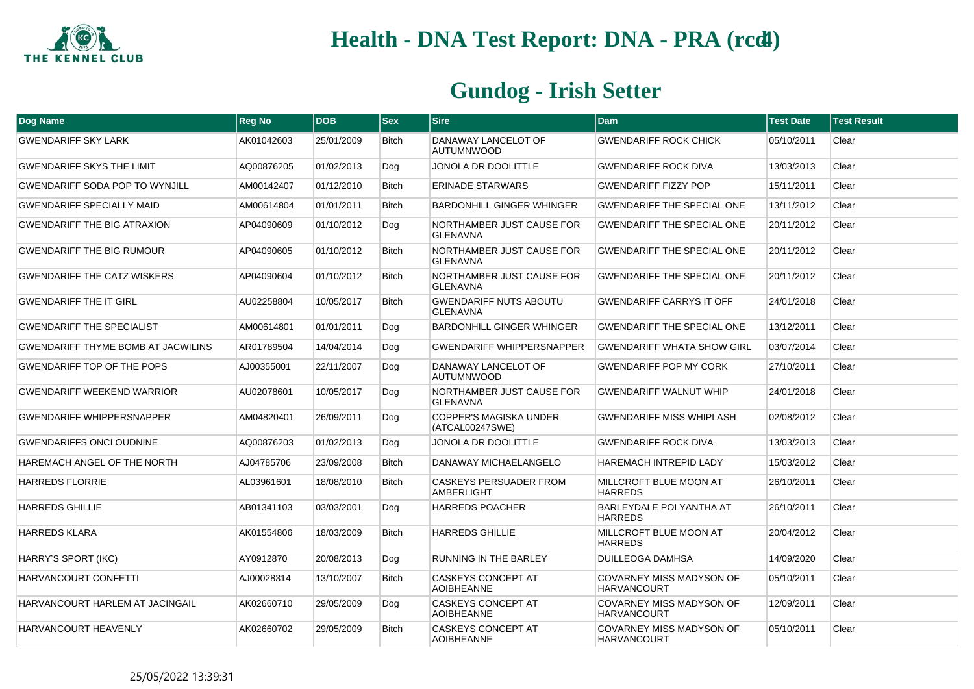

| Dog Name                                  | <b>Reg No</b> | <b>DOB</b> | <b>Sex</b>   | <b>Sire</b>                                      | <b>Dam</b>                                            | <b>Test Date</b> | <b>Test Result</b> |
|-------------------------------------------|---------------|------------|--------------|--------------------------------------------------|-------------------------------------------------------|------------------|--------------------|
| <b>GWENDARIFF SKY LARK</b>                | AK01042603    | 25/01/2009 | <b>Bitch</b> | DANAWAY LANCELOT OF<br><b>AUTUMNWOOD</b>         | <b>GWENDARIFF ROCK CHICK</b>                          | 05/10/2011       | Clear              |
| <b>GWENDARIFF SKYS THE LIMIT</b>          | AQ00876205    | 01/02/2013 | Dog          | <b>JONOLA DR DOOLITTLE</b>                       | <b>GWENDARIFF ROCK DIVA</b>                           | 13/03/2013       | Clear              |
| <b>GWENDARIFF SODA POP TO WYNJILL</b>     | AM00142407    | 01/12/2010 | Bitch        | <b>ERINADE STARWARS</b>                          | <b>GWENDARIFF FIZZY POP</b>                           | 15/11/2011       | Clear              |
| <b>GWENDARIFF SPECIALLY MAID</b>          | AM00614804    | 01/01/2011 | <b>Bitch</b> | <b>BARDONHILL GINGER WHINGER</b>                 | <b>GWENDARIFF THE SPECIAL ONE</b>                     | 13/11/2012       | Clear              |
| <b>GWENDARIFF THE BIG ATRAXION</b>        | AP04090609    | 01/10/2012 | Dog          | NORTHAMBER JUST CAUSE FOR<br><b>GLENAVNA</b>     | <b>GWENDARIFF THE SPECIAL ONE</b>                     | 20/11/2012       | Clear              |
| <b>GWENDARIFF THE BIG RUMOUR</b>          | AP04090605    | 01/10/2012 | <b>Bitch</b> | NORTHAMBER JUST CAUSE FOR<br><b>GLENAVNA</b>     | <b>GWENDARIFF THE SPECIAL ONE</b>                     | 20/11/2012       | Clear              |
| <b>GWENDARIFF THE CATZ WISKERS</b>        | AP04090604    | 01/10/2012 | <b>Bitch</b> | NORTHAMBER JUST CAUSE FOR<br><b>GLENAVNA</b>     | <b>GWENDARIFF THE SPECIAL ONE</b>                     | 20/11/2012       | Clear              |
| <b>GWENDARIFF THE IT GIRL</b>             | AU02258804    | 10/05/2017 | <b>Bitch</b> | <b>GWENDARIFF NUTS ABOUTU</b><br><b>GLENAVNA</b> | <b>GWENDARIFF CARRYS IT OFF</b>                       | 24/01/2018       | Clear              |
| <b>GWENDARIFF THE SPECIALIST</b>          | AM00614801    | 01/01/2011 | Dog          | <b>BARDONHILL GINGER WHINGER</b>                 | <b>GWENDARIFF THE SPECIAL ONE</b>                     | 13/12/2011       | Clear              |
| <b>GWENDARIFF THYME BOMB AT JACWILINS</b> | AR01789504    | 14/04/2014 | Dog          | <b>GWENDARIFF WHIPPERSNAPPER</b>                 | <b>GWENDARIFF WHATA SHOW GIRL</b>                     | 03/07/2014       | Clear              |
| <b>GWENDARIFF TOP OF THE POPS</b>         | AJ00355001    | 22/11/2007 | Dog          | DANAWAY LANCELOT OF<br><b>AUTUMNWOOD</b>         | <b>GWENDARIFF POP MY CORK</b>                         | 27/10/2011       | Clear              |
| <b>GWENDARIFF WEEKEND WARRIOR</b>         | AU02078601    | 10/05/2017 | Dog          | NORTHAMBER JUST CAUSE FOR<br><b>GLENAVNA</b>     | <b>GWENDARIFF WALNUT WHIP</b>                         | 24/01/2018       | Clear              |
| <b>GWENDARIFF WHIPPERSNAPPER</b>          | AM04820401    | 26/09/2011 | Dog          | <b>COPPER'S MAGISKA UNDER</b><br>(ATCAL00247SWE) | <b>GWENDARIFF MISS WHIPLASH</b>                       | 02/08/2012       | Clear              |
| <b>GWENDARIFFS ONCLOUDNINE</b>            | AQ00876203    | 01/02/2013 | Dog          | <b>JONOLA DR DOOLITTLE</b>                       | <b>GWENDARIFF ROCK DIVA</b>                           | 13/03/2013       | Clear              |
| HAREMACH ANGEL OF THE NORTH               | AJ04785706    | 23/09/2008 | <b>Bitch</b> | DANAWAY MICHAELANGELO                            | <b>HAREMACH INTREPID LADY</b>                         | 15/03/2012       | Clear              |
| <b>HARREDS FLORRIE</b>                    | AL03961601    | 18/08/2010 | <b>Bitch</b> | <b>CASKEYS PERSUADER FROM</b><br>AMBERLIGHT      | MILLCROFT BLUE MOON AT<br><b>HARREDS</b>              | 26/10/2011       | Clear              |
| <b>HARREDS GHILLIE</b>                    | AB01341103    | 03/03/2001 | Dog          | <b>HARREDS POACHER</b>                           | <b>BARLEYDALE POLYANTHA AT</b><br><b>HARREDS</b>      | 26/10/2011       | Clear              |
| <b>HARREDS KLARA</b>                      | AK01554806    | 18/03/2009 | <b>Bitch</b> | <b>HARREDS GHILLIE</b>                           | MILLCROFT BLUE MOON AT<br><b>HARREDS</b>              | 20/04/2012       | Clear              |
| HARRY'S SPORT (IKC)                       | AY0912870     | 20/08/2013 | Dog          | RUNNING IN THE BARLEY                            | <b>DUILLEOGA DAMHSA</b>                               | 14/09/2020       | Clear              |
| HARVANCOURT CONFETTI                      | AJ00028314    | 13/10/2007 | <b>Bitch</b> | <b>CASKEYS CONCEPT AT</b><br><b>AOIBHEANNE</b>   | <b>COVARNEY MISS MADYSON OF</b><br><b>HARVANCOURT</b> | 05/10/2011       | Clear              |
| HARVANCOURT HARLEM AT JACINGAIL           | AK02660710    | 29/05/2009 | Dog          | <b>CASKEYS CONCEPT AT</b><br><b>AOIBHEANNE</b>   | <b>COVARNEY MISS MADYSON OF</b><br><b>HARVANCOURT</b> | 12/09/2011       | Clear              |
| HARVANCOURT HEAVENLY                      | AK02660702    | 29/05/2009 | <b>Bitch</b> | CASKEYS CONCEPT AT<br><b>AOIBHEANNE</b>          | COVARNEY MISS MADYSON OF<br><b>HARVANCOURT</b>        | 05/10/2011       | Clear              |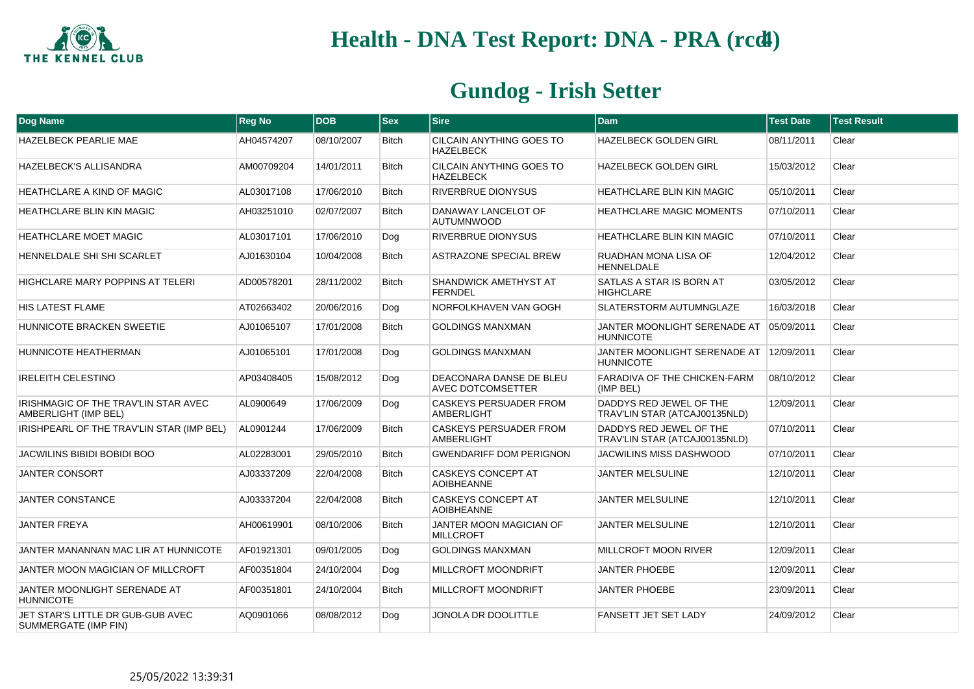

| <b>Dog Name</b>                                              | <b>Reg No</b> | <b>DOB</b> | <b>Sex</b>   | <b>Sire</b>                                        | <b>Dam</b>                                               | <b>Test Date</b> | <b>Test Result</b> |
|--------------------------------------------------------------|---------------|------------|--------------|----------------------------------------------------|----------------------------------------------------------|------------------|--------------------|
| <b>HAZELBECK PEARLIE MAE</b>                                 | AH04574207    | 08/10/2007 | <b>Bitch</b> | CILCAIN ANYTHING GOES TO<br><b>HAZELBECK</b>       | <b>HAZELBECK GOLDEN GIRL</b>                             | 08/11/2011       | Clear              |
| <b>HAZELBECK'S ALLISANDRA</b>                                | AM00709204    | 14/01/2011 | <b>Bitch</b> | CILCAIN ANYTHING GOES TO<br><b>HAZELBECK</b>       | <b>HAZELBECK GOLDEN GIRL</b>                             | 15/03/2012       | Clear              |
| <b>HEATHCLARE A KIND OF MAGIC</b>                            | AL03017108    | 17/06/2010 | <b>Bitch</b> | <b>RIVERBRUE DIONYSUS</b>                          | <b>HEATHCLARE BLIN KIN MAGIC</b>                         | 05/10/2011       | Clear              |
| <b>HEATHCLARE BLIN KIN MAGIC</b>                             | AH03251010    | 02/07/2007 | <b>Bitch</b> | DANAWAY LANCELOT OF<br><b>AUTUMNWOOD</b>           | <b>HEATHCLARE MAGIC MOMENTS</b>                          | 07/10/2011       | Clear              |
| <b>HEATHCLARE MOET MAGIC</b>                                 | AL03017101    | 17/06/2010 | Dog          | <b>RIVERBRUE DIONYSUS</b>                          | <b>HEATHCLARE BLIN KIN MAGIC</b>                         | 07/10/2011       | Clear              |
| HENNELDALE SHI SHI SCARLET                                   | AJ01630104    | 10/04/2008 | <b>Bitch</b> | <b>ASTRAZONE SPECIAL BREW</b>                      | RUADHAN MONA LISA OF<br><b>HENNELDALE</b>                | 12/04/2012       | Clear              |
| <b>HIGHCLARE MARY POPPINS AT TELERI</b>                      | AD00578201    | 28/11/2002 | <b>Bitch</b> | SHANDWICK AMETHYST AT<br><b>FERNDEL</b>            | SATLAS A STAR IS BORN AT<br><b>HIGHCLARE</b>             | 03/05/2012       | Clear              |
| <b>HIS LATEST FLAME</b>                                      | AT02663402    | 20/06/2016 | Dog          | NORFOLKHAVEN VAN GOGH                              | SLATERSTORM AUTUMNGLAZE                                  | 16/03/2018       | Clear              |
| <b>HUNNICOTE BRACKEN SWEETIE</b>                             | AJ01065107    | 17/01/2008 | <b>Bitch</b> | <b>GOLDINGS MANXMAN</b>                            | JANTER MOONLIGHT SERENADE AT<br><b>HUNNICOTE</b>         | 05/09/2011       | Clear              |
| HUNNICOTE HEATHERMAN                                         | AJ01065101    | 17/01/2008 | Dog          | <b>GOLDINGS MANXMAN</b>                            | JANTER MOONLIGHT SERENADE AT<br><b>HUNNICOTE</b>         | 12/09/2011       | Clear              |
| <b>IRELEITH CELESTINO</b>                                    | AP03408405    | 15/08/2012 | Dog          | DEACONARA DANSE DE BLEU<br>AVEC DOTCOMSETTER       | FARADIVA OF THE CHICKEN-FARM<br>(IMP BEL)                | 08/10/2012       | Clear              |
| IRISHMAGIC OF THE TRAV'LIN STAR AVEC<br>AMBERLIGHT (IMP BEL) | AL0900649     | 17/06/2009 | Dog          | <b>CASKEYS PERSUADER FROM</b><br>AMBERLIGHT        | DADDYS RED JEWEL OF THE<br>TRAV'LIN STAR (ATCAJ00135NLD) | 12/09/2011       | Clear              |
| IRISHPEARL OF THE TRAV'LIN STAR (IMP BEL)                    | AL0901244     | 17/06/2009 | <b>Bitch</b> | <b>CASKEYS PERSUADER FROM</b><br><b>AMBERLIGHT</b> | DADDYS RED JEWEL OF THE<br>TRAV'LIN STAR (ATCAJ00135NLD) | 07/10/2011       | Clear              |
| <b>JACWILINS BIBIDI BOBIDI BOO</b>                           | AL02283001    | 29/05/2010 | <b>Bitch</b> | <b>GWENDARIFF DOM PERIGNON</b>                     | <b>JACWILINS MISS DASHWOOD</b>                           | 07/10/2011       | Clear              |
| <b>JANTER CONSORT</b>                                        | AJ03337209    | 22/04/2008 | <b>Bitch</b> | <b>CASKEYS CONCEPT AT</b><br><b>AOIBHEANNE</b>     | <b>JANTER MELSULINE</b>                                  | 12/10/2011       | Clear              |
| <b>JANTER CONSTANCE</b>                                      | AJ03337204    | 22/04/2008 | Bitch        | <b>CASKEYS CONCEPT AT</b><br><b>AOIBHEANNE</b>     | <b>JANTER MELSULINE</b>                                  | 12/10/2011       | Clear              |
| <b>JANTER FREYA</b>                                          | AH00619901    | 08/10/2006 | <b>Bitch</b> | JANTER MOON MAGICIAN OF<br><b>MILLCROFT</b>        | JANTER MELSULINE                                         | 12/10/2011       | Clear              |
| JANTER MANANNAN MAC LIR AT HUNNICOTE                         | AF01921301    | 09/01/2005 | Dog          | <b>GOLDINGS MANXMAN</b>                            | MILLCROFT MOON RIVER                                     | 12/09/2011       | Clear              |
| JANTER MOON MAGICIAN OF MILLCROFT                            | AF00351804    | 24/10/2004 | Dog          | MILLCROFT MOONDRIFT                                | <b>JANTER PHOEBE</b>                                     | 12/09/2011       | Clear              |
| JANTER MOONLIGHT SERENADE AT<br><b>HUNNICOTE</b>             | AF00351801    | 24/10/2004 | Bitch        | MILLCROFT MOONDRIFT                                | <b>JANTER PHOEBE</b>                                     | 23/09/2011       | Clear              |
| JET STAR'S LITTLE DR GUB-GUB AVEC<br>SUMMERGATE (IMP FIN)    | AQ0901066     | 08/08/2012 | Dog          | JONOLA DR DOOLITTLE                                | FANSETT JET SET LADY                                     | 24/09/2012       | Clear              |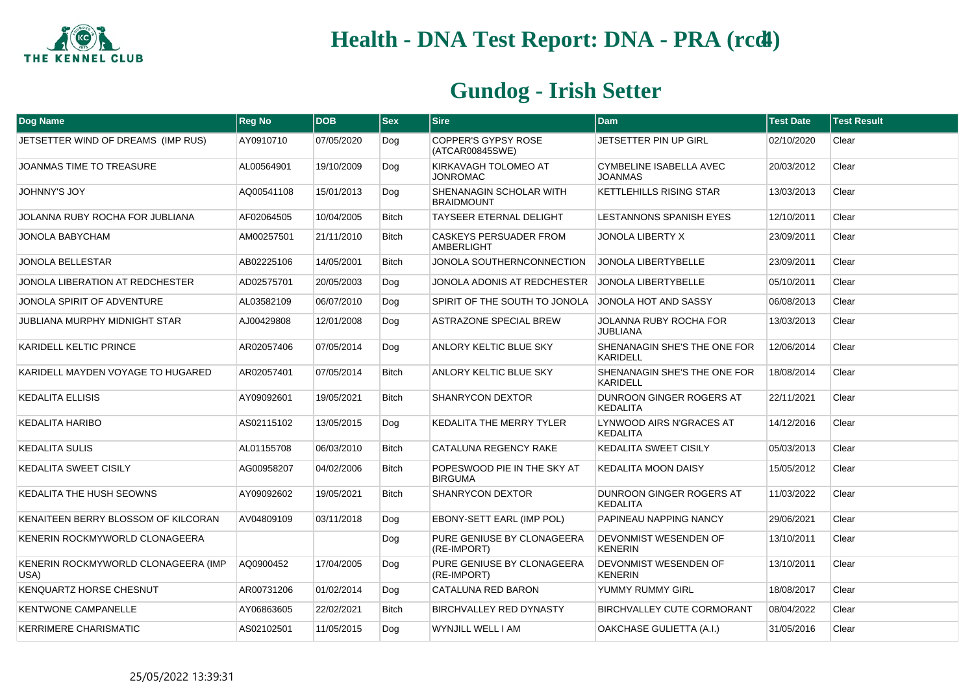

| <b>Dog Name</b>                             | <b>Reg No</b> | <b>DOB</b> | <b>Sex</b>   | <b>Sire</b>                                   | <b>Dam</b>                                         | <b>Test Date</b> | <b>Test Result</b> |
|---------------------------------------------|---------------|------------|--------------|-----------------------------------------------|----------------------------------------------------|------------------|--------------------|
| JETSETTER WIND OF DREAMS (IMP RUS)          | AY0910710     | 07/05/2020 | Dog          | COPPER'S GYPSY ROSE<br>(ATCAR00845SWE)        | JETSETTER PIN UP GIRL                              | 02/10/2020       | Clear              |
| <b>JOANMAS TIME TO TREASURE</b>             | AL00564901    | 19/10/2009 | Dog          | KIRKAVAGH TOLOMEO AT<br><b>JONROMAC</b>       | <b>CYMBELINE ISABELLA AVEC</b><br><b>JOANMAS</b>   | 20/03/2012       | Clear              |
| <b>JOHNNY'S JOY</b>                         | AQ00541108    | 15/01/2013 | Dog          | SHENANAGIN SCHOLAR WITH<br><b>BRAIDMOUNT</b>  | <b>KETTLEHILLS RISING STAR</b>                     | 13/03/2013       | Clear              |
| JOLANNA RUBY ROCHA FOR JUBLIANA             | AF02064505    | 10/04/2005 | <b>Bitch</b> | TAYSEER ETERNAL DELIGHT                       | LESTANNONS SPANISH EYES                            | 12/10/2011       | Clear              |
| JONOLA BABYCHAM                             | AM00257501    | 21/11/2010 | Bitch        | CASKEYS PERSUADER FROM<br><b>AMBERLIGHT</b>   | <b>JONOLA LIBERTY X</b>                            | 23/09/2011       | Clear              |
| <b>JONOLA BELLESTAR</b>                     | AB02225106    | 14/05/2001 | <b>Bitch</b> | JONOLA SOUTHERNCONNECTION                     | <b>JONOLA LIBERTYBELLE</b>                         | 23/09/2011       | Clear              |
| JONOLA LIBERATION AT REDCHESTER             | AD02575701    | 20/05/2003 | Dog          | JONOLA ADONIS AT REDCHESTER                   | <b>JONOLA LIBERTYBELLE</b>                         | 05/10/2011       | Clear              |
| JONOLA SPIRIT OF ADVENTURE                  | AL03582109    | 06/07/2010 | Dog          | SPIRIT OF THE SOUTH TO JONOLA                 | JONOLA HOT AND SASSY                               | 06/08/2013       | Clear              |
| <b>JUBLIANA MURPHY MIDNIGHT STAR</b>        | AJ00429808    | 12/01/2008 | Dog          | <b>ASTRAZONE SPECIAL BREW</b>                 | JOLANNA RUBY ROCHA FOR<br><b>JUBLIANA</b>          | 13/03/2013       | Clear              |
| KARIDELL KELTIC PRINCE                      | AR02057406    | 07/05/2014 | Dog          | <b>ANLORY KELTIC BLUE SKY</b>                 | SHENANAGIN SHE'S THE ONE FOR<br><b>KARIDELL</b>    | 12/06/2014       | Clear              |
| KARIDELL MAYDEN VOYAGE TO HUGARED           | AR02057401    | 07/05/2014 | <b>Bitch</b> | ANLORY KELTIC BLUE SKY                        | SHENANAGIN SHE'S THE ONE FOR<br><b>KARIDELL</b>    | 18/08/2014       | Clear              |
| <b>KEDALITA ELLISIS</b>                     | AY09092601    | 19/05/2021 | <b>Bitch</b> | SHANRYCON DEXTOR                              | DUNROON GINGER ROGERS AT<br><b>KEDALITA</b>        | 22/11/2021       | Clear              |
| <b>KEDALITA HARIBO</b>                      | AS02115102    | 13/05/2015 | Dog          | KEDALITA THE MERRY TYLER                      | LYNWOOD AIRS N'GRACES AT<br><b>KEDALITA</b>        | 14/12/2016       | Clear              |
| <b>KEDALITA SULIS</b>                       | AL01155708    | 06/03/2010 | <b>Bitch</b> | CATALUNA REGENCY RAKE                         | <b>KEDALITA SWEET CISILY</b>                       | 05/03/2013       | Clear              |
| <b>KEDALITA SWEET CISILY</b>                | AG00958207    | 04/02/2006 | <b>Bitch</b> | POPESWOOD PIE IN THE SKY AT<br><b>BIRGUMA</b> | <b>KEDALITA MOON DAISY</b>                         | 15/05/2012       | Clear              |
| KEDALITA THE HUSH SEOWNS                    | AY09092602    | 19/05/2021 | <b>Bitch</b> | <b>SHANRYCON DEXTOR</b>                       | <b>DUNROON GINGER ROGERS AT</b><br><b>KEDALITA</b> | 11/03/2022       | Clear              |
| KENAITEEN BERRY BLOSSOM OF KILCORAN         | AV04809109    | 03/11/2018 | Dog          | EBONY-SETT EARL (IMP POL)                     | PAPINEAU NAPPING NANCY                             | 29/06/2021       | Clear              |
| KENERIN ROCKMYWORLD CLONAGEERA              |               |            | Dog          | PURE GENIUSE BY CLONAGEERA<br>(RE-IMPORT)     | DEVONMIST WESENDEN OF<br><b>KENERIN</b>            | 13/10/2011       | Clear              |
| KENERIN ROCKMYWORLD CLONAGEERA (IMP<br>USA) | AQ0900452     | 17/04/2005 | Dog          | PURE GENIUSE BY CLONAGEERA<br>(RE-IMPORT)     | DEVONMIST WESENDEN OF<br><b>KENERIN</b>            | 13/10/2011       | Clear              |
| <b>KENQUARTZ HORSE CHESNUT</b>              | AR00731206    | 01/02/2014 | Dog          | CATALUNA RED BARON                            | YUMMY RUMMY GIRL                                   | 18/08/2017       | Clear              |
| KENTWONE CAMPANELLE                         | AY06863605    | 22/02/2021 | <b>Bitch</b> | BIRCHVALLEY RED DYNASTY                       | BIRCHVALLEY CUTE CORMORANT                         | 08/04/2022       | Clear              |
| <b>KERRIMERE CHARISMATIC</b>                | AS02102501    | 11/05/2015 | Dog          | WYNJILL WELL I AM                             | OAKCHASE GULIETTA (A.I.)                           | 31/05/2016       | Clear              |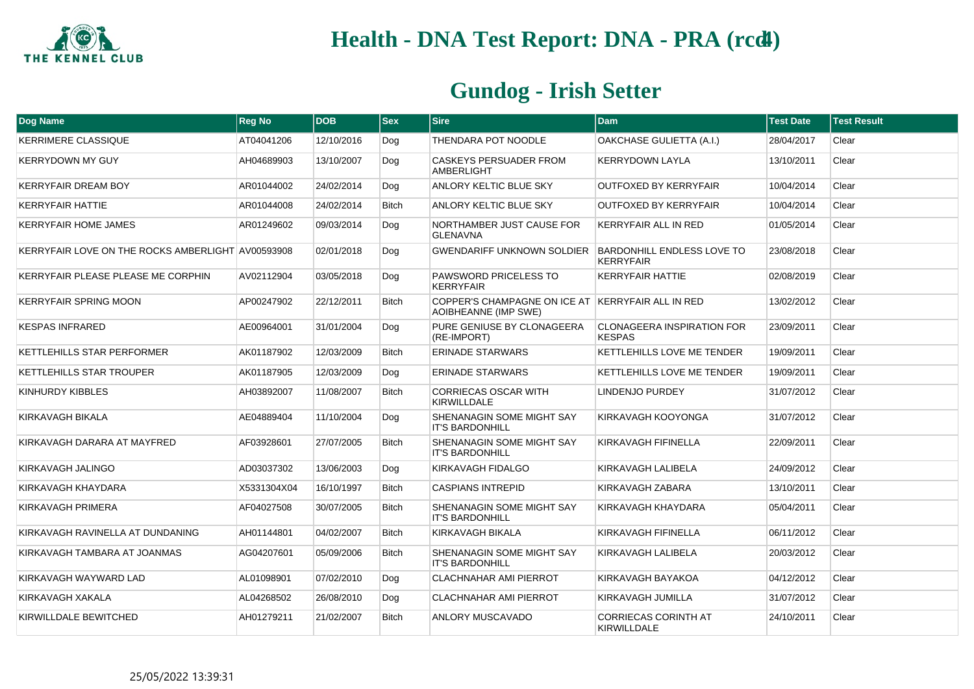

| Dog Name                                          | <b>Reg No</b> | <b>DOB</b> | <b>Sex</b>   | <b>Sire</b>                                                               | <b>Dam</b>                                            | <b>Test Date</b> | <b>Test Result</b> |
|---------------------------------------------------|---------------|------------|--------------|---------------------------------------------------------------------------|-------------------------------------------------------|------------------|--------------------|
| <b>KERRIMERE CLASSIQUE</b>                        | AT04041206    | 12/10/2016 | Dog          | THENDARA POT NOODLE                                                       | OAKCHASE GULIETTA (A.I.)                              | 28/04/2017       | Clear              |
| <b>KERRYDOWN MY GUY</b>                           | AH04689903    | 13/10/2007 | Dog          | <b>CASKEYS PERSUADER FROM</b><br>AMBERLIGHT                               | <b>KERRYDOWN LAYLA</b>                                | 13/10/2011       | Clear              |
| <b>KERRYFAIR DREAM BOY</b>                        | AR01044002    | 24/02/2014 | Dog          | ANLORY KELTIC BLUE SKY                                                    | <b>OUTFOXED BY KERRYFAIR</b>                          | 10/04/2014       | Clear              |
| <b>KERRYFAIR HATTIE</b>                           | AR01044008    | 24/02/2014 | <b>Bitch</b> | <b>ANLORY KELTIC BLUE SKY</b>                                             | <b>OUTFOXED BY KERRYFAIR</b>                          | 10/04/2014       | Clear              |
| <b>KERRYFAIR HOME JAMES</b>                       | AR01249602    | 09/03/2014 | Dog          | NORTHAMBER JUST CAUSE FOR<br><b>GLENAVNA</b>                              | <b>KERRYFAIR ALL IN RED</b>                           | 01/05/2014       | Clear              |
| KERRYFAIR LOVE ON THE ROCKS AMBERLIGHT AV00593908 |               | 02/01/2018 | Dog          | <b>GWENDARIFF UNKNOWN SOLDIER</b>                                         | <b>BARDONHILL ENDLESS LOVE TO</b><br><b>KERRYFAIR</b> | 23/08/2018       | Clear              |
| KERRYFAIR PLEASE PLEASE ME CORPHIN                | AV02112904    | 03/05/2018 | Dog          | PAWSWORD PRICELESS TO<br><b>KERRYFAIR</b>                                 | <b>KERRYFAIR HATTIE</b>                               | 02/08/2019       | Clear              |
| <b>KERRYFAIR SPRING MOON</b>                      | AP00247902    | 22/12/2011 | <b>Bitch</b> | COPPER'S CHAMPAGNE ON ICE AT KERRYFAIR ALL IN RED<br>AOIBHEANNE (IMP SWE) |                                                       | 13/02/2012       | Clear              |
| <b>KESPAS INFRARED</b>                            | AE00964001    | 31/01/2004 | Dog          | PURE GENIUSE BY CLONAGEERA<br>(RE-IMPORT)                                 | <b>CLONAGEERA INSPIRATION FOR</b><br><b>KESPAS</b>    | 23/09/2011       | Clear              |
| KETTLEHILLS STAR PERFORMER                        | AK01187902    | 12/03/2009 | <b>Bitch</b> | <b>ERINADE STARWARS</b>                                                   | KETTLEHILLS LOVE ME TENDER                            | 19/09/2011       | Clear              |
| KETTLEHILLS STAR TROUPER                          | AK01187905    | 12/03/2009 | Dog          | <b>ERINADE STARWARS</b>                                                   | KETTLEHILLS LOVE ME TENDER                            | 19/09/2011       | Clear              |
| KINHURDY KIBBLES                                  | AH03892007    | 11/08/2007 | <b>Bitch</b> | <b>CORRIECAS OSCAR WITH</b><br><b>KIRWILLDALE</b>                         | LINDENJO PURDEY                                       | 31/07/2012       | Clear              |
| KIRKAVAGH BIKALA                                  | AE04889404    | 11/10/2004 | Dog          | SHENANAGIN SOME MIGHT SAY<br><b>IT'S BARDONHILL</b>                       | KIRKAVAGH KOOYONGA                                    | 31/07/2012       | Clear              |
| KIRKAVAGH DARARA AT MAYFRED                       | AF03928601    | 27/07/2005 | <b>Bitch</b> | SHENANAGIN SOME MIGHT SAY<br><b>IT'S BARDONHILL</b>                       | KIRKAVAGH FIFINELLA                                   | 22/09/2011       | Clear              |
| KIRKAVAGH JALINGO                                 | AD03037302    | 13/06/2003 | Dog          | KIRKAVAGH FIDALGO                                                         | KIRKAVAGH LALIBELA                                    | 24/09/2012       | Clear              |
| KIRKAVAGH KHAYDARA                                | X5331304X04   | 16/10/1997 | <b>Bitch</b> | <b>CASPIANS INTREPID</b>                                                  | KIRKAVAGH ZABARA                                      | 13/10/2011       | Clear              |
| KIRKAVAGH PRIMERA                                 | AF04027508    | 30/07/2005 | <b>Bitch</b> | SHENANAGIN SOME MIGHT SAY<br><b>IT'S BARDONHILL</b>                       | KIRKAVAGH KHAYDARA                                    | 05/04/2011       | Clear              |
| KIRKAVAGH RAVINELLA AT DUNDANING                  | AH01144801    | 04/02/2007 | <b>Bitch</b> | KIRKAVAGH BIKALA                                                          | KIRKAVAGH FIFINELLA                                   | 06/11/2012       | Clear              |
| KIRKAVAGH TAMBARA AT JOANMAS                      | AG04207601    | 05/09/2006 | <b>Bitch</b> | SHENANAGIN SOME MIGHT SAY<br><b>IT'S BARDONHILL</b>                       | KIRKAVAGH LALIBELA                                    | 20/03/2012       | Clear              |
| KIRKAVAGH WAYWARD LAD                             | AL01098901    | 07/02/2010 | Dog          | <b>CLACHNAHAR AMI PIERROT</b>                                             | KIRKAVAGH BAYAKOA                                     | 04/12/2012       | Clear              |
| KIRKAVAGH XAKALA                                  | AL04268502    | 26/08/2010 | Dog          | <b>CLACHNAHAR AMI PIERROT</b>                                             | KIRKAVAGH JUMILLA                                     | 31/07/2012       | Clear              |
| KIRWILLDALE BEWITCHED                             | AH01279211    | 21/02/2007 | <b>Bitch</b> | ANLORY MUSCAVADO                                                          | <b>CORRIECAS CORINTH AT</b><br>KIRWILLDALE            | 24/10/2011       | Clear              |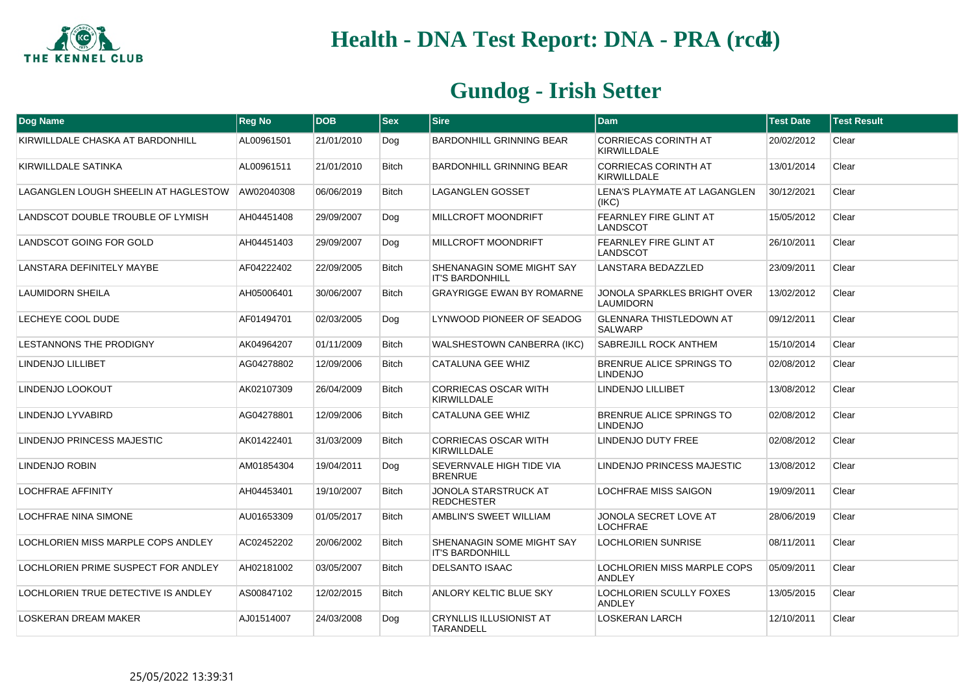

| Dog Name                             | <b>Reg No</b> | <b>DOB</b> | <b>Sex</b>   | <b>Sire</b>                                         | <b>Dam</b>                                          | <b>Test Date</b> | <b>Test Result</b> |
|--------------------------------------|---------------|------------|--------------|-----------------------------------------------------|-----------------------------------------------------|------------------|--------------------|
| KIRWILLDALE CHASKA AT BARDONHILL     | AL00961501    | 21/01/2010 | Dog          | <b>BARDONHILL GRINNING BEAR</b>                     | <b>CORRIECAS CORINTH AT</b><br><b>KIRWILLDALE</b>   | 20/02/2012       | Clear              |
| KIRWILLDALE SATINKA                  | AL00961511    | 21/01/2010 | <b>Bitch</b> | <b>BARDONHILL GRINNING BEAR</b>                     | <b>CORRIECAS CORINTH AT</b><br><b>KIRWILLDALE</b>   | 13/01/2014       | Clear              |
| LAGANGLEN LOUGH SHEELIN AT HAGLESTOW | AW02040308    | 06/06/2019 | <b>Bitch</b> | <b>LAGANGLEN GOSSET</b>                             | LENA'S PLAYMATE AT LAGANGLEN<br>(IKC)               | 30/12/2021       | Clear              |
| LANDSCOT DOUBLE TROUBLE OF LYMISH    | AH04451408    | 29/09/2007 | Dog          | MILLCROFT MOONDRIFT                                 | FEARNLEY FIRE GLINT AT<br>LANDSCOT                  | 15/05/2012       | Clear              |
| LANDSCOT GOING FOR GOLD              | AH04451403    | 29/09/2007 | Dog          | MILLCROFT MOONDRIFT                                 | FEARNLEY FIRE GLINT AT<br>LANDSCOT                  | 26/10/2011       | Clear              |
| LANSTARA DEFINITELY MAYBE            | AF04222402    | 22/09/2005 | <b>Bitch</b> | SHENANAGIN SOME MIGHT SAY<br><b>IT'S BARDONHILL</b> | <b>LANSTARA BEDAZZLED</b>                           | 23/09/2011       | Clear              |
| <b>LAUMIDORN SHEILA</b>              | AH05006401    | 30/06/2007 | <b>Bitch</b> | <b>GRAYRIGGE EWAN BY ROMARNE</b>                    | JONOLA SPARKLES BRIGHT OVER<br>LAUMIDORN            | 13/02/2012       | Clear              |
| LECHEYE COOL DUDE                    | AF01494701    | 02/03/2005 | Dog          | LYNWOOD PIONEER OF SEADOG                           | <b>GLENNARA THISTLEDOWN AT</b><br><b>SALWARP</b>    | 09/12/2011       | Clear              |
| <b>LESTANNONS THE PRODIGNY</b>       | AK04964207    | 01/11/2009 | <b>Bitch</b> | WALSHESTOWN CANBERRA (IKC)                          | SABREJILL ROCK ANTHEM                               | 15/10/2014       | Clear              |
| LINDENJO LILLIBET                    | AG04278802    | 12/09/2006 | <b>Bitch</b> | CATALUNA GEE WHIZ                                   | BRENRUE ALICE SPRINGS TO<br><b>LINDENJO</b>         | 02/08/2012       | Clear              |
| LINDENJO LOOKOUT                     | AK02107309    | 26/04/2009 | <b>Bitch</b> | <b>CORRIECAS OSCAR WITH</b><br><b>KIRWILLDALE</b>   | <b>LINDENJO LILLIBET</b>                            | 13/08/2012       | Clear              |
| LINDENJO LYVABIRD                    | AG04278801    | 12/09/2006 | <b>Bitch</b> | <b>CATALUNA GEE WHIZ</b>                            | BRENRUE ALICE SPRINGS TO<br><b>LINDENJO</b>         | 02/08/2012       | Clear              |
| LINDENJO PRINCESS MAJESTIC           | AK01422401    | 31/03/2009 | <b>Bitch</b> | <b>CORRIECAS OSCAR WITH</b><br><b>KIRWILLDALE</b>   | LINDENJO DUTY FREE                                  | 02/08/2012       | Clear              |
| LINDENJO ROBIN                       | AM01854304    | 19/04/2011 | Dog          | SEVERNVALE HIGH TIDE VIA<br><b>BRENRUE</b>          | LINDENJO PRINCESS MAJESTIC                          | 13/08/2012       | Clear              |
| <b>LOCHFRAE AFFINITY</b>             | AH04453401    | 19/10/2007 | <b>Bitch</b> | <b>JONOLA STARSTRUCK AT</b><br><b>REDCHESTER</b>    | <b>LOCHFRAE MISS SAIGON</b>                         | 19/09/2011       | Clear              |
| <b>LOCHFRAE NINA SIMONE</b>          | AU01653309    | 01/05/2017 | <b>Bitch</b> | AMBLIN'S SWEET WILLIAM                              | JONOLA SECRET LOVE AT<br><b>LOCHFRAE</b>            | 28/06/2019       | Clear              |
| LOCHLORIEN MISS MARPLE COPS ANDLEY   | AC02452202    | 20/06/2002 | <b>Bitch</b> | SHENANAGIN SOME MIGHT SAY<br><b>IT'S BARDONHILL</b> | <b>LOCHLORIEN SUNRISE</b>                           | 08/11/2011       | Clear              |
| LOCHLORIEN PRIME SUSPECT FOR ANDLEY  | AH02181002    | 03/05/2007 | <b>Bitch</b> | <b>DELSANTO ISAAC</b>                               | <b>LOCHLORIEN MISS MARPLE COPS</b><br><b>ANDLEY</b> | 05/09/2011       | Clear              |
| LOCHLORIEN TRUE DETECTIVE IS ANDLEY  | AS00847102    | 12/02/2015 | <b>Bitch</b> | ANLORY KELTIC BLUE SKY                              | LOCHLORIEN SCULLY FOXES<br><b>ANDLEY</b>            | 13/05/2015       | Clear              |
| <b>LOSKERAN DREAM MAKER</b>          | AJ01514007    | 24/03/2008 | Dog          | <b>CRYNLLIS ILLUSIONIST AT</b><br><b>TARANDELL</b>  | <b>LOSKERAN LARCH</b>                               | 12/10/2011       | Clear              |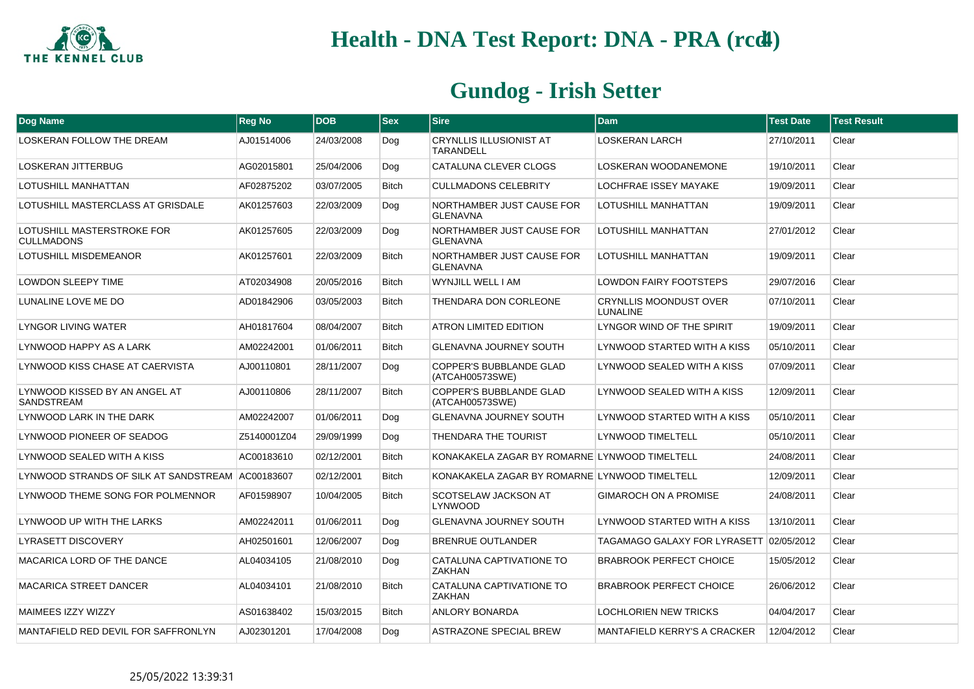

| Dog Name                                           | <b>Reg No</b> | <b>DOB</b> | <b>Sex</b>   | <b>Sire</b>                                        | <b>Dam</b>                                       | <b>Test Date</b> | <b>Test Result</b> |
|----------------------------------------------------|---------------|------------|--------------|----------------------------------------------------|--------------------------------------------------|------------------|--------------------|
| LOSKERAN FOLLOW THE DREAM                          | AJ01514006    | 24/03/2008 | Dog          | <b>CRYNLLIS ILLUSIONIST AT</b><br><b>TARANDELL</b> | <b>LOSKERAN LARCH</b>                            | 27/10/2011       | Clear              |
| <b>LOSKERAN JITTERBUG</b>                          | AG02015801    | 25/04/2006 | Dog          | CATALUNA CLEVER CLOGS                              | LOSKERAN WOODANEMONE                             | 19/10/2011       | Clear              |
| LOTUSHILL MANHATTAN                                | AF02875202    | 03/07/2005 | <b>Bitch</b> | <b>CULLMADONS CELEBRITY</b>                        | <b>LOCHFRAE ISSEY MAYAKE</b>                     | 19/09/2011       | Clear              |
| LOTUSHILL MASTERCLASS AT GRISDALE                  | AK01257603    | 22/03/2009 | Dog          | NORTHAMBER JUST CAUSE FOR<br><b>GLENAVNA</b>       | LOTUSHILL MANHATTAN                              | 19/09/2011       | Clear              |
| LOTUSHILL MASTERSTROKE FOR<br><b>CULLMADONS</b>    | AK01257605    | 22/03/2009 | Dog          | NORTHAMBER JUST CAUSE FOR<br><b>GLENAVNA</b>       | LOTUSHILL MANHATTAN                              | 27/01/2012       | Clear              |
| LOTUSHILL MISDEMEANOR                              | AK01257601    | 22/03/2009 | <b>Bitch</b> | NORTHAMBER JUST CAUSE FOR<br><b>GLENAVNA</b>       | LOTUSHILL MANHATTAN                              | 19/09/2011       | Clear              |
| <b>LOWDON SLEEPY TIME</b>                          | AT02034908    | 20/05/2016 | <b>Bitch</b> | WYNJILL WELL I AM                                  | <b>LOWDON FAIRY FOOTSTEPS</b>                    | 29/07/2016       | Clear              |
| LUNALINE LOVE ME DO                                | AD01842906    | 03/05/2003 | <b>Bitch</b> | THENDARA DON CORLEONE                              | <b>CRYNLLIS MOONDUST OVER</b><br><b>LUNALINE</b> | 07/10/2011       | Clear              |
| <b>LYNGOR LIVING WATER</b>                         | AH01817604    | 08/04/2007 | <b>Bitch</b> | <b>ATRON LIMITED EDITION</b>                       | LYNGOR WIND OF THE SPIRIT                        | 19/09/2011       | Clear              |
| LYNWOOD HAPPY AS A LARK                            | AM02242001    | 01/06/2011 | <b>Bitch</b> | <b>GLENAVNA JOURNEY SOUTH</b>                      | LYNWOOD STARTED WITH A KISS                      | 05/10/2011       | Clear              |
| LYNWOOD KISS CHASE AT CAERVISTA                    | AJ00110801    | 28/11/2007 | Dog          | COPPER'S BUBBLANDE GLAD<br>(ATCAH00573SWE)         | LYNWOOD SEALED WITH A KISS                       | 07/09/2011       | Clear              |
| LYNWOOD KISSED BY AN ANGEL AT<br><b>SANDSTREAM</b> | AJ00110806    | 28/11/2007 | <b>Bitch</b> | COPPER'S BUBBLANDE GLAD<br>(ATCAH00573SWE)         | LYNWOOD SEALED WITH A KISS                       | 12/09/2011       | Clear              |
| LYNWOOD LARK IN THE DARK                           | AM02242007    | 01/06/2011 | Dog          | <b>GLENAVNA JOURNEY SOUTH</b>                      | LYNWOOD STARTED WITH A KISS                      | 05/10/2011       | Clear              |
| LYNWOOD PIONEER OF SEADOG                          | Z5140001Z04   | 29/09/1999 | Dog          | THENDARA THE TOURIST                               | <b>LYNWOOD TIMELTELL</b>                         | 05/10/2011       | Clear              |
| LYNWOOD SEALED WITH A KISS                         | AC00183610    | 02/12/2001 | <b>Bitch</b> | KONAKAKELA ZAGAR BY ROMARNE LYNWOOD TIMELTELL      |                                                  | 24/08/2011       | Clear              |
| LYNWOOD STRANDS OF SILK AT SANDSTREAM AC00183607   |               | 02/12/2001 | <b>Bitch</b> | KONAKAKELA ZAGAR BY ROMARNE LYNWOOD TIMELTELL      |                                                  | 12/09/2011       | Clear              |
| LYNWOOD THEME SONG FOR POLMENNOR                   | AF01598907    | 10/04/2005 | <b>Bitch</b> | SCOTSELAW JACKSON AT<br><b>LYNWOOD</b>             | <b>GIMAROCH ON A PROMISE</b>                     | 24/08/2011       | Clear              |
| LYNWOOD UP WITH THE LARKS                          | AM02242011    | 01/06/2011 | Dog          | <b>GLENAVNA JOURNEY SOUTH</b>                      | LYNWOOD STARTED WITH A KISS                      | 13/10/2011       | Clear              |
| <b>LYRASETT DISCOVERY</b>                          | AH02501601    | 12/06/2007 | Dog          | <b>BRENRUE OUTLANDER</b>                           | TAGAMAGO GALAXY FOR LYRASETT 02/05/2012          |                  | Clear              |
| MACARICA LORD OF THE DANCE                         | AL04034105    | 21/08/2010 | Dog          | CATALUNA CAPTIVATIONE TO<br><b>ZAKHAN</b>          | <b>BRABROOK PERFECT CHOICE</b>                   | 15/05/2012       | Clear              |
| <b>MACARICA STREET DANCER</b>                      | AL04034101    | 21/08/2010 | <b>Bitch</b> | CATALUNA CAPTIVATIONE TO<br><b>ZAKHAN</b>          | <b>BRABROOK PERFECT CHOICE</b>                   | 26/06/2012       | Clear              |
| MAIMEES IZZY WIZZY                                 | AS01638402    | 15/03/2015 | <b>Bitch</b> | ANLORY BONARDA                                     | <b>LOCHLORIEN NEW TRICKS</b>                     | 04/04/2017       | Clear              |
| MANTAFIELD RED DEVIL FOR SAFFRONLYN                | AJ02301201    | 17/04/2008 | Dog          | <b>ASTRAZONE SPECIAL BREW</b>                      | <b>MANTAFIELD KERRY'S A CRACKER</b>              | 12/04/2012       | Clear              |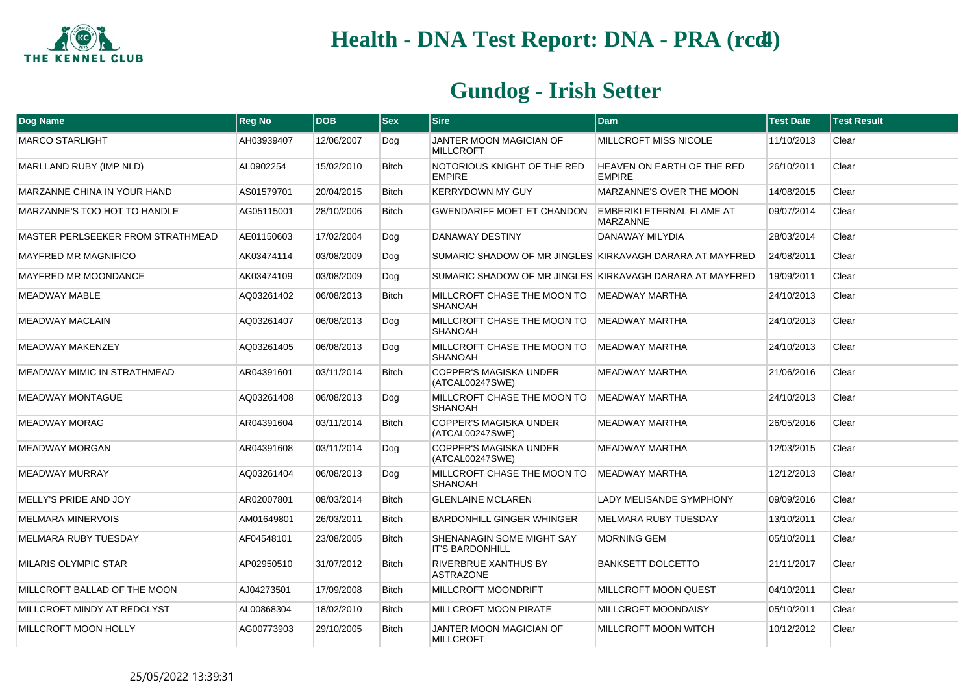

| <b>Dog Name</b>                   | <b>Reg No</b> | <b>DOB</b> | <b>Sex</b>   | <b>Sire</b>                                         | <b>Dam</b>                                               | <b>Test Date</b> | <b>Test Result</b> |
|-----------------------------------|---------------|------------|--------------|-----------------------------------------------------|----------------------------------------------------------|------------------|--------------------|
| <b>MARCO STARLIGHT</b>            | AH03939407    | 12/06/2007 | Dog          | JANTER MOON MAGICIAN OF<br><b>MILLCROFT</b>         | <b>MILLCROFT MISS NICOLE</b>                             | 11/10/2013       | Clear              |
| MARLLAND RUBY (IMP NLD)           | AL0902254     | 15/02/2010 | <b>Bitch</b> | NOTORIOUS KNIGHT OF THE RED<br><b>EMPIRE</b>        | <b>HEAVEN ON EARTH OF THE RED</b><br><b>EMPIRE</b>       | 26/10/2011       | Clear              |
| MARZANNE CHINA IN YOUR HAND       | AS01579701    | 20/04/2015 | <b>Bitch</b> | <b>KERRYDOWN MY GUY</b>                             | MARZANNE'S OVER THE MOON                                 | 14/08/2015       | Clear              |
| MARZANNE'S TOO HOT TO HANDLE      | AG05115001    | 28/10/2006 | <b>Bitch</b> | <b>GWENDARIFF MOET ET CHANDON</b>                   | EMBERIKI ETERNAL FLAME AT<br><b>MARZANNE</b>             | 09/07/2014       | Clear              |
| MASTER PERLSEEKER FROM STRATHMEAD | AE01150603    | 17/02/2004 | Dog          | <b>DANAWAY DESTINY</b>                              | DANAWAY MILYDIA                                          | 28/03/2014       | Clear              |
| <b>MAYFRED MR MAGNIFICO</b>       | AK03474114    | 03/08/2009 | Dog          |                                                     | SUMARIC SHADOW OF MR JINGLES KIRKAVAGH DARARA AT MAYFRED | 24/08/2011       | Clear              |
| <b>MAYFRED MR MOONDANCE</b>       | AK03474109    | 03/08/2009 | Dog          |                                                     | SUMARIC SHADOW OF MR JINGLES KIRKAVAGH DARARA AT MAYFRED | 19/09/2011       | Clear              |
| <b>MEADWAY MABLE</b>              | AQ03261402    | 06/08/2013 | <b>Bitch</b> | MILLCROFT CHASE THE MOON TO<br><b>SHANOAH</b>       | <b>MEADWAY MARTHA</b>                                    | 24/10/2013       | Clear              |
| <b>MEADWAY MACLAIN</b>            | AQ03261407    | 06/08/2013 | Dog          | MILLCROFT CHASE THE MOON TO<br><b>SHANOAH</b>       | MEADWAY MARTHA                                           | 24/10/2013       | Clear              |
| <b>MEADWAY MAKENZEY</b>           | AQ03261405    | 06/08/2013 | Dog          | MILLCROFT CHASE THE MOON TO<br><b>SHANOAH</b>       | <b>MEADWAY MARTHA</b>                                    | 24/10/2013       | Clear              |
| MEADWAY MIMIC IN STRATHMEAD       | AR04391601    | 03/11/2014 | <b>Bitch</b> | COPPER'S MAGISKA UNDER<br>(ATCAL00247SWE)           | <b>MEADWAY MARTHA</b>                                    | 21/06/2016       | Clear              |
| <b>MEADWAY MONTAGUE</b>           | AQ03261408    | 06/08/2013 | Dog          | MILLCROFT CHASE THE MOON TO<br><b>SHANOAH</b>       | <b>MEADWAY MARTHA</b>                                    | 24/10/2013       | Clear              |
| <b>MEADWAY MORAG</b>              | AR04391604    | 03/11/2014 | <b>Bitch</b> | <b>COPPER'S MAGISKA UNDER</b><br>(ATCAL00247SWE)    | <b>MEADWAY MARTHA</b>                                    | 26/05/2016       | Clear              |
| <b>MEADWAY MORGAN</b>             | AR04391608    | 03/11/2014 | Dog          | COPPER'S MAGISKA UNDER<br>(ATCAL00247SWE)           | <b>MEADWAY MARTHA</b>                                    | 12/03/2015       | Clear              |
| <b>MEADWAY MURRAY</b>             | AQ03261404    | 06/08/2013 | Dog          | MILLCROFT CHASE THE MOON TO<br><b>SHANOAH</b>       | MEADWAY MARTHA                                           | 12/12/2013       | Clear              |
| MELLY'S PRIDE AND JOY             | AR02007801    | 08/03/2014 | <b>Bitch</b> | <b>GLENLAINE MCLAREN</b>                            | <b>LADY MELISANDE SYMPHONY</b>                           | 09/09/2016       | Clear              |
| <b>MELMARA MINERVOIS</b>          | AM01649801    | 26/03/2011 | <b>Bitch</b> | <b>BARDONHILL GINGER WHINGER</b>                    | MELMARA RUBY TUESDAY                                     | 13/10/2011       | Clear              |
| <b>MELMARA RUBY TUESDAY</b>       | AF04548101    | 23/08/2005 | <b>Bitch</b> | SHENANAGIN SOME MIGHT SAY<br><b>IT'S BARDONHILL</b> | <b>MORNING GEM</b>                                       | 05/10/2011       | Clear              |
| <b>MILARIS OLYMPIC STAR</b>       | AP02950510    | 31/07/2012 | <b>Bitch</b> | RIVERBRUE XANTHUS BY<br><b>ASTRAZONE</b>            | <b>BANKSETT DOLCETTO</b>                                 | 21/11/2017       | Clear              |
| MILLCROFT BALLAD OF THE MOON      | AJ04273501    | 17/09/2008 | <b>Bitch</b> | MILLCROFT MOONDRIFT                                 | MILLCROFT MOON QUEST                                     | 04/10/2011       | Clear              |
| MILLCROFT MINDY AT REDCLYST       | AL00868304    | 18/02/2010 | <b>Bitch</b> | <b>MILLCROFT MOON PIRATE</b>                        | MILLCROFT MOONDAISY                                      | 05/10/2011       | Clear              |
| MILLCROFT MOON HOLLY              | AG00773903    | 29/10/2005 | <b>Bitch</b> | JANTER MOON MAGICIAN OF<br><b>MILLCROFT</b>         | MILLCROFT MOON WITCH                                     | 10/12/2012       | Clear              |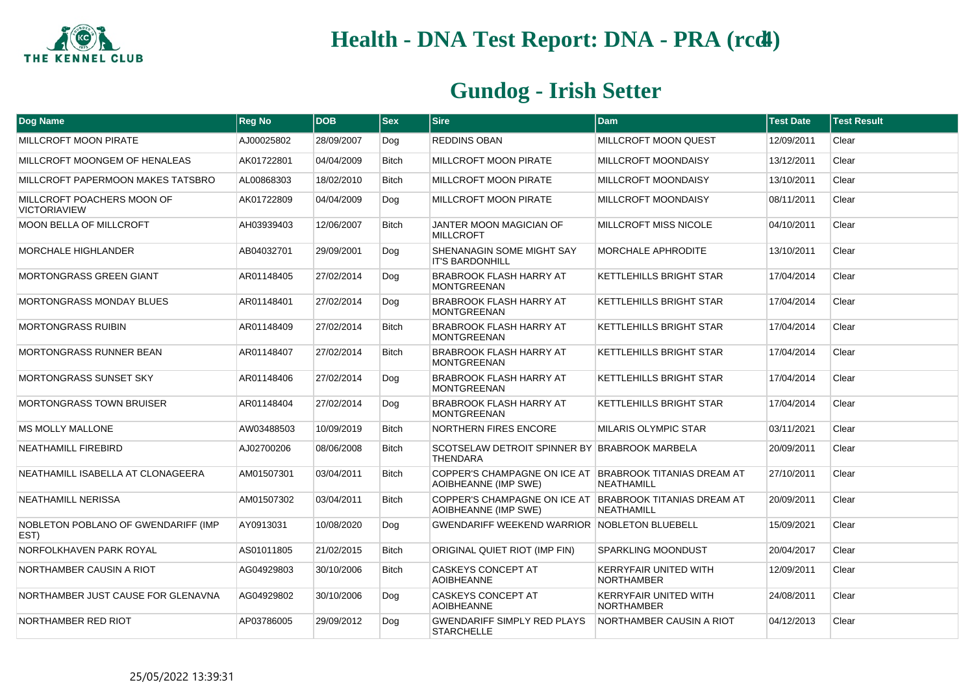

| Dog Name                                          | <b>Reg No</b> | <b>DOB</b> | $ s_{ex} $   | <b>Sire</b>                                                                     | <b>Dam</b>                                        | <b>Test Date</b> | <b>Test Result</b> |
|---------------------------------------------------|---------------|------------|--------------|---------------------------------------------------------------------------------|---------------------------------------------------|------------------|--------------------|
| MILLCROFT MOON PIRATE                             | AJ00025802    | 28/09/2007 | Dog          | <b>REDDINS OBAN</b>                                                             | MILLCROFT MOON QUEST                              | 12/09/2011       | Clear              |
| MILLCROFT MOONGEM OF HENALEAS                     | AK01722801    | 04/04/2009 | <b>Bitch</b> | MILLCROFT MOON PIRATE                                                           | <b>MILLCROFT MOONDAISY</b>                        | 13/12/2011       | Clear              |
| MILLCROFT PAPERMOON MAKES TATSBRO                 | AL00868303    | 18/02/2010 | <b>Bitch</b> | <b>MILLCROFT MOON PIRATE</b>                                                    | MILLCROFT MOONDAISY                               | 13/10/2011       | Clear              |
| MILLCROFT POACHERS MOON OF<br><b>VICTORIAVIEW</b> | AK01722809    | 04/04/2009 | Dog          | <b>MILLCROFT MOON PIRATE</b>                                                    | MILLCROFT MOONDAISY                               | 08/11/2011       | Clear              |
| <b>MOON BELLA OF MILLCROFT</b>                    | AH03939403    | 12/06/2007 | <b>Bitch</b> | JANTER MOON MAGICIAN OF<br><b>MILLCROFT</b>                                     | <b>MILLCROFT MISS NICOLE</b>                      | 04/10/2011       | Clear              |
| <b>MORCHALE HIGHLANDER</b>                        | AB04032701    | 29/09/2001 | Dog          | SHENANAGIN SOME MIGHT SAY<br><b>IT'S BARDONHILL</b>                             | <b>MORCHALE APHRODITE</b>                         | 13/10/2011       | Clear              |
| <b>MORTONGRASS GREEN GIANT</b>                    | AR01148405    | 27/02/2014 | Dog          | BRABROOK FLASH HARRY AT<br><b>MONTGREENAN</b>                                   | KETTLEHILLS BRIGHT STAR                           | 17/04/2014       | Clear              |
| <b>MORTONGRASS MONDAY BLUES</b>                   | AR01148401    | 27/02/2014 | Dog          | BRABROOK FLASH HARRY AT<br><b>MONTGREENAN</b>                                   | <b>KETTLEHILLS BRIGHT STAR</b>                    | 17/04/2014       | Clear              |
| <b>MORTONGRASS RUIBIN</b>                         | AR01148409    | 27/02/2014 | <b>Bitch</b> | BRABROOK FLASH HARRY AT<br><b>MONTGREENAN</b>                                   | KETTLEHILLS BRIGHT STAR                           | 17/04/2014       | Clear              |
| <b>MORTONGRASS RUNNER BEAN</b>                    | AR01148407    | 27/02/2014 | <b>Bitch</b> | BRABROOK FLASH HARRY AT<br><b>MONTGREENAN</b>                                   | <b>KETTLEHILLS BRIGHT STAR</b>                    | 17/04/2014       | Clear              |
| <b>MORTONGRASS SUNSET SKY</b>                     | AR01148406    | 27/02/2014 | Dog          | BRABROOK FLASH HARRY AT<br><b>MONTGREENAN</b>                                   | KETTLEHILLS BRIGHT STAR                           | 17/04/2014       | Clear              |
| <b>MORTONGRASS TOWN BRUISER</b>                   | AR01148404    | 27/02/2014 | Dog          | <b>BRABROOK FLASH HARRY AT</b><br><b>MONTGREENAN</b>                            | <b>KETTLEHILLS BRIGHT STAR</b>                    | 17/04/2014       | Clear              |
| <b>MS MOLLY MALLONE</b>                           | AW03488503    | 10/09/2019 | <b>Bitch</b> | <b>NORTHERN FIRES ENCORE</b>                                                    | <b>MILARIS OLYMPIC STAR</b>                       | 03/11/2021       | Clear              |
| <b>NEATHAMILL FIREBIRD</b>                        | AJ02700206    | 08/06/2008 | <b>Bitch</b> | SCOTSELAW DETROIT SPINNER BY BRABROOK MARBELA<br><b>THENDARA</b>                |                                                   | 20/09/2011       | Clear              |
| NEATHAMILL ISABELLA AT CLONAGEERA                 | AM01507301    | 03/04/2011 | <b>Bitch</b> | COPPER'S CHAMPAGNE ON ICE AT BRABROOK TITANIAS DREAM AT<br>AOIBHEANNE (IMP SWE) | <b>NEATHAMILL</b>                                 | 27/10/2011       | Clear              |
| <b>NEATHAMILL NERISSA</b>                         | AM01507302    | 03/04/2011 | <b>Bitch</b> | COPPER'S CHAMPAGNE ON ICE AT BRABROOK TITANIAS DREAM AT<br>AOIBHEANNE (IMP SWE) | <b>NEATHAMILL</b>                                 | 20/09/2011       | Clear              |
| NOBLETON POBLANO OF GWENDARIFF (IMP<br>EST)       | AY0913031     | 10/08/2020 | Dog          | <b>GWENDARIFF WEEKEND WARRIOR NOBLETON BLUEBELL</b>                             |                                                   | 15/09/2021       | Clear              |
| NORFOLKHAVEN PARK ROYAL                           | AS01011805    | 21/02/2015 | <b>Bitch</b> | ORIGINAL QUIET RIOT (IMP FIN)                                                   | <b>SPARKLING MOONDUST</b>                         | 20/04/2017       | Clear              |
| NORTHAMBER CAUSIN A RIOT                          | AG04929803    | 30/10/2006 | <b>Bitch</b> | <b>CASKEYS CONCEPT AT</b><br><b>AOIBHEANNE</b>                                  | <b>KERRYFAIR UNITED WITH</b><br><b>NORTHAMBER</b> | 12/09/2011       | Clear              |
| NORTHAMBER JUST CAUSE FOR GLENAVNA                | AG04929802    | 30/10/2006 | Dog          | <b>CASKEYS CONCEPT AT</b><br><b>AOIBHEANNE</b>                                  | <b>KERRYFAIR UNITED WITH</b><br><b>NORTHAMBER</b> | 24/08/2011       | Clear              |
| NORTHAMBER RED RIOT                               | AP03786005    | 29/09/2012 | Dog          | <b>GWENDARIFF SIMPLY RED PLAYS</b><br><b>STARCHELLE</b>                         | <b>NORTHAMBER CAUSIN A RIOT</b>                   | 04/12/2013       | Clear              |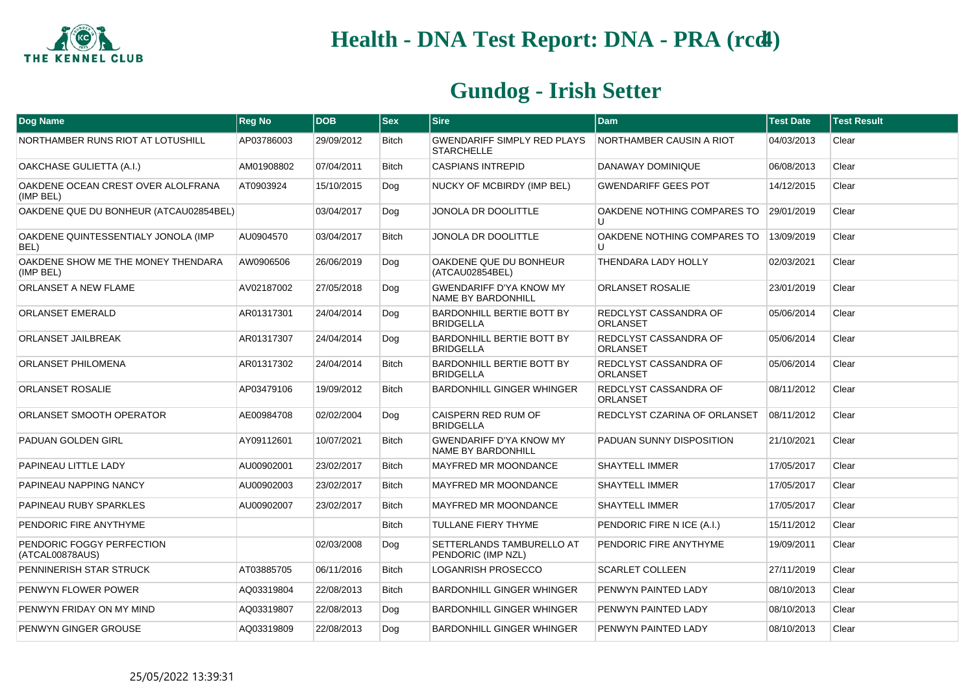

| Dog Name                                        | <b>Reg No</b> | <b>DOB</b> | <b>Sex</b>   | <b>Sire</b>                                                 | Dam                                         | <b>Test Date</b> | <b>Test Result</b> |
|-------------------------------------------------|---------------|------------|--------------|-------------------------------------------------------------|---------------------------------------------|------------------|--------------------|
| NORTHAMBER RUNS RIOT AT LOTUSHILL               | AP03786003    | 29/09/2012 | <b>Bitch</b> | <b>GWENDARIFF SIMPLY RED PLAYS</b><br><b>STARCHELLE</b>     | <b>NORTHAMBER CAUSIN A RIOT</b>             | 04/03/2013       | Clear              |
| OAKCHASE GULIETTA (A.I.)                        | AM01908802    | 07/04/2011 | <b>Bitch</b> | <b>CASPIANS INTREPID</b>                                    | DANAWAY DOMINIQUE                           | 06/08/2013       | Clear              |
| OAKDENE OCEAN CREST OVER ALOLFRANA<br>(IMP BEL) | AT0903924     | 15/10/2015 | Dog          | NUCKY OF MCBIRDY (IMP BEL)                                  | <b>GWENDARIFF GEES POT</b>                  | 14/12/2015       | Clear              |
| OAKDENE QUE DU BONHEUR (ATCAU02854BEL)          |               | 03/04/2017 | Dog          | JONOLA DR DOOLITTLE                                         | OAKDENE NOTHING COMPARES TO<br>$\mathsf{U}$ | 29/01/2019       | Clear              |
| OAKDENE QUINTESSENTIALY JONOLA (IMP<br>BEL)     | AU0904570     | 03/04/2017 | <b>Bitch</b> | JONOLA DR DOOLITTLE                                         | OAKDENE NOTHING COMPARES TO                 | 13/09/2019       | Clear              |
| OAKDENE SHOW ME THE MONEY THENDARA<br>(IMP BEL) | AW0906506     | 26/06/2019 | Dog          | OAKDENE QUE DU BONHEUR<br>(ATCAU02854BEL)                   | THENDARA LADY HOLLY                         | 02/03/2021       | Clear              |
| ORLANSET A NEW FLAME                            | AV02187002    | 27/05/2018 | Dog          | <b>GWENDARIFF D'YA KNOW MY</b><br><b>NAME BY BARDONHILL</b> | <b>ORLANSET ROSALIE</b>                     | 23/01/2019       | Clear              |
| <b>ORLANSET EMERALD</b>                         | AR01317301    | 24/04/2014 | Dog          | <b>BARDONHILL BERTIE BOTT BY</b><br><b>BRIDGELLA</b>        | <b>REDCLYST CASSANDRA OF</b><br>ORLANSET    | 05/06/2014       | Clear              |
| <b>ORLANSET JAILBREAK</b>                       | AR01317307    | 24/04/2014 | Dog          | <b>BARDONHILL BERTIE BOTT BY</b><br><b>BRIDGELLA</b>        | <b>REDCLYST CASSANDRA OF</b><br>ORLANSET    | 05/06/2014       | Clear              |
| ORLANSET PHILOMENA                              | AR01317302    | 24/04/2014 | <b>Bitch</b> | BARDONHILL BERTIE BOTT BY<br><b>BRIDGELLA</b>               | REDCLYST CASSANDRA OF<br>ORLANSET           | 05/06/2014       | Clear              |
| <b>ORLANSET ROSALIE</b>                         | AP03479106    | 19/09/2012 | <b>Bitch</b> | BARDONHILL GINGER WHINGER                                   | <b>REDCLYST CASSANDRA OF</b><br>ORLANSET    | 08/11/2012       | Clear              |
| ORLANSET SMOOTH OPERATOR                        | AE00984708    | 02/02/2004 | Dog          | CAISPERN RED RUM OF<br><b>BRIDGELLA</b>                     | REDCLYST CZARINA OF ORLANSET                | 08/11/2012       | Clear              |
| PADUAN GOLDEN GIRL                              | AY09112601    | 10/07/2021 | <b>Bitch</b> | <b>GWENDARIFF D'YA KNOW MY</b><br>NAME BY BARDONHILL        | PADUAN SUNNY DISPOSITION                    | 21/10/2021       | Clear              |
| PAPINEAU LITTLE LADY                            | AU00902001    | 23/02/2017 | <b>Bitch</b> | <b>MAYFRED MR MOONDANCE</b>                                 | <b>SHAYTELL IMMER</b>                       | 17/05/2017       | Clear              |
| PAPINEAU NAPPING NANCY                          | AU00902003    | 23/02/2017 | Bitch        | MAYFRED MR MOONDANCE                                        | <b>SHAYTELL IMMER</b>                       | 17/05/2017       | Clear              |
| PAPINEAU RUBY SPARKLES                          | AU00902007    | 23/02/2017 | <b>Bitch</b> | <b>MAYFRED MR MOONDANCE</b>                                 | <b>SHAYTELL IMMER</b>                       | 17/05/2017       | Clear              |
| PENDORIC FIRE ANYTHYME                          |               |            | <b>Bitch</b> | TULLANE FIERY THYME                                         | PENDORIC FIRE N ICE (A.I.)                  | 15/11/2012       | Clear              |
| PENDORIC FOGGY PERFECTION<br>(ATCAL00878AUS)    |               | 02/03/2008 | Dog          | SETTERLANDS TAMBURELLO AT<br>PENDORIC (IMP NZL)             | PENDORIC FIRE ANYTHYME                      | 19/09/2011       | Clear              |
| PENNINERISH STAR STRUCK                         | AT03885705    | 06/11/2016 | <b>Bitch</b> | LOGANRISH PROSECCO                                          | <b>SCARLET COLLEEN</b>                      | 27/11/2019       | Clear              |
| PENWYN FLOWER POWER                             | AQ03319804    | 22/08/2013 | <b>Bitch</b> | BARDONHILL GINGER WHINGER                                   | PENWYN PAINTED LADY                         | 08/10/2013       | Clear              |
| PENWYN FRIDAY ON MY MIND                        | AQ03319807    | 22/08/2013 | Dog          | BARDONHILL GINGER WHINGER                                   | PENWYN PAINTED LADY                         | 08/10/2013       | Clear              |
| PENWYN GINGER GROUSE                            | AQ03319809    | 22/08/2013 | Dog          | <b>BARDONHILL GINGER WHINGER</b>                            | PENWYN PAINTED LADY                         | 08/10/2013       | Clear              |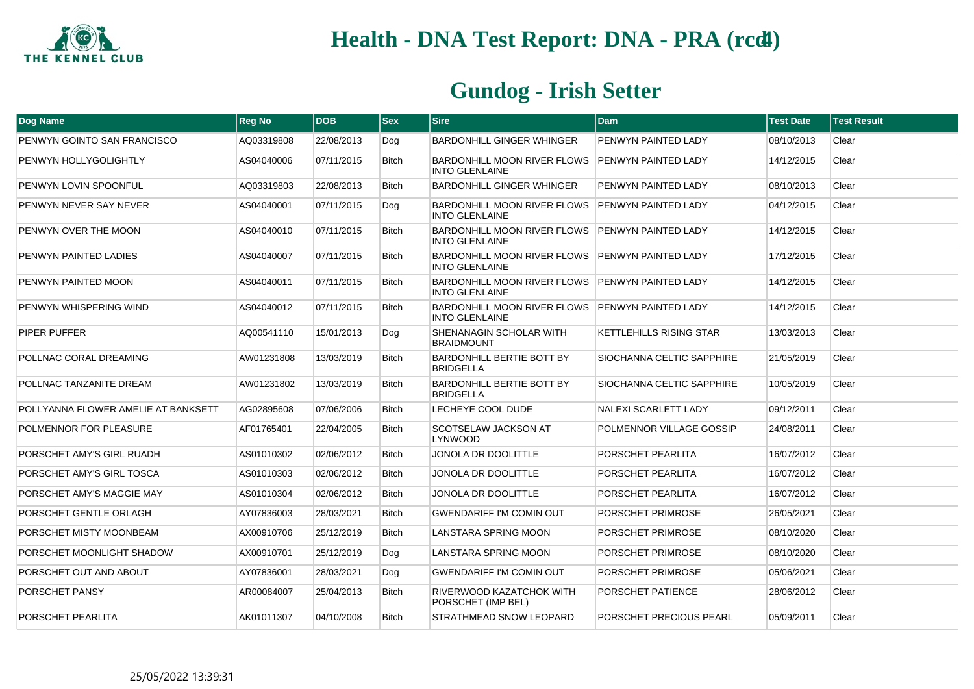

| <b>Dog Name</b>                     | <b>Reg No</b> | <b>DOB</b> | $ $ Sex      | <b>Sire</b>                                                              | <b>Dam</b>                  | <b>Test Date</b> | <b>Test Result</b> |
|-------------------------------------|---------------|------------|--------------|--------------------------------------------------------------------------|-----------------------------|------------------|--------------------|
| PENWYN GOINTO SAN FRANCISCO         | AQ03319808    | 22/08/2013 | Dog          | <b>BARDONHILL GINGER WHINGER</b>                                         | PENWYN PAINTED LADY         | 08/10/2013       | Clear              |
| PENWYN HOLLYGOLIGHTLY               | AS04040006    | 07/11/2015 | <b>Bitch</b> | <b>BARDONHILL MOON RIVER FLOWS</b><br><b>INTO GLENLAINE</b>              | <b>PENWYN PAINTED LADY</b>  | 14/12/2015       | Clear              |
| PENWYN LOVIN SPOONFUL               | AQ03319803    | 22/08/2013 | Bitch        | <b>BARDONHILL GINGER WHINGER</b>                                         | PENWYN PAINTED LADY         | 08/10/2013       | Clear              |
| PENWYN NEVER SAY NEVER              | AS04040001    | 07/11/2015 | Dog          | BARDONHILL MOON RIVER FLOWS PENWYN PAINTED LADY<br><b>INTO GLENLAINE</b> |                             | 04/12/2015       | Clear              |
| PENWYN OVER THE MOON                | AS04040010    | 07/11/2015 | <b>Bitch</b> | BARDONHILL MOON RIVER FLOWS PENWYN PAINTED LADY<br><b>INTO GLENLAINE</b> |                             | 14/12/2015       | Clear              |
| PENWYN PAINTED LADIES               | AS04040007    | 07/11/2015 | Bitch        | BARDONHILL MOON RIVER FLOWS PENWYN PAINTED LADY<br><b>INTO GLENLAINE</b> |                             | 17/12/2015       | Clear              |
| PENWYN PAINTED MOON                 | AS04040011    | 07/11/2015 | <b>Bitch</b> | <b>BARDONHILL MOON RIVER FLOWS</b><br><b>INTO GLENLAINE</b>              | <b>PENWYN PAINTED LADY</b>  | 14/12/2015       | Clear              |
| PENWYN WHISPERING WIND              | AS04040012    | 07/11/2015 | <b>Bitch</b> | BARDONHILL MOON RIVER FLOWS PENWYN PAINTED LADY<br><b>INTO GLENLAINE</b> |                             | 14/12/2015       | Clear              |
| PIPER PUFFER                        | AQ00541110    | 15/01/2013 | Dog          | SHENANAGIN SCHOLAR WITH<br><b>BRAIDMOUNT</b>                             | KETTLEHILLS RISING STAR     | 13/03/2013       | Clear              |
| POLLNAC CORAL DREAMING              | AW01231808    | 13/03/2019 | <b>Bitch</b> | <b>BARDONHILL BERTIE BOTT BY</b><br><b>BRIDGELLA</b>                     | SIOCHANNA CELTIC SAPPHIRE   | 21/05/2019       | Clear              |
| POLLNAC TANZANITE DREAM             | AW01231802    | 13/03/2019 | Bitch        | BARDONHILL BERTIE BOTT BY<br><b>BRIDGELLA</b>                            | SIOCHANNA CELTIC SAPPHIRE   | 10/05/2019       | Clear              |
| POLLYANNA FLOWER AMELIE AT BANKSETT | AG02895608    | 07/06/2006 | <b>Bitch</b> | LECHEYE COOL DUDE                                                        | <b>NALEXI SCARLETT LADY</b> | 09/12/2011       | Clear              |
| POLMENNOR FOR PLEASURE              | AF01765401    | 22/04/2005 | Bitch        | SCOTSELAW JACKSON AT<br><b>LYNWOOD</b>                                   | POLMENNOR VILLAGE GOSSIP    | 24/08/2011       | Clear              |
| PORSCHET AMY'S GIRL RUADH           | AS01010302    | 02/06/2012 | Bitch        | JONOLA DR DOOLITTLE                                                      | PORSCHET PEARLITA           | 16/07/2012       | Clear              |
| PORSCHET AMY'S GIRL TOSCA           | AS01010303    | 02/06/2012 | <b>Bitch</b> | JONOLA DR DOOLITTLE                                                      | PORSCHET PEARLITA           | 16/07/2012       | Clear              |
| PORSCHET AMY'S MAGGIE MAY           | AS01010304    | 02/06/2012 | Bitch        | JONOLA DR DOOLITTLE                                                      | PORSCHET PEARLITA           | 16/07/2012       | Clear              |
| PORSCHET GENTLE ORLAGH              | AY07836003    | 28/03/2021 | Bitch        | <b>GWENDARIFF I'M COMIN OUT</b>                                          | PORSCHET PRIMROSE           | 26/05/2021       | Clear              |
| PORSCHET MISTY MOONBEAM             | AX00910706    | 25/12/2019 | Bitch        | LANSTARA SPRING MOON                                                     | PORSCHET PRIMROSE           | 08/10/2020       | Clear              |
| PORSCHET MOONLIGHT SHADOW           | AX00910701    | 25/12/2019 | Dog          | LANSTARA SPRING MOON                                                     | PORSCHET PRIMROSE           | 08/10/2020       | Clear              |
| PORSCHET OUT AND ABOUT              | AY07836001    | 28/03/2021 | Dog          | <b>GWENDARIFF I'M COMIN OUT</b>                                          | PORSCHET PRIMROSE           | 05/06/2021       | Clear              |
| PORSCHET PANSY                      | AR00084007    | 25/04/2013 | Bitch        | RIVERWOOD KAZATCHOK WITH<br>PORSCHET (IMP BEL)                           | PORSCHET PATIENCE           | 28/06/2012       | Clear              |
| PORSCHET PEARLITA                   | AK01011307    | 04/10/2008 | Bitch        | STRATHMEAD SNOW LEOPARD                                                  | PORSCHET PRECIOUS PEARL     | 05/09/2011       | Clear              |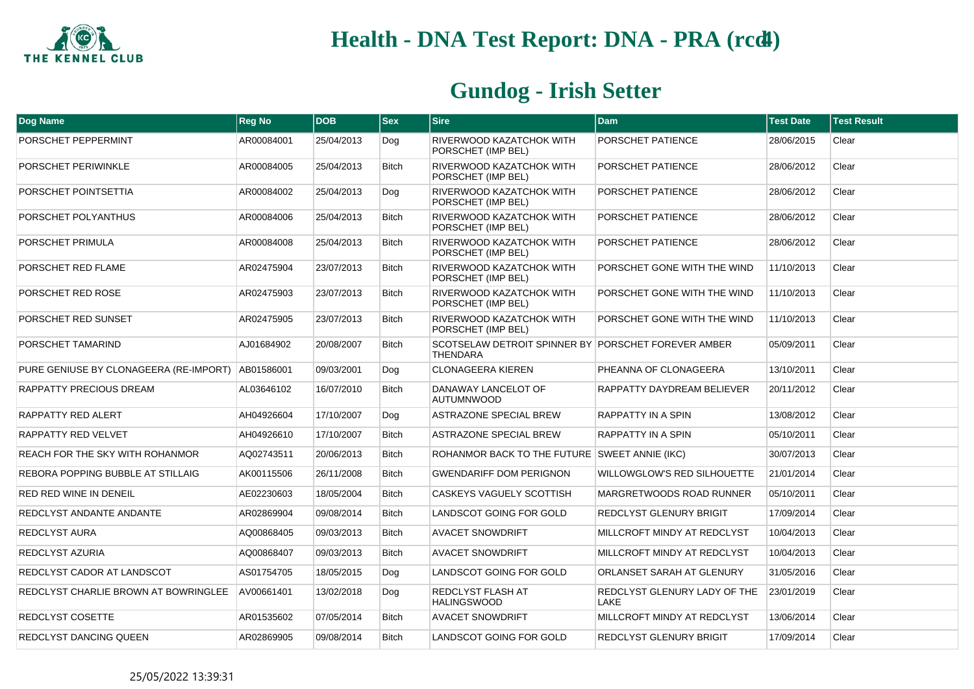

| Dog Name                                            | <b>Reg No</b> | <b>DOB</b> | <b>Sex</b>   | <b>Sire</b>                                                            | <b>Dam</b>                           | <b>Test Date</b> | <b>Test Result</b> |
|-----------------------------------------------------|---------------|------------|--------------|------------------------------------------------------------------------|--------------------------------------|------------------|--------------------|
| PORSCHET PEPPERMINT                                 | AR00084001    | 25/04/2013 | Dog          | RIVERWOOD KAZATCHOK WITH<br>PORSCHET (IMP BEL)                         | PORSCHET PATIENCE                    | 28/06/2015       | Clear              |
| PORSCHET PERIWINKLE                                 | AR00084005    | 25/04/2013 | <b>Bitch</b> | RIVERWOOD KAZATCHOK WITH<br>PORSCHET (IMP BEL)                         | PORSCHET PATIENCE                    | 28/06/2012       | Clear              |
| PORSCHET POINTSETTIA                                | AR00084002    | 25/04/2013 | Dog          | RIVERWOOD KAZATCHOK WITH<br>PORSCHET (IMP BEL)                         | PORSCHET PATIENCE                    | 28/06/2012       | Clear              |
| PORSCHET POLYANTHUS                                 | AR00084006    | 25/04/2013 | <b>Bitch</b> | RIVERWOOD KAZATCHOK WITH<br>PORSCHET (IMP BEL)                         | PORSCHET PATIENCE                    | 28/06/2012       | Clear              |
| PORSCHET PRIMULA                                    | AR00084008    | 25/04/2013 | <b>Bitch</b> | RIVERWOOD KAZATCHOK WITH<br>PORSCHET (IMP BEL)                         | PORSCHET PATIENCE                    | 28/06/2012       | Clear              |
| PORSCHET RED FLAME                                  | AR02475904    | 23/07/2013 | <b>Bitch</b> | RIVERWOOD KAZATCHOK WITH<br>PORSCHET (IMP BEL)                         | PORSCHET GONE WITH THE WIND          | 11/10/2013       | Clear              |
| PORSCHET RED ROSE                                   | AR02475903    | 23/07/2013 | <b>Bitch</b> | RIVERWOOD KAZATCHOK WITH<br>PORSCHET (IMP BEL)                         | PORSCHET GONE WITH THE WIND          | 11/10/2013       | Clear              |
| PORSCHET RED SUNSET                                 | AR02475905    | 23/07/2013 | <b>Bitch</b> | RIVERWOOD KAZATCHOK WITH<br>PORSCHET (IMP BEL)                         | PORSCHET GONE WITH THE WIND          | 11/10/2013       | Clear              |
| PORSCHET TAMARIND                                   | AJ01684902    | 20/08/2007 | <b>Bitch</b> | SCOTSELAW DETROIT SPINNER BY PORSCHET FOREVER AMBER<br><b>THENDARA</b> |                                      | 05/09/2011       | Clear              |
| PURE GENIUSE BY CLONAGEERA (RE-IMPORT)   AB01586001 |               | 09/03/2001 | Dog          | <b>CLONAGEERA KIEREN</b>                                               | PHEANNA OF CLONAGEERA                | 13/10/2011       | Clear              |
| RAPPATTY PRECIOUS DREAM                             | AL03646102    | 16/07/2010 | <b>Bitch</b> | DANAWAY LANCELOT OF<br><b>AUTUMNWOOD</b>                               | RAPPATTY DAYDREAM BELIEVER           | 20/11/2012       | Clear              |
| RAPPATTY RED ALERT                                  | AH04926604    | 17/10/2007 | Dog          | <b>ASTRAZONE SPECIAL BREW</b>                                          | <b>RAPPATTY IN A SPIN</b>            | 13/08/2012       | Clear              |
| <b>RAPPATTY RED VELVET</b>                          | AH04926610    | 17/10/2007 | <b>Bitch</b> | <b>ASTRAZONE SPECIAL BREW</b>                                          | RAPPATTY IN A SPIN                   | 05/10/2011       | Clear              |
| REACH FOR THE SKY WITH ROHANMOR                     | AQ02743511    | 20/06/2013 | <b>Bitch</b> | ROHANMOR BACK TO THE FUTURE SWEET ANNIE (IKC)                          |                                      | 30/07/2013       | Clear              |
| REBORA POPPING BUBBLE AT STILLAIG                   | AK00115506    | 26/11/2008 | <b>Bitch</b> | <b>GWENDARIFF DOM PERIGNON</b>                                         | WILLOWGLOW'S RED SILHOUETTE          | 21/01/2014       | Clear              |
| RED RED WINE IN DENEIL                              | AE02230603    | 18/05/2004 | <b>Bitch</b> | CASKEYS VAGUELY SCOTTISH                                               | MARGRETWOODS ROAD RUNNER             | 05/10/2011       | Clear              |
| REDCLYST ANDANTE ANDANTE                            | AR02869904    | 09/08/2014 | <b>Bitch</b> | LANDSCOT GOING FOR GOLD                                                | REDCLYST GLENURY BRIGIT              | 17/09/2014       | Clear              |
| REDCLYST AURA                                       | AQ00868405    | 09/03/2013 | <b>Bitch</b> | <b>AVACET SNOWDRIFT</b>                                                | MILLCROFT MINDY AT REDCLYST          | 10/04/2013       | Clear              |
| REDCLYST AZURIA                                     | AQ00868407    | 09/03/2013 | <b>Bitch</b> | <b>AVACET SNOWDRIFT</b>                                                | MILLCROFT MINDY AT REDCLYST          | 10/04/2013       | Clear              |
| REDCLYST CADOR AT LANDSCOT                          | AS01754705    | 18/05/2015 | Dog          | LANDSCOT GOING FOR GOLD                                                | ORLANSET SARAH AT GLENURY            | 31/05/2016       | Clear              |
| REDCLYST CHARLIE BROWN AT BOWRINGLEE                | AV00661401    | 13/02/2018 | Dog          | REDCLYST FLASH AT<br><b>HALINGSWOOD</b>                                | REDCLYST GLENURY LADY OF THE<br>LAKE | 23/01/2019       | Clear              |
| REDCLYST COSETTE                                    | AR01535602    | 07/05/2014 | <b>Bitch</b> | <b>AVACET SNOWDRIFT</b>                                                | MILLCROFT MINDY AT REDCLYST          | 13/06/2014       | Clear              |
| REDCLYST DANCING QUEEN                              | AR02869905    | 09/08/2014 | <b>Bitch</b> | LANDSCOT GOING FOR GOLD                                                | REDCLYST GLENURY BRIGIT              | 17/09/2014       | Clear              |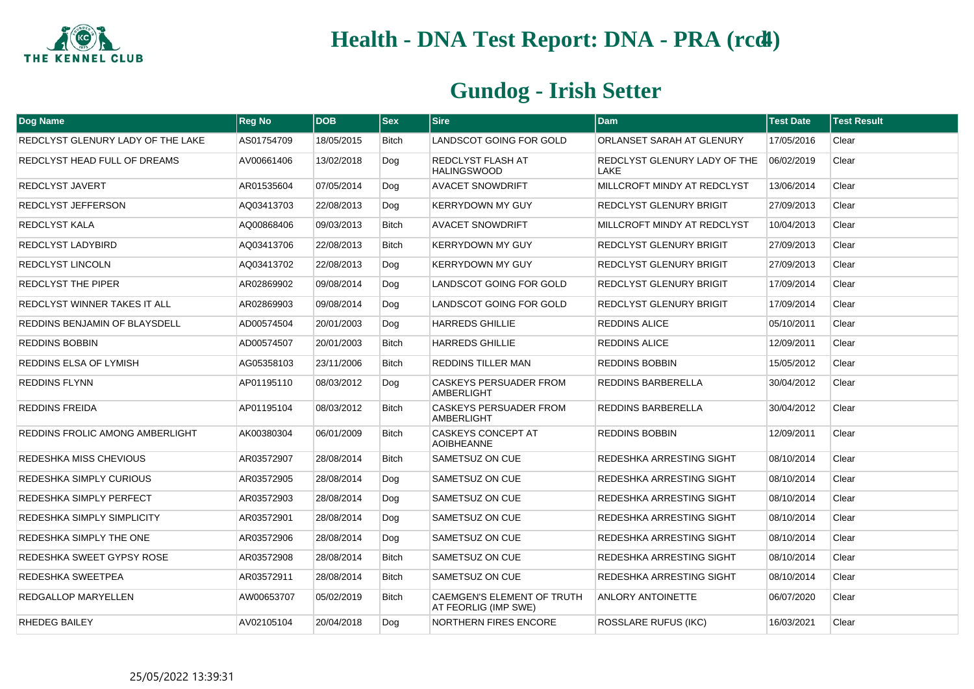

| <b>Dog Name</b>                   | <b>Reg No</b> | <b>DOB</b> | $ $ Sex      | <b>Sire</b>                                               | <b>Dam</b>                                  | <b>Test Date</b> | <b>Test Result</b> |
|-----------------------------------|---------------|------------|--------------|-----------------------------------------------------------|---------------------------------------------|------------------|--------------------|
| REDCLYST GLENURY LADY OF THE LAKE | AS01754709    | 18/05/2015 | <b>Bitch</b> | LANDSCOT GOING FOR GOLD                                   | ORLANSET SARAH AT GLENURY                   | 17/05/2016       | Clear              |
| REDCLYST HEAD FULL OF DREAMS      | AV00661406    | 13/02/2018 | Dog          | REDCLYST FLASH AT<br><b>HALINGSWOOD</b>                   | <b>REDCLYST GLENURY LADY OF THE</b><br>LAKE | 06/02/2019       | Clear              |
| REDCLYST JAVERT                   | AR01535604    | 07/05/2014 | Dog          | <b>AVACET SNOWDRIFT</b>                                   | MILLCROFT MINDY AT REDCLYST                 | 13/06/2014       | Clear              |
| REDCLYST JEFFERSON                | AQ03413703    | 22/08/2013 | Dog          | <b>KERRYDOWN MY GUY</b>                                   | <b>REDCLYST GLENURY BRIGIT</b>              | 27/09/2013       | Clear              |
| <b>REDCLYST KALA</b>              | AQ00868406    | 09/03/2013 | <b>Bitch</b> | <b>AVACET SNOWDRIFT</b>                                   | MILLCROFT MINDY AT REDCLYST                 | 10/04/2013       | Clear              |
| REDCLYST LADYBIRD                 | AQ03413706    | 22/08/2013 | Bitch        | <b>KERRYDOWN MY GUY</b>                                   | <b>REDCLYST GLENURY BRIGIT</b>              | 27/09/2013       | Clear              |
| REDCLYST LINCOLN                  | AQ03413702    | 22/08/2013 | Dog          | <b>KERRYDOWN MY GUY</b>                                   | <b>REDCLYST GLENURY BRIGIT</b>              | 27/09/2013       | Clear              |
| REDCLYST THE PIPER                | AR02869902    | 09/08/2014 | Dog          | LANDSCOT GOING FOR GOLD                                   | REDCLYST GLENURY BRIGIT                     | 17/09/2014       | Clear              |
| REDCLYST WINNER TAKES IT ALL      | AR02869903    | 09/08/2014 | Dog          | LANDSCOT GOING FOR GOLD                                   | REDCLYST GLENURY BRIGIT                     | 17/09/2014       | Clear              |
| REDDINS BENJAMIN OF BLAYSDELL     | AD00574504    | 20/01/2003 | Dog          | <b>HARREDS GHILLIE</b>                                    | <b>REDDINS ALICE</b>                        | 05/10/2011       | Clear              |
| REDDINS BOBBIN                    | AD00574507    | 20/01/2003 | Bitch        | <b>HARREDS GHILLIE</b>                                    | <b>REDDINS ALICE</b>                        | 12/09/2011       | Clear              |
| REDDINS ELSA OF LYMISH            | AG05358103    | 23/11/2006 | <b>Bitch</b> | REDDINS TILLER MAN                                        | <b>REDDINS BOBBIN</b>                       | 15/05/2012       | Clear              |
| <b>REDDINS FLYNN</b>              | AP01195110    | 08/03/2012 | Dog          | <b>CASKEYS PERSUADER FROM</b><br>AMBERLIGHT               | <b>REDDINS BARBERELLA</b>                   | 30/04/2012       | Clear              |
| <b>REDDINS FREIDA</b>             | AP01195104    | 08/03/2012 | <b>Bitch</b> | <b>CASKEYS PERSUADER FROM</b><br>AMBERLIGHT               | <b>REDDINS BARBERELLA</b>                   | 30/04/2012       | Clear              |
| REDDINS FROLIC AMONG AMBERLIGHT   | AK00380304    | 06/01/2009 | <b>Bitch</b> | <b>CASKEYS CONCEPT AT</b><br><b>AOIBHEANNE</b>            | <b>REDDINS BOBBIN</b>                       | 12/09/2011       | Clear              |
| REDESHKA MISS CHEVIOUS            | AR03572907    | 28/08/2014 | <b>Bitch</b> | SAMETSUZ ON CUE                                           | REDESHKA ARRESTING SIGHT                    | 08/10/2014       | Clear              |
| REDESHKA SIMPLY CURIOUS           | AR03572905    | 28/08/2014 | Dog          | SAMETSUZ ON CUE                                           | <b>REDESHKA ARRESTING SIGHT</b>             | 08/10/2014       | Clear              |
| REDESHKA SIMPLY PERFECT           | AR03572903    | 28/08/2014 | Dog          | SAMETSUZ ON CUE                                           | REDESHKA ARRESTING SIGHT                    | 08/10/2014       | Clear              |
| REDESHKA SIMPLY SIMPLICITY        | AR03572901    | 28/08/2014 | Dog          | SAMETSUZ ON CUE                                           | REDESHKA ARRESTING SIGHT                    | 08/10/2014       | Clear              |
| REDESHKA SIMPLY THE ONE           | AR03572906    | 28/08/2014 | Dog          | SAMETSUZ ON CUE                                           | REDESHKA ARRESTING SIGHT                    | 08/10/2014       | Clear              |
| REDESHKA SWEET GYPSY ROSE         | AR03572908    | 28/08/2014 | <b>Bitch</b> | SAMETSUZ ON CUE                                           | REDESHKA ARRESTING SIGHT                    | 08/10/2014       | Clear              |
| REDESHKA SWEETPEA                 | AR03572911    | 28/08/2014 | Bitch        | SAMETSUZ ON CUE                                           | <b>REDESHKA ARRESTING SIGHT</b>             | 08/10/2014       | Clear              |
| REDGALLOP MARYELLEN               | AW00653707    | 05/02/2019 | Bitch        | <b>CAEMGEN'S ELEMENT OF TRUTH</b><br>AT FEORLIG (IMP SWE) | ANLORY ANTOINETTE                           | 06/07/2020       | Clear              |
| RHEDEG BAILEY                     | AV02105104    | 20/04/2018 | Dog          | NORTHERN FIRES ENCORE                                     | <b>ROSSLARE RUFUS (IKC)</b>                 | 16/03/2021       | Clear              |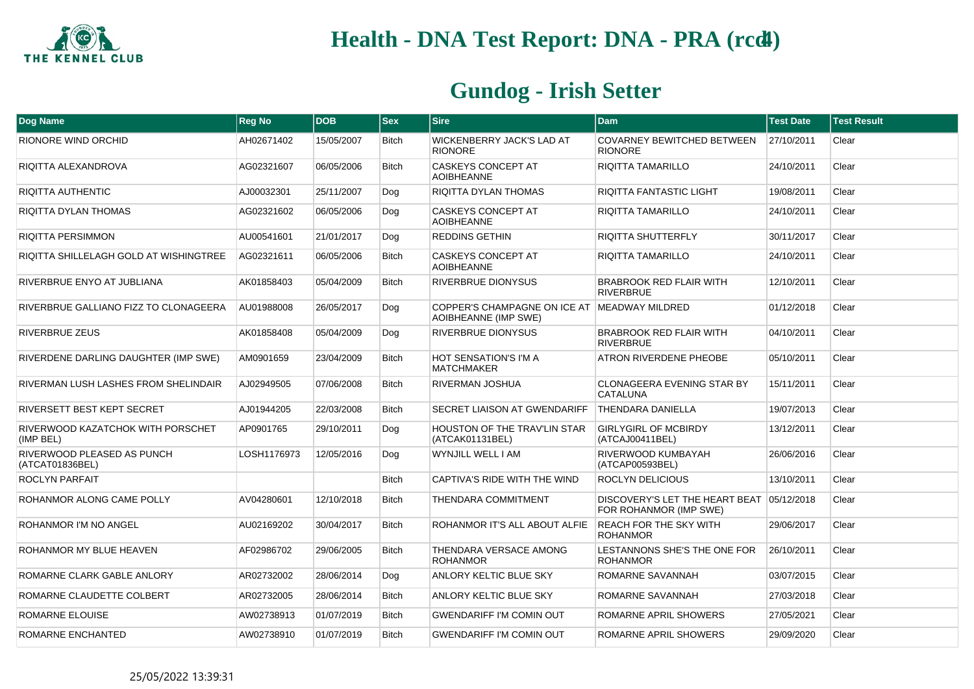

| Dog Name                                       | <b>Reg No</b> | <b>DOB</b> | $ $ Sex      | <b>Sire</b>                                                           | <b>Dam</b>                                                          | <b>Test Date</b> | <b>Test Result</b> |
|------------------------------------------------|---------------|------------|--------------|-----------------------------------------------------------------------|---------------------------------------------------------------------|------------------|--------------------|
| RIONORE WIND ORCHID                            | AH02671402    | 15/05/2007 | <b>Bitch</b> | WICKENBERRY JACK'S LAD AT<br><b>RIONORE</b>                           | COVARNEY BEWITCHED BETWEEN<br><b>RIONORE</b>                        | 27/10/2011       | Clear              |
| RIQITTA ALEXANDROVA                            | AG02321607    | 06/05/2006 | <b>Bitch</b> | CASKEYS CONCEPT AT<br><b>AOIBHEANNE</b>                               | RIQITTA TAMARILLO                                                   | 24/10/2011       | Clear              |
| RIQITTA AUTHENTIC                              | AJ00032301    | 25/11/2007 | Dog          | RIQITTA DYLAN THOMAS                                                  | <b>RIQITTA FANTASTIC LIGHT</b>                                      | 19/08/2011       | Clear              |
| RIQITTA DYLAN THOMAS                           | AG02321602    | 06/05/2006 | Dog          | CASKEYS CONCEPT AT<br><b>AOIBHEANNE</b>                               | RIQITTA TAMARILLO                                                   | 24/10/2011       | Clear              |
| <b>RIQITTA PERSIMMON</b>                       | AU00541601    | 21/01/2017 | Dog          | <b>REDDINS GETHIN</b>                                                 | <b>RIQITTA SHUTTERFLY</b>                                           | 30/11/2017       | Clear              |
| RIQITTA SHILLELAGH GOLD AT WISHINGTREE         | AG02321611    | 06/05/2006 | <b>Bitch</b> | <b>CASKEYS CONCEPT AT</b><br><b>AOIBHEANNE</b>                        | <b>RIQITTA TAMARILLO</b>                                            | 24/10/2011       | Clear              |
| RIVERBRUE ENYO AT JUBLIANA                     | AK01858403    | 05/04/2009 | <b>Bitch</b> | RIVERBRUE DIONYSUS                                                    | BRABROOK RED FLAIR WITH<br><b>RIVERBRUE</b>                         | 12/10/2011       | Clear              |
| RIVERBRUE GALLIANO FIZZ TO CLONAGEERA          | AU01988008    | 26/05/2017 | Dog          | COPPER'S CHAMPAGNE ON ICE AT IMEADWAY MILDRED<br>AOIBHEANNE (IMP SWE) |                                                                     | 01/12/2018       | Clear              |
| RIVERBRUE ZEUS                                 | AK01858408    | 05/04/2009 | Dog          | RIVERBRUE DIONYSUS                                                    | <b>BRABROOK RED FLAIR WITH</b><br><b>RIVERBRUE</b>                  | 04/10/2011       | Clear              |
| RIVERDENE DARLING DAUGHTER (IMP SWE)           | AM0901659     | 23/04/2009 | <b>Bitch</b> | HOT SENSATION'S I'M A<br><b>MATCHMAKER</b>                            | ATRON RIVERDENE PHEOBE                                              | 05/10/2011       | Clear              |
| RIVERMAN LUSH LASHES FROM SHELINDAIR           | AJ02949505    | 07/06/2008 | <b>Bitch</b> | RIVERMAN JOSHUA                                                       | <b>CLONAGEERA EVENING STAR BY</b><br><b>CATALUNA</b>                | 15/11/2011       | Clear              |
| RIVERSETT BEST KEPT SECRET                     | AJ01944205    | 22/03/2008 | <b>Bitch</b> | SECRET LIAISON AT GWENDARIFF                                          | <b>THENDARA DANIELLA</b>                                            | 19/07/2013       | Clear              |
| RIVERWOOD KAZATCHOK WITH PORSCHET<br>(IMP BEL) | AP0901765     | 29/10/2011 | Dog          | HOUSTON OF THE TRAV'LIN STAR<br>(ATCAK01131BEL)                       | <b>GIRLYGIRL OF MCBIRDY</b><br>(ATCAJ00411BEL)                      | 13/12/2011       | Clear              |
| RIVERWOOD PLEASED AS PUNCH<br>(ATCAT01836BEL)  | LOSH1176973   | 12/05/2016 | Dog          | WYNJILL WELL I AM                                                     | RIVERWOOD KUMBAYAH<br>(ATCAP00593BEL)                               | 26/06/2016       | Clear              |
| ROCLYN PARFAIT                                 |               |            | <b>Bitch</b> | CAPTIVA'S RIDE WITH THE WIND                                          | ROCLYN DELICIOUS                                                    | 13/10/2011       | Clear              |
| ROHANMOR ALONG CAME POLLY                      | AV04280601    | 12/10/2018 | <b>Bitch</b> | THENDARA COMMITMENT                                                   | DISCOVERY'S LET THE HEART BEAT 05/12/2018<br>FOR ROHANMOR (IMP SWE) |                  | Clear              |
| ROHANMOR I'M NO ANGEL                          | AU02169202    | 30/04/2017 | <b>Bitch</b> | ROHANMOR IT'S ALL ABOUT ALFIE                                         | <b>REACH FOR THE SKY WITH</b><br><b>ROHANMOR</b>                    | 29/06/2017       | Clear              |
| ROHANMOR MY BLUE HEAVEN                        | AF02986702    | 29/06/2005 | <b>Bitch</b> | THENDARA VERSACE AMONG<br><b>ROHANMOR</b>                             | LESTANNONS SHE'S THE ONE FOR<br><b>ROHANMOR</b>                     | 26/10/2011       | Clear              |
| ROMARNE CLARK GABLE ANLORY                     | AR02732002    | 28/06/2014 | Dog          | ANLORY KELTIC BLUE SKY                                                | ROMARNE SAVANNAH                                                    | 03/07/2015       | Clear              |
| ROMARNE CLAUDETTE COLBERT                      | AR02732005    | 28/06/2014 | <b>Bitch</b> | ANLORY KELTIC BLUE SKY                                                | ROMARNE SAVANNAH                                                    | 27/03/2018       | Clear              |
| ROMARNE ELOUISE                                | AW02738913    | 01/07/2019 | <b>Bitch</b> | <b>GWENDARIFF I'M COMIN OUT</b>                                       | ROMARNE APRIL SHOWERS                                               | 27/05/2021       | Clear              |
| ROMARNE ENCHANTED                              | AW02738910    | 01/07/2019 | <b>Bitch</b> | <b>GWENDARIFF I'M COMIN OUT</b>                                       | ROMARNE APRIL SHOWERS                                               | 29/09/2020       | Clear              |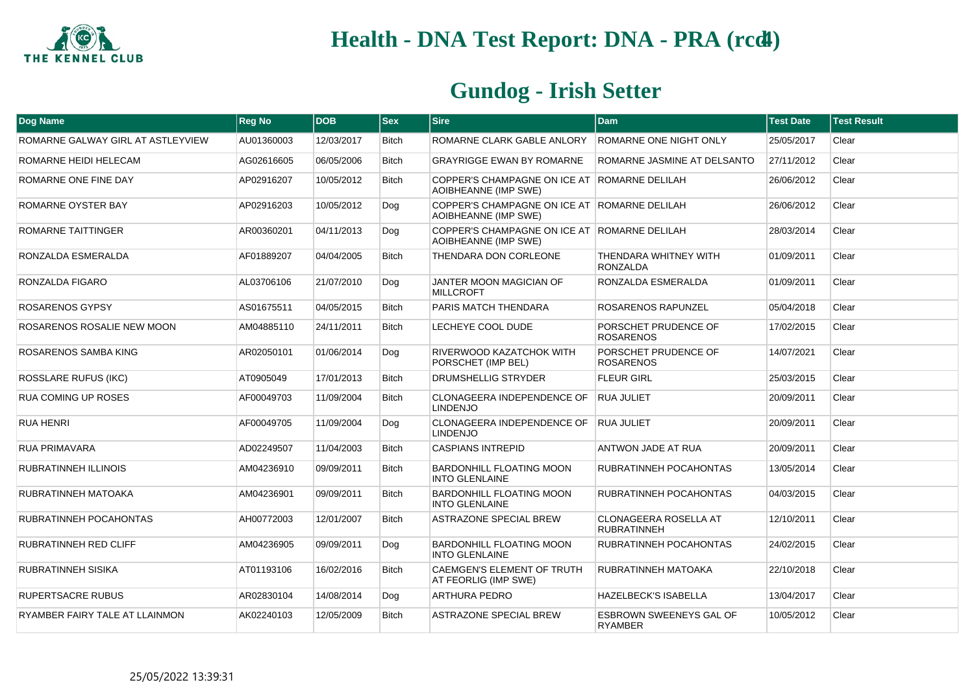

| Dog Name                          | <b>Reg No</b> | <b>DOB</b> | $ s_{ex} $   | <b>Sire</b>                                                           | <b>Dam</b>                                         | <b>Test Date</b> | <b>Test Result</b> |
|-----------------------------------|---------------|------------|--------------|-----------------------------------------------------------------------|----------------------------------------------------|------------------|--------------------|
| ROMARNE GALWAY GIRL AT ASTLEYVIEW | AU01360003    | 12/03/2017 | <b>Bitch</b> | ROMARNE CLARK GABLE ANLORY                                            | ROMARNE ONE NIGHT ONLY                             | 25/05/2017       | Clear              |
| ROMARNE HEIDI HELECAM             | AG02616605    | 06/05/2006 | <b>Bitch</b> | <b>GRAYRIGGE EWAN BY ROMARNE</b>                                      | ROMARNE JASMINE AT DELSANTO                        | 27/11/2012       | Clear              |
| ROMARNE ONE FINE DAY              | AP02916207    | 10/05/2012 | <b>Bitch</b> | COPPER'S CHAMPAGNE ON ICE AT FROMARNE DELILAH<br>AOIBHEANNE (IMP SWE) |                                                    | 26/06/2012       | Clear              |
| ROMARNE OYSTER BAY                | AP02916203    | 10/05/2012 | Dog          | COPPER'S CHAMPAGNE ON ICE AT ROMARNE DELILAH<br>AOIBHEANNE (IMP SWE)  |                                                    | 26/06/2012       | Clear              |
| ROMARNE TAITTINGER                | AR00360201    | 04/11/2013 | Dog          | COPPER'S CHAMPAGNE ON ICE AT ROMARNE DELILAH<br>AOIBHEANNE (IMP SWE)  |                                                    | 28/03/2014       | Clear              |
| RONZALDA ESMERALDA                | AF01889207    | 04/04/2005 | <b>Bitch</b> | THENDARA DON CORLEONE                                                 | THENDARA WHITNEY WITH<br><b>RONZALDA</b>           | 01/09/2011       | Clear              |
| RONZALDA FIGARO                   | AL03706106    | 21/07/2010 | Dog          | JANTER MOON MAGICIAN OF<br><b>MILLCROFT</b>                           | RONZALDA ESMERALDA                                 | 01/09/2011       | Clear              |
| ROSARENOS GYPSY                   | AS01675511    | 04/05/2015 | <b>Bitch</b> | PARIS MATCH THENDARA                                                  | ROSARENOS RAPUNZEL                                 | 05/04/2018       | Clear              |
| ROSARENOS ROSALIE NEW MOON        | AM04885110    | 24/11/2011 | Bitch        | LECHEYE COOL DUDE                                                     | PORSCHET PRUDENCE OF<br><b>ROSARENOS</b>           | 17/02/2015       | Clear              |
| ROSARENOS SAMBA KING              | AR02050101    | 01/06/2014 | Dog          | RIVERWOOD KAZATCHOK WITH<br>PORSCHET (IMP BEL)                        | PORSCHET PRUDENCE OF<br><b>ROSARENOS</b>           | 14/07/2021       | Clear              |
| <b>ROSSLARE RUFUS (IKC)</b>       | AT0905049     | 17/01/2013 | <b>Bitch</b> | <b>DRUMSHELLIG STRYDER</b>                                            | <b>FLEUR GIRL</b>                                  | 25/03/2015       | Clear              |
| <b>RUA COMING UP ROSES</b>        | AF00049703    | 11/09/2004 | <b>Bitch</b> | <b>CLONAGEERA INDEPENDENCE OF</b><br><b>LINDENJO</b>                  | <b>RUA JULIET</b>                                  | 20/09/2011       | Clear              |
| <b>RUA HENRI</b>                  | AF00049705    | 11/09/2004 | Dog          | CLONAGEERA INDEPENDENCE OF<br><b>LINDENJO</b>                         | <b>RUA JULIET</b>                                  | 20/09/2011       | Clear              |
| <b>RUA PRIMAVARA</b>              | AD02249507    | 11/04/2003 | <b>Bitch</b> | <b>CASPIANS INTREPID</b>                                              | ANTWON JADE AT RUA                                 | 20/09/2011       | Clear              |
| RUBRATINNEH ILLINOIS              | AM04236910    | 09/09/2011 | <b>Bitch</b> | <b>BARDONHILL FLOATING MOON</b><br><b>INTO GLENLAINE</b>              | RUBRATINNEH POCAHONTAS                             | 13/05/2014       | Clear              |
| RUBRATINNEH MATOAKA               | AM04236901    | 09/09/2011 | <b>Bitch</b> | BARDONHILL FLOATING MOON<br><b>INTO GLENLAINE</b>                     | RUBRATINNEH POCAHONTAS                             | 04/03/2015       | Clear              |
| RUBRATINNEH POCAHONTAS            | AH00772003    | 12/01/2007 | <b>Bitch</b> | <b>ASTRAZONE SPECIAL BREW</b>                                         | <b>CLONAGEERA ROSELLA AT</b><br><b>RUBRATINNEH</b> | 12/10/2011       | Clear              |
| RUBRATINNEH RED CLIFF             | AM04236905    | 09/09/2011 | Dog          | <b>BARDONHILL FLOATING MOON</b><br><b>INTO GLENLAINE</b>              | RUBRATINNEH POCAHONTAS                             | 24/02/2015       | Clear              |
| <b>RUBRATINNEH SISIKA</b>         | AT01193106    | 16/02/2016 | <b>Bitch</b> | <b>CAEMGEN'S ELEMENT OF TRUTH</b><br>AT FEORLIG (IMP SWE)             | <b>RUBRATINNEH MATOAKA</b>                         | 22/10/2018       | Clear              |
| <b>RUPERTSACRE RUBUS</b>          | AR02830104    | 14/08/2014 | Dog          | <b>ARTHURA PEDRO</b>                                                  | <b>HAZELBECK'S ISABELLA</b>                        | 13/04/2017       | Clear              |
| RYAMBER FAIRY TALE AT LLAINMON    | AK02240103    | 12/05/2009 | <b>Bitch</b> | <b>ASTRAZONE SPECIAL BREW</b>                                         | <b>ESBROWN SWEENEYS GAL OF</b><br>RYAMBER          | 10/05/2012       | Clear              |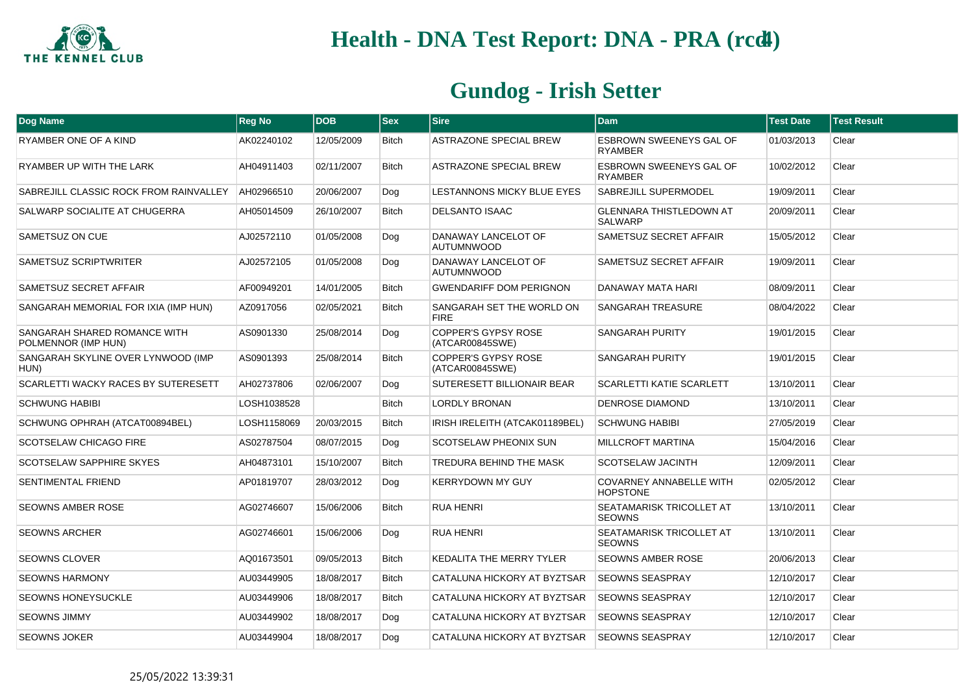

| Dog Name                                            | <b>Reg No</b> | <b>DOB</b> | <b>Sex</b>   | <b>Sire</b>                                   | <b>Dam</b>                                        | <b>Test Date</b> | <b>Test Result</b> |
|-----------------------------------------------------|---------------|------------|--------------|-----------------------------------------------|---------------------------------------------------|------------------|--------------------|
| RYAMBER ONE OF A KIND                               | AK02240102    | 12/05/2009 | <b>Bitch</b> | ASTRAZONE SPECIAL BREW                        | <b>ESBROWN SWEENEYS GAL OF</b><br><b>RYAMBER</b>  | 01/03/2013       | Clear              |
| RYAMBER UP WITH THE LARK                            | AH04911403    | 02/11/2007 | <b>Bitch</b> | ASTRAZONE SPECIAL BREW                        | <b>ESBROWN SWEENEYS GAL OF</b><br><b>RYAMBER</b>  | 10/02/2012       | Clear              |
| SABREJILL CLASSIC ROCK FROM RAINVALLEY              | AH02966510    | 20/06/2007 | Dog          | LESTANNONS MICKY BLUE EYES                    | <b>SABREJILL SUPERMODEL</b>                       | 19/09/2011       | Clear              |
| SALWARP SOCIALITE AT CHUGERRA                       | AH05014509    | 26/10/2007 | <b>Bitch</b> | <b>DELSANTO ISAAC</b>                         | <b>GLENNARA THISTLEDOWN AT</b><br><b>SALWARP</b>  | 20/09/2011       | Clear              |
| SAMETSUZ ON CUE                                     | AJ02572110    | 01/05/2008 | Dog          | DANAWAY LANCELOT OF<br><b>AUTUMNWOOD</b>      | SAMETSUZ SECRET AFFAIR                            | 15/05/2012       | Clear              |
| SAMETSUZ SCRIPTWRITER                               | AJ02572105    | 01/05/2008 | Dog          | DANAWAY LANCELOT OF<br><b>AUTUMNWOOD</b>      | SAMETSUZ SECRET AFFAIR                            | 19/09/2011       | Clear              |
| SAMETSUZ SECRET AFFAIR                              | AF00949201    | 14/01/2005 | <b>Bitch</b> | <b>GWENDARIFF DOM PERIGNON</b>                | DANAWAY MATA HARI                                 | 08/09/2011       | Clear              |
| SANGARAH MEMORIAL FOR IXIA (IMP HUN)                | AZ0917056     | 02/05/2021 | <b>Bitch</b> | SANGARAH SET THE WORLD ON<br><b>FIRE</b>      | <b>SANGARAH TREASURE</b>                          | 08/04/2022       | Clear              |
| SANGARAH SHARED ROMANCE WITH<br>POLMENNOR (IMP HUN) | AS0901330     | 25/08/2014 | Dog          | <b>COPPER'S GYPSY ROSE</b><br>(ATCAR00845SWE) | <b>SANGARAH PURITY</b>                            | 19/01/2015       | Clear              |
| SANGARAH SKYLINE OVER LYNWOOD (IMP<br>HUN)          | AS0901393     | 25/08/2014 | <b>Bitch</b> | <b>COPPER'S GYPSY ROSE</b><br>(ATCAR00845SWE) | <b>SANGARAH PURITY</b>                            | 19/01/2015       | Clear              |
| SCARLETTI WACKY RACES BY SUTERESETT                 | AH02737806    | 02/06/2007 | Dog          | SUTERESETT BILLIONAIR BEAR                    | <b>SCARLETTI KATIE SCARLETT</b>                   | 13/10/2011       | Clear              |
| <b>SCHWUNG HABIBI</b>                               | LOSH1038528   |            | <b>Bitch</b> | <b>LORDLY BRONAN</b>                          | <b>DENROSE DIAMOND</b>                            | 13/10/2011       | Clear              |
| SCHWUNG OPHRAH (ATCAT00894BEL)                      | LOSH1158069   | 20/03/2015 | <b>Bitch</b> | IRISH IRELEITH (ATCAK01189BEL)                | <b>SCHWUNG HABIBI</b>                             | 27/05/2019       | Clear              |
| SCOTSELAW CHICAGO FIRE                              | AS02787504    | 08/07/2015 | Dog          | SCOTSELAW PHEONIX SUN                         | <b>MILLCROFT MARTINA</b>                          | 15/04/2016       | Clear              |
| SCOTSELAW SAPPHIRE SKYES                            | AH04873101    | 15/10/2007 | <b>Bitch</b> | TREDURA BEHIND THE MASK                       | SCOTSELAW JACINTH                                 | 12/09/2011       | Clear              |
| SENTIMENTAL FRIEND                                  | AP01819707    | 28/03/2012 | Dog          | <b>KERRYDOWN MY GUY</b>                       | <b>COVARNEY ANNABELLE WITH</b><br><b>HOPSTONE</b> | 02/05/2012       | Clear              |
| <b>SEOWNS AMBER ROSE</b>                            | AG02746607    | 15/06/2006 | <b>Bitch</b> | <b>RUA HENRI</b>                              | SEATAMARISK TRICOLLET AT<br><b>SEOWNS</b>         | 13/10/2011       | Clear              |
| <b>SEOWNS ARCHER</b>                                | AG02746601    | 15/06/2006 | Dog          | <b>RUA HENRI</b>                              | SEATAMARISK TRICOLLET AT<br><b>SEOWNS</b>         | 13/10/2011       | Clear              |
| <b>SEOWNS CLOVER</b>                                | AQ01673501    | 09/05/2013 | <b>Bitch</b> | <b>KEDALITA THE MERRY TYLER</b>               | <b>SEOWNS AMBER ROSE</b>                          | 20/06/2013       | Clear              |
| <b>SEOWNS HARMONY</b>                               | AU03449905    | 18/08/2017 | <b>Bitch</b> | CATALUNA HICKORY AT BYZTSAR                   | <b>SEOWNS SEASPRAY</b>                            | 12/10/2017       | Clear              |
| <b>SEOWNS HONEYSUCKLE</b>                           | AU03449906    | 18/08/2017 | <b>Bitch</b> | CATALUNA HICKORY AT BYZTSAR                   | <b>SEOWNS SEASPRAY</b>                            | 12/10/2017       | Clear              |
| <b>SEOWNS JIMMY</b>                                 | AU03449902    | 18/08/2017 | Dog          | CATALUNA HICKORY AT BYZTSAR                   | <b>SEOWNS SEASPRAY</b>                            | 12/10/2017       | Clear              |
| <b>SEOWNS JOKER</b>                                 | AU03449904    | 18/08/2017 | Dog          | CATALUNA HICKORY AT BYZTSAR                   | <b>SEOWNS SEASPRAY</b>                            | 12/10/2017       | Clear              |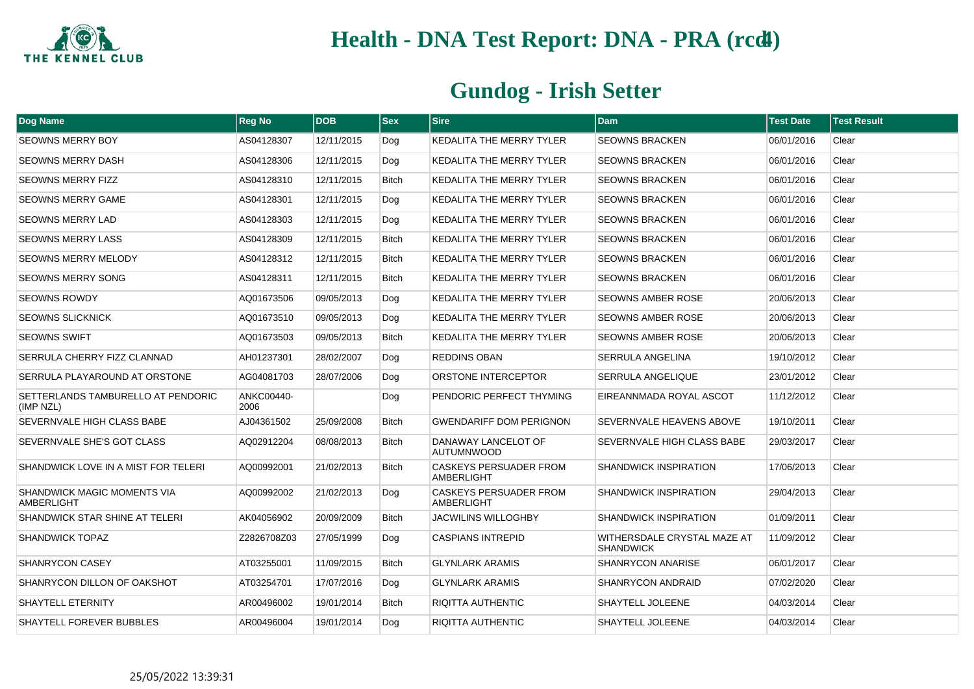

| <b>Dog Name</b>                                 | <b>Reg No</b>      | <b>DOB</b> | $ s_{ex} $   | <b>Sire</b>                                 | <b>Dam</b>                                      | <b>Test Date</b> | <b>Test Result</b> |
|-------------------------------------------------|--------------------|------------|--------------|---------------------------------------------|-------------------------------------------------|------------------|--------------------|
| <b>SEOWNS MERRY BOY</b>                         | AS04128307         | 12/11/2015 | Dog          | KEDALITA THE MERRY TYLER                    | <b>SEOWNS BRACKEN</b>                           | 06/01/2016       | Clear              |
| <b>SEOWNS MERRY DASH</b>                        | AS04128306         | 12/11/2015 | Dog          | KEDALITA THE MERRY TYLER                    | <b>SEOWNS BRACKEN</b>                           | 06/01/2016       | Clear              |
| <b>SEOWNS MERRY FIZZ</b>                        | AS04128310         | 12/11/2015 | <b>Bitch</b> | <b>KEDALITA THE MERRY TYLER</b>             | <b>SEOWNS BRACKEN</b>                           | 06/01/2016       | Clear              |
| <b>SEOWNS MERRY GAME</b>                        | AS04128301         | 12/11/2015 | Dog          | KEDALITA THE MERRY TYLER                    | <b>SEOWNS BRACKEN</b>                           | 06/01/2016       | Clear              |
| <b>SEOWNS MERRY LAD</b>                         | AS04128303         | 12/11/2015 | Dog          | KEDALITA THE MERRY TYLER                    | <b>SEOWNS BRACKEN</b>                           | 06/01/2016       | Clear              |
| <b>SEOWNS MERRY LASS</b>                        | AS04128309         | 12/11/2015 | <b>Bitch</b> | KEDALITA THE MERRY TYLER                    | <b>SEOWNS BRACKEN</b>                           | 06/01/2016       | Clear              |
| <b>SEOWNS MERRY MELODY</b>                      | AS04128312         | 12/11/2015 | <b>Bitch</b> | KEDALITA THE MERRY TYLER                    | <b>SEOWNS BRACKEN</b>                           | 06/01/2016       | Clear              |
| <b>SEOWNS MERRY SONG</b>                        | AS04128311         | 12/11/2015 | <b>Bitch</b> | KEDALITA THE MERRY TYLER                    | <b>SEOWNS BRACKEN</b>                           | 06/01/2016       | Clear              |
| <b>SEOWNS ROWDY</b>                             | AQ01673506         | 09/05/2013 | Dog          | KEDALITA THE MERRY TYLER                    | <b>SEOWNS AMBER ROSE</b>                        | 20/06/2013       | Clear              |
| <b>SEOWNS SLICKNICK</b>                         | AQ01673510         | 09/05/2013 | Dog          | KEDALITA THE MERRY TYLER                    | <b>SEOWNS AMBER ROSE</b>                        | 20/06/2013       | Clear              |
| SEOWNS SWIFT                                    | AQ01673503         | 09/05/2013 | <b>Bitch</b> | KEDALITA THE MERRY TYLER                    | <b>SEOWNS AMBER ROSE</b>                        | 20/06/2013       | Clear              |
| SERRULA CHERRY FIZZ CLANNAD                     | AH01237301         | 28/02/2007 | Dog          | REDDINS OBAN                                | SERRULA ANGELINA                                | 19/10/2012       | Clear              |
| SERRULA PLAYAROUND AT ORSTONE                   | AG04081703         | 28/07/2006 | Dog          | ORSTONE INTERCEPTOR                         | SERRULA ANGELIQUE                               | 23/01/2012       | Clear              |
| SETTERLANDS TAMBURELLO AT PENDORIC<br>(IMP NZL) | ANKC00440-<br>2006 |            | Dog          | PENDORIC PERFECT THYMING                    | EIREANNMADA ROYAL ASCOT                         | 11/12/2012       | Clear              |
| SEVERNVALE HIGH CLASS BABE                      | AJ04361502         | 25/09/2008 | <b>Bitch</b> | <b>GWENDARIFF DOM PERIGNON</b>              | SEVERNVALE HEAVENS ABOVE                        | 19/10/2011       | Clear              |
| SEVERNVALE SHE'S GOT CLASS                      | AQ02912204         | 08/08/2013 | Bitch        | DANAWAY LANCELOT OF<br><b>AUTUMNWOOD</b>    | SEVERNVALE HIGH CLASS BABE                      | 29/03/2017       | Clear              |
| SHANDWICK LOVE IN A MIST FOR TELERI             | AQ00992001         | 21/02/2013 | <b>Bitch</b> | <b>CASKEYS PERSUADER FROM</b><br>AMBERLIGHT | <b>SHANDWICK INSPIRATION</b>                    | 17/06/2013       | Clear              |
| SHANDWICK MAGIC MOMENTS VIA<br>AMBERLIGHT       | AQ00992002         | 21/02/2013 | Dog          | CASKEYS PERSUADER FROM<br>AMBERLIGHT        | <b>SHANDWICK INSPIRATION</b>                    | 29/04/2013       | Clear              |
| SHANDWICK STAR SHINE AT TELERI                  | AK04056902         | 20/09/2009 | <b>Bitch</b> | JACWILINS WILLOGHBY                         | <b>SHANDWICK INSPIRATION</b>                    | 01/09/2011       | Clear              |
| <b>SHANDWICK TOPAZ</b>                          | Z2826708Z03        | 27/05/1999 | Dog          | <b>CASPIANS INTREPID</b>                    | WITHERSDALE CRYSTAL MAZE AT<br><b>SHANDWICK</b> | 11/09/2012       | Clear              |
| <b>SHANRYCON CASEY</b>                          | AT03255001         | 11/09/2015 | <b>Bitch</b> | <b>GLYNLARK ARAMIS</b>                      | SHANRYCON ANARISE                               | 06/01/2017       | Clear              |
| SHANRYCON DILLON OF OAKSHOT                     | AT03254701         | 17/07/2016 | Dog          | <b>GLYNLARK ARAMIS</b>                      | <b>SHANRYCON ANDRAID</b>                        | 07/02/2020       | Clear              |
| SHAYTELL ETERNITY                               | AR00496002         | 19/01/2014 | Bitch        | RIQITTA AUTHENTIC                           | SHAYTELL JOLEENE                                | 04/03/2014       | Clear              |
| <b>SHAYTELL FOREVER BUBBLES</b>                 | AR00496004         | 19/01/2014 | Dog          | RIQITTA AUTHENTIC                           | SHAYTELL JOLEENE                                | 04/03/2014       | Clear              |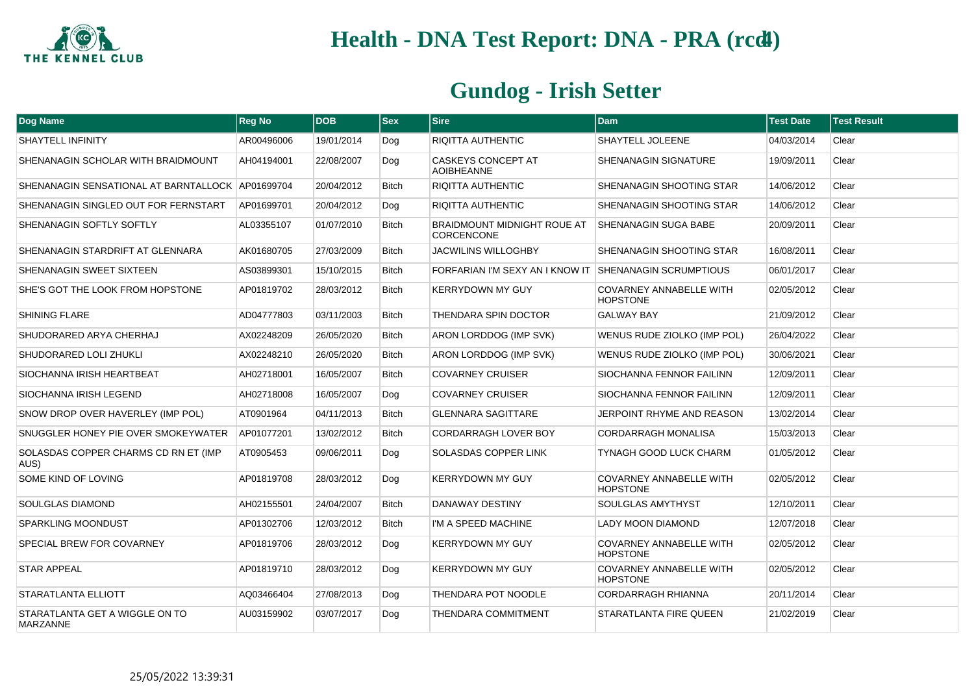

| Dog Name                                         | <b>Reg No</b> | <b>DOB</b> | <b>Sex</b>   | <b>Sire</b>                                             | <b>Dam</b>                                        | <b>Test Date</b> | <b>Test Result</b> |
|--------------------------------------------------|---------------|------------|--------------|---------------------------------------------------------|---------------------------------------------------|------------------|--------------------|
| <b>SHAYTELL INFINITY</b>                         | AR00496006    | 19/01/2014 | Dog          | RIQITTA AUTHENTIC                                       | SHAYTELL JOLEENE                                  | 04/03/2014       | Clear              |
| SHENANAGIN SCHOLAR WITH BRAIDMOUNT               | AH04194001    | 22/08/2007 | Dog          | <b>CASKEYS CONCEPT AT</b><br><b>AOIBHEANNE</b>          | SHENANAGIN SIGNATURE                              | 19/09/2011       | Clear              |
| SHENANAGIN SENSATIONAL AT BARNTALLOCK AP01699704 |               | 20/04/2012 | <b>Bitch</b> | RIQITTA AUTHENTIC                                       | SHENANAGIN SHOOTING STAR                          | 14/06/2012       | Clear              |
| SHENANAGIN SINGLED OUT FOR FERNSTART             | AP01699701    | 20/04/2012 | Dog          | <b>RIQITTA AUTHENTIC</b>                                | SHENANAGIN SHOOTING STAR                          | 14/06/2012       | Clear              |
| SHENANAGIN SOFTLY SOFTLY                         | AL03355107    | 01/07/2010 | <b>Bitch</b> | <b>BRAIDMOUNT MIDNIGHT ROUE AT</b><br><b>CORCENCONE</b> | <b>SHENANAGIN SUGA BABE</b>                       | 20/09/2011       | Clear              |
| SHENANAGIN STARDRIFT AT GLENNARA                 | AK01680705    | 27/03/2009 | <b>Bitch</b> | <b>JACWILINS WILLOGHBY</b>                              | SHENANAGIN SHOOTING STAR                          | 16/08/2011       | Clear              |
| SHENANAGIN SWEET SIXTEEN                         | AS03899301    | 15/10/2015 | <b>Bitch</b> | FORFARIAN I'M SEXY AN I KNOW IT                         | <b>SHENANAGIN SCRUMPTIOUS</b>                     | 06/01/2017       | Clear              |
| SHE'S GOT THE LOOK FROM HOPSTONE                 | AP01819702    | 28/03/2012 | <b>Bitch</b> | <b>KERRYDOWN MY GUY</b>                                 | <b>COVARNEY ANNABELLE WITH</b><br><b>HOPSTONE</b> | 02/05/2012       | Clear              |
| <b>SHINING FLARE</b>                             | AD04777803    | 03/11/2003 | <b>Bitch</b> | THENDARA SPIN DOCTOR                                    | <b>GALWAY BAY</b>                                 | 21/09/2012       | Clear              |
| SHUDORARED ARYA CHERHAJ                          | AX02248209    | 26/05/2020 | <b>Bitch</b> | ARON LORDDOG (IMP SVK)                                  | WENUS RUDE ZIOLKO (IMP POL)                       | 26/04/2022       | Clear              |
| SHUDORARED LOLI ZHUKLI                           | AX02248210    | 26/05/2020 | <b>Bitch</b> | ARON LORDDOG (IMP SVK)                                  | WENUS RUDE ZIOLKO (IMP POL)                       | 30/06/2021       | Clear              |
| SIOCHANNA IRISH HEARTBEAT                        | AH02718001    | 16/05/2007 | <b>Bitch</b> | <b>COVARNEY CRUISER</b>                                 | SIOCHANNA FENNOR FAILINN                          | 12/09/2011       | Clear              |
| SIOCHANNA IRISH LEGEND                           | AH02718008    | 16/05/2007 | Dog          | <b>COVARNEY CRUISER</b>                                 | SIOCHANNA FENNOR FAILINN                          | 12/09/2011       | Clear              |
| SNOW DROP OVER HAVERLEY (IMP POL)                | AT0901964     | 04/11/2013 | <b>Bitch</b> | <b>GLENNARA SAGITTARE</b>                               | JERPOINT RHYME AND REASON                         | 13/02/2014       | Clear              |
| SNUGGLER HONEY PIE OVER SMOKEYWATER              | AP01077201    | 13/02/2012 | <b>Bitch</b> | <b>CORDARRAGH LOVER BOY</b>                             | <b>CORDARRAGH MONALISA</b>                        | 15/03/2013       | Clear              |
| SOLASDAS COPPER CHARMS CD RN ET (IMP<br>AUS)     | AT0905453     | 09/06/2011 | Dog          | SOLASDAS COPPER LINK                                    | TYNAGH GOOD LUCK CHARM                            | 01/05/2012       | Clear              |
| SOME KIND OF LOVING                              | AP01819708    | 28/03/2012 | Dog          | <b>KERRYDOWN MY GUY</b>                                 | <b>COVARNEY ANNABELLE WITH</b><br><b>HOPSTONE</b> | 02/05/2012       | Clear              |
| SOULGLAS DIAMOND                                 | AH02155501    | 24/04/2007 | <b>Bitch</b> | DANAWAY DESTINY                                         | SOULGLAS AMYTHYST                                 | 12/10/2011       | Clear              |
| <b>SPARKLING MOONDUST</b>                        | AP01302706    | 12/03/2012 | <b>Bitch</b> | I'M A SPEED MACHINE                                     | <b>LADY MOON DIAMOND</b>                          | 12/07/2018       | Clear              |
| SPECIAL BREW FOR COVARNEY                        | AP01819706    | 28/03/2012 | Dog          | <b>KERRYDOWN MY GUY</b>                                 | COVARNEY ANNABELLE WITH<br><b>HOPSTONE</b>        | 02/05/2012       | Clear              |
| <b>STAR APPEAL</b>                               | AP01819710    | 28/03/2012 | Dog          | <b>KERRYDOWN MY GUY</b>                                 | COVARNEY ANNABELLE WITH<br><b>HOPSTONE</b>        | 02/05/2012       | Clear              |
| STARATLANTA ELLIOTT                              | AQ03466404    | 27/08/2013 | Dog          | THENDARA POT NOODLE                                     | <b>CORDARRAGH RHIANNA</b>                         | 20/11/2014       | Clear              |
| STARATLANTA GET A WIGGLE ON TO<br>MARZANNE       | AU03159902    | 03/07/2017 | Dog          | <b>THENDARA COMMITMENT</b>                              | STARATLANTA FIRE QUEEN                            | 21/02/2019       | Clear              |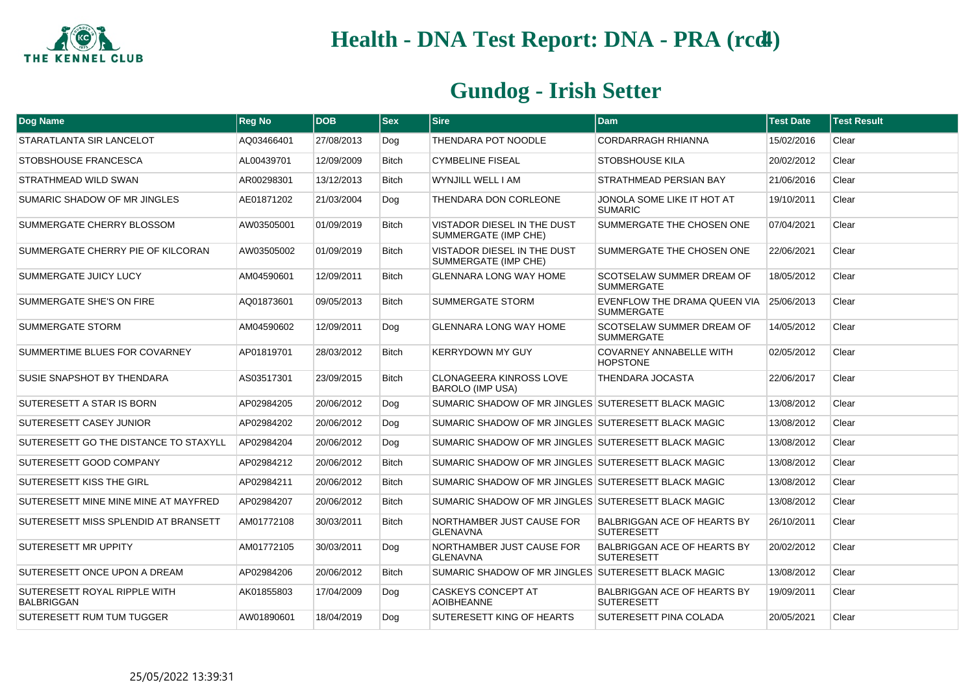

| <b>Dog Name</b>                                   | <b>Reg No</b> | <b>DOB</b> | $ $ Sex      | <b>Sire</b>                                               | <b>Dam</b>                                              | <b>Test Date</b> | <b>Test Result</b> |
|---------------------------------------------------|---------------|------------|--------------|-----------------------------------------------------------|---------------------------------------------------------|------------------|--------------------|
| STARATLANTA SIR LANCELOT                          | AQ03466401    | 27/08/2013 | Dog          | THENDARA POT NOODLE                                       | CORDARRAGH RHIANNA                                      | 15/02/2016       | Clear              |
| STOBSHOUSE FRANCESCA                              | AL00439701    | 12/09/2009 | <b>Bitch</b> | <b>CYMBELINE FISEAL</b>                                   | <b>STOBSHOUSE KILA</b>                                  | 20/02/2012       | Clear              |
| STRATHMEAD WILD SWAN                              | AR00298301    | 13/12/2013 | <b>Bitch</b> | WYNJILL WELL I AM                                         | STRATHMEAD PERSIAN BAY                                  | 21/06/2016       | Clear              |
| SUMARIC SHADOW OF MR JINGLES                      | AE01871202    | 21/03/2004 | Dog          | THENDARA DON CORLEONE                                     | JONOLA SOME LIKE IT HOT AT<br><b>SUMARIC</b>            | 19/10/2011       | Clear              |
| SUMMERGATE CHERRY BLOSSOM                         | AW03505001    | 01/09/2019 | <b>Bitch</b> | VISTADOR DIESEL IN THE DUST<br>SUMMERGATE (IMP CHE)       | SUMMERGATE THE CHOSEN ONE                               | 07/04/2021       | Clear              |
| SUMMERGATE CHERRY PIE OF KILCORAN                 | AW03505002    | 01/09/2019 | <b>Bitch</b> | VISTADOR DIESEL IN THE DUST<br>SUMMERGATE (IMP CHE)       | SUMMERGATE THE CHOSEN ONE                               | 22/06/2021       | Clear              |
| SUMMERGATE JUICY LUCY                             | AM04590601    | 12/09/2011 | <b>Bitch</b> | <b>GLENNARA LONG WAY HOME</b>                             | SCOTSELAW SUMMER DREAM OF<br><b>SUMMERGATE</b>          | 18/05/2012       | Clear              |
| SUMMERGATE SHE'S ON FIRE                          | AQ01873601    | 09/05/2013 | <b>Bitch</b> | SUMMERGATE STORM                                          | EVENFLOW THE DRAMA QUEEN VIA<br><b>SUMMERGATE</b>       | 25/06/2013       | Clear              |
| <b>SUMMERGATE STORM</b>                           | AM04590602    | 12/09/2011 | Dog          | <b>GLENNARA LONG WAY HOME</b>                             | <b>SCOTSELAW SUMMER DREAM OF</b><br><b>SUMMERGATE</b>   | 14/05/2012       | Clear              |
| SUMMERTIME BLUES FOR COVARNEY                     | AP01819701    | 28/03/2012 | <b>Bitch</b> | <b>KERRYDOWN MY GUY</b>                                   | <b>COVARNEY ANNABELLE WITH</b><br><b>HOPSTONE</b>       | 02/05/2012       | Clear              |
| SUSIE SNAPSHOT BY THENDARA                        | AS03517301    | 23/09/2015 | <b>Bitch</b> | <b>CLONAGEERA KINROSS LOVE</b><br><b>BAROLO (IMP USA)</b> | <b>THENDARA JOCASTA</b>                                 | 22/06/2017       | Clear              |
| SUTERESETT A STAR IS BORN                         | AP02984205    | 20/06/2012 | Dog          | SUMARIC SHADOW OF MR JINGLES SUTERESETT BLACK MAGIC       |                                                         | 13/08/2012       | Clear              |
| SUTERESETT CASEY JUNIOR                           | AP02984202    | 20/06/2012 | Dog          | SUMARIC SHADOW OF MR JINGLES SUTERESETT BLACK MAGIC       |                                                         | 13/08/2012       | Clear              |
| SUTERESETT GO THE DISTANCE TO STAXYLL             | AP02984204    | 20/06/2012 | Dog          | SUMARIC SHADOW OF MR JINGLES SUTERESETT BLACK MAGIC       |                                                         | 13/08/2012       | Clear              |
| <b>SUTERESETT GOOD COMPANY</b>                    | AP02984212    | 20/06/2012 | <b>Bitch</b> | SUMARIC SHADOW OF MR JINGLES SUTERESETT BLACK MAGIC       |                                                         | 13/08/2012       | Clear              |
| <b>SUTERESETT KISS THE GIRL</b>                   | AP02984211    | 20/06/2012 | <b>Bitch</b> | SUMARIC SHADOW OF MR JINGLES SUTERESETT BLACK MAGIC       |                                                         | 13/08/2012       | Clear              |
| SUTERESETT MINE MINE MINE AT MAYFRED              | AP02984207    | 20/06/2012 | <b>Bitch</b> | SUMARIC SHADOW OF MR JINGLES SUTERESETT BLACK MAGIC       |                                                         | 13/08/2012       | Clear              |
| SUTERESETT MISS SPLENDID AT BRANSETT              | AM01772108    | 30/03/2011 | <b>Bitch</b> | NORTHAMBER JUST CAUSE FOR<br><b>GLENAVNA</b>              | <b>BALBRIGGAN ACE OF HEARTS BY</b><br><b>SUTERESETT</b> | 26/10/2011       | Clear              |
| SUTERESETT MR UPPITY                              | AM01772105    | 30/03/2011 | Dog          | NORTHAMBER JUST CAUSE FOR<br><b>GLENAVNA</b>              | <b>BALBRIGGAN ACE OF HEARTS BY</b><br><b>SUTERESETT</b> | 20/02/2012       | Clear              |
| SUTERESETT ONCE UPON A DREAM                      | AP02984206    | 20/06/2012 | <b>Bitch</b> | SUMARIC SHADOW OF MR JINGLES SUTERESETT BLACK MAGIC       |                                                         | 13/08/2012       | Clear              |
| SUTERESETT ROYAL RIPPLE WITH<br><b>BALBRIGGAN</b> | AK01855803    | 17/04/2009 | Dog          | <b>CASKEYS CONCEPT AT</b><br><b>AOIBHEANNE</b>            | <b>BALBRIGGAN ACE OF HEARTS BY</b><br><b>SUTERESETT</b> | 19/09/2011       | Clear              |
| SUTERESETT RUM TUM TUGGER                         | AW01890601    | 18/04/2019 | Dog          | SUTERESETT KING OF HEARTS                                 | SUTERESETT PINA COLADA                                  | 20/05/2021       | Clear              |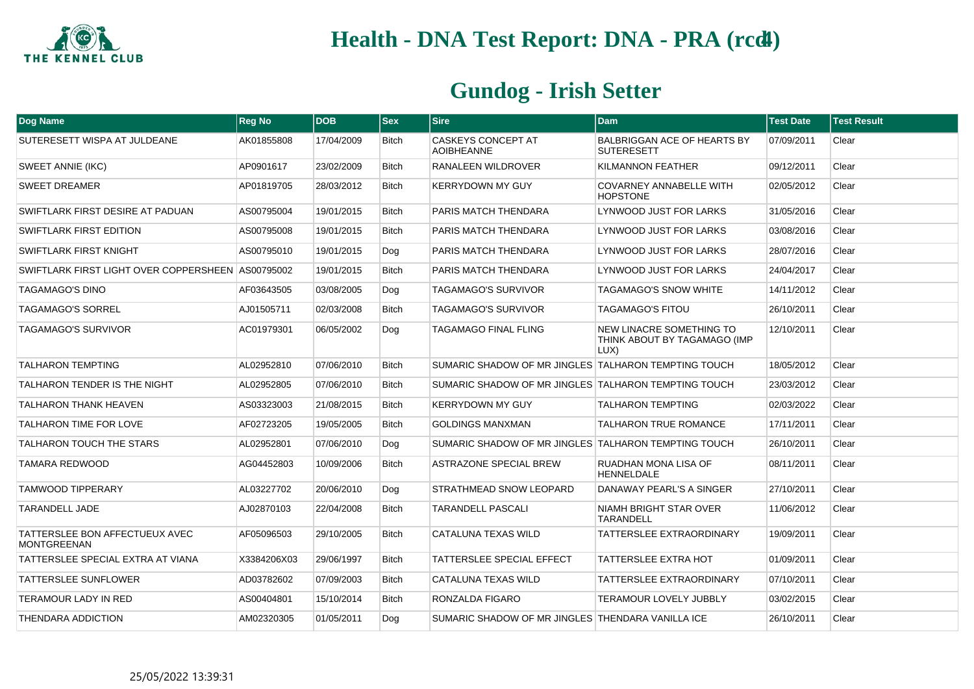

| Dog Name                                             | <b>Reg No</b> | <b>DOB</b> | <b>Sex</b>   | <b>Sire</b>                                          | <b>Dam</b>                                                       | <b>Test Date</b> | <b>Test Result</b> |
|------------------------------------------------------|---------------|------------|--------------|------------------------------------------------------|------------------------------------------------------------------|------------------|--------------------|
| SUTERESETT WISPA AT JULDEANE                         | AK01855808    | 17/04/2009 | <b>Bitch</b> | <b>CASKEYS CONCEPT AT</b><br><b>AOIBHEANNE</b>       | BALBRIGGAN ACE OF HEARTS BY<br><b>SUTERESETT</b>                 | 07/09/2011       | Clear              |
| <b>SWEET ANNIE (IKC)</b>                             | AP0901617     | 23/02/2009 | <b>Bitch</b> | RANALEEN WILDROVER                                   | KILMANNON FEATHER                                                | 09/12/2011       | Clear              |
| <b>SWEET DREAMER</b>                                 | AP01819705    | 28/03/2012 | <b>Bitch</b> | KERRYDOWN MY GUY                                     | COVARNEY ANNABELLE WITH<br><b>HOPSTONE</b>                       | 02/05/2012       | Clear              |
| SWIFTLARK FIRST DESIRE AT PADUAN                     | AS00795004    | 19/01/2015 | <b>Bitch</b> | PARIS MATCH THENDARA                                 | LYNWOOD JUST FOR LARKS                                           | 31/05/2016       | Clear              |
| <b>SWIFTLARK FIRST EDITION</b>                       | AS00795008    | 19/01/2015 | <b>Bitch</b> | PARIS MATCH THENDARA                                 | LYNWOOD JUST FOR LARKS                                           | 03/08/2016       | Clear              |
| SWIFTLARK FIRST KNIGHT                               | AS00795010    | 19/01/2015 | Dog          | PARIS MATCH THENDARA                                 | LYNWOOD JUST FOR LARKS                                           | 28/07/2016       | Clear              |
| SWIFTLARK FIRST LIGHT OVER COPPERSHEEN AS00795002    |               | 19/01/2015 | <b>Bitch</b> | PARIS MATCH THENDARA                                 | LYNWOOD JUST FOR LARKS                                           | 24/04/2017       | Clear              |
| <b>TAGAMAGO'S DINO</b>                               | AF03643505    | 03/08/2005 | Dog          | <b>TAGAMAGO'S SURVIVOR</b>                           | TAGAMAGO'S SNOW WHITE                                            | 14/11/2012       | Clear              |
| <b>TAGAMAGO'S SORREL</b>                             | AJ01505711    | 02/03/2008 | <b>Bitch</b> | <b>TAGAMAGO'S SURVIVOR</b>                           | <b>TAGAMAGO'S FITOU</b>                                          | 26/10/2011       | Clear              |
| <b>TAGAMAGO'S SURVIVOR</b>                           | AC01979301    | 06/05/2002 | Dog          | TAGAMAGO FINAL FLING                                 | NEW LINACRE SOMETHING TO<br>THINK ABOUT BY TAGAMAGO (IMP<br>LUX) | 12/10/2011       | Clear              |
| <b>TALHARON TEMPTING</b>                             | AL02952810    | 07/06/2010 | <b>Bitch</b> | SUMARIC SHADOW OF MR JINGLES TALHARON TEMPTING TOUCH |                                                                  | 18/05/2012       | Clear              |
| TALHARON TENDER IS THE NIGHT                         | AL02952805    | 07/06/2010 | <b>Bitch</b> | SUMARIC SHADOW OF MR JINGLES TALHARON TEMPTING TOUCH |                                                                  | 23/03/2012       | Clear              |
| <b>TALHARON THANK HEAVEN</b>                         | AS03323003    | 21/08/2015 | <b>Bitch</b> | <b>KERRYDOWN MY GUY</b>                              | <b>TALHARON TEMPTING</b>                                         | 02/03/2022       | Clear              |
| TALHARON TIME FOR LOVE                               | AF02723205    | 19/05/2005 | <b>Bitch</b> | <b>GOLDINGS MANXMAN</b>                              | <b>TALHARON TRUE ROMANCE</b>                                     | 17/11/2011       | Clear              |
| TALHARON TOUCH THE STARS                             | AL02952801    | 07/06/2010 | Dog          | SUMARIC SHADOW OF MR JINGLES TALHARON TEMPTING TOUCH |                                                                  | 26/10/2011       | Clear              |
| <b>TAMARA REDWOOD</b>                                | AG04452803    | 10/09/2006 | <b>Bitch</b> | <b>ASTRAZONE SPECIAL BREW</b>                        | RUADHAN MONA LISA OF<br><b>HENNELDALE</b>                        | 08/11/2011       | Clear              |
| <b>TAMWOOD TIPPERARY</b>                             | AL03227702    | 20/06/2010 | Dog          | STRATHMEAD SNOW LEOPARD                              | DANAWAY PEARL'S A SINGER                                         | 27/10/2011       | Clear              |
| <b>TARANDELL JADE</b>                                | AJ02870103    | 22/04/2008 | <b>Bitch</b> | TARANDELL PASCALI                                    | NIAMH BRIGHT STAR OVER<br><b>TARANDELL</b>                       | 11/06/2012       | Clear              |
| TATTERSLEE BON AFFECTUEUX AVEC<br><b>MONTGREENAN</b> | AF05096503    | 29/10/2005 | <b>Bitch</b> | CATALUNA TEXAS WILD                                  | <b>TATTERSLEE EXTRAORDINARY</b>                                  | 19/09/2011       | Clear              |
| TATTERSLEE SPECIAL EXTRA AT VIANA                    | X3384206X03   | 29/06/1997 | <b>Bitch</b> | TATTERSLEE SPECIAL EFFECT                            | <b>TATTERSLEE EXTRA HOT</b>                                      | 01/09/2011       | Clear              |
| TATTERSLEE SUNFLOWER                                 | AD03782602    | 07/09/2003 | Bitch        | CATALUNA TEXAS WILD                                  | <b>TATTERSLEE EXTRAORDINARY</b>                                  | 07/10/2011       | Clear              |
| <b>TERAMOUR LADY IN RED</b>                          | AS00404801    | 15/10/2014 | <b>Bitch</b> | RONZALDA FIGARO                                      | <b>TERAMOUR LOVELY JUBBLY</b>                                    | 03/02/2015       | Clear              |
| THENDARA ADDICTION                                   | AM02320305    | 01/05/2011 | Dog          | SUMARIC SHADOW OF MR JINGLES THENDARA VANILLA ICE    |                                                                  | 26/10/2011       | Clear              |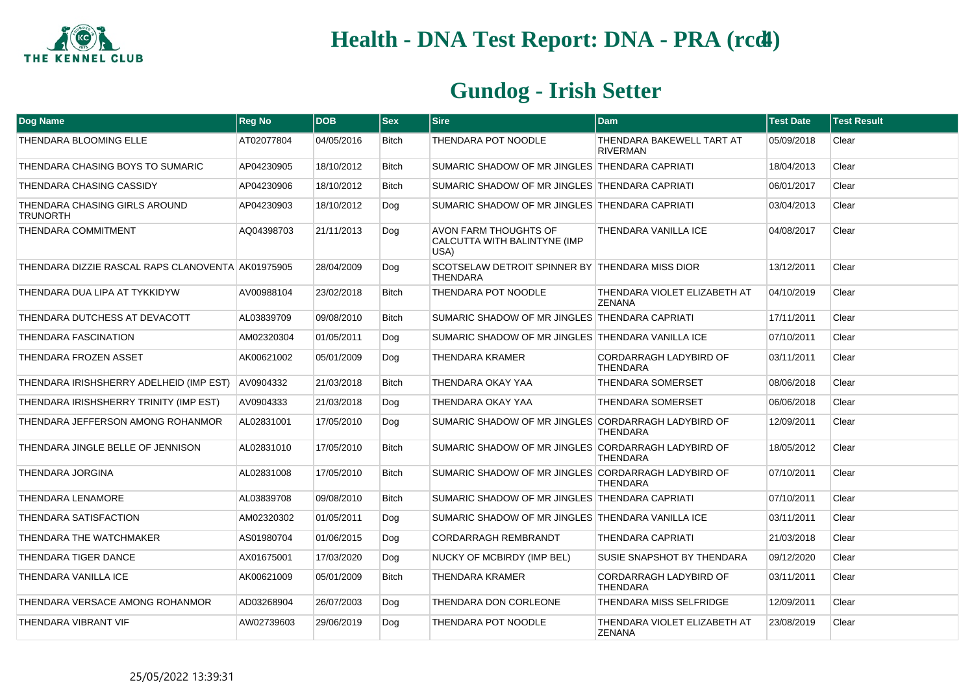

| Dog Name                                          | <b>Reg No</b> | <b>DOB</b> | <b>Sex</b>   | <b>Sire</b>                                                        | <b>Dam</b>                                       | <b>Test Date</b> | <b>Test Result</b> |
|---------------------------------------------------|---------------|------------|--------------|--------------------------------------------------------------------|--------------------------------------------------|------------------|--------------------|
| THENDARA BLOOMING ELLE                            | AT02077804    | 04/05/2016 | <b>Bitch</b> | THENDARA POT NOODLE                                                | THENDARA BAKEWELL TART AT<br><b>RIVERMAN</b>     | 05/09/2018       | Clear              |
| THENDARA CHASING BOYS TO SUMARIC                  | AP04230905    | 18/10/2012 | <b>Bitch</b> | SUMARIC SHADOW OF MR JINGLES THENDARA CAPRIATI                     |                                                  | 18/04/2013       | Clear              |
| THENDARA CHASING CASSIDY                          | AP04230906    | 18/10/2012 | <b>Bitch</b> | SUMARIC SHADOW OF MR JINGLES THENDARA CAPRIATI                     |                                                  | 06/01/2017       | Clear              |
| THENDARA CHASING GIRLS AROUND<br><b>TRUNORTH</b>  | AP04230903    | 18/10/2012 | Dog          | SUMARIC SHADOW OF MR JINGLES THENDARA CAPRIATI                     |                                                  | 03/04/2013       | Clear              |
| <b>THENDARA COMMITMENT</b>                        | AQ04398703    | 21/11/2013 | Dog          | AVON FARM THOUGHTS OF<br>CALCUTTA WITH BALINTYNE (IMP<br>USA)      | <b>THENDARA VANILLA ICE</b>                      | 04/08/2017       | Clear              |
| THENDARA DIZZIE RASCAL RAPS CLANOVENTA AK01975905 |               | 28/04/2009 | Dog          | SCOTSELAW DETROIT SPINNER BY THENDARA MISS DIOR<br><b>THENDARA</b> |                                                  | 13/12/2011       | Clear              |
| THENDARA DUA LIPA AT TYKKIDYW                     | AV00988104    | 23/02/2018 | <b>Bitch</b> | THENDARA POT NOODLE                                                | THENDARA VIOLET ELIZABETH AT<br><b>ZENANA</b>    | 04/10/2019       | Clear              |
| THENDARA DUTCHESS AT DEVACOTT                     | AL03839709    | 09/08/2010 | <b>Bitch</b> | SUMARIC SHADOW OF MR JINGLES THENDARA CAPRIATI                     |                                                  | 17/11/2011       | Clear              |
| <b>THENDARA FASCINATION</b>                       | AM02320304    | 01/05/2011 | Dog          | SUMARIC SHADOW OF MR JINGLES THENDARA VANILLA ICE                  |                                                  | 07/10/2011       | Clear              |
| <b>THENDARA FROZEN ASSET</b>                      | AK00621002    | 05/01/2009 | Dog          | <b>THENDARA KRAMER</b>                                             | <b>CORDARRAGH LADYBIRD OF</b><br><b>THENDARA</b> | 03/11/2011       | Clear              |
| THENDARA IRISHSHERRY ADELHEID (IMP EST)           | AV0904332     | 21/03/2018 | <b>Bitch</b> | THENDARA OKAY YAA                                                  | <b>THENDARA SOMERSET</b>                         | 08/06/2018       | Clear              |
| THENDARA IRISHSHERRY TRINITY (IMP EST)            | AV0904333     | 21/03/2018 | Dog          | THENDARA OKAY YAA                                                  | THENDARA SOMERSET                                | 06/06/2018       | Clear              |
| THENDARA JEFFERSON AMONG ROHANMOR                 | AL02831001    | 17/05/2010 | Dog          | SUMARIC SHADOW OF MR JINGLES CORDARRAGH LADYBIRD OF                | <b>THENDARA</b>                                  | 12/09/2011       | Clear              |
| THENDARA JINGLE BELLE OF JENNISON                 | AL02831010    | 17/05/2010 | <b>Bitch</b> | SUMARIC SHADOW OF MR JINGLES CORDARRAGH LADYBIRD OF                | <b>THENDARA</b>                                  | 18/05/2012       | Clear              |
| <b>THENDARA JORGINA</b>                           | AL02831008    | 17/05/2010 | <b>Bitch</b> | SUMARIC SHADOW OF MR JINGLES CORDARRAGH LADYBIRD OF                | <b>THENDARA</b>                                  | 07/10/2011       | Clear              |
| <b>THENDARA LENAMORE</b>                          | AL03839708    | 09/08/2010 | <b>Bitch</b> | SUMARIC SHADOW OF MR JINGLES THENDARA CAPRIATI                     |                                                  | 07/10/2011       | Clear              |
| THENDARA SATISFACTION                             | AM02320302    | 01/05/2011 | Dog          | SUMARIC SHADOW OF MR JINGLES THENDARA VANILLA ICE                  |                                                  | 03/11/2011       | Clear              |
| THENDARA THE WATCHMAKER                           | AS01980704    | 01/06/2015 | Dog          | <b>CORDARRAGH REMBRANDT</b>                                        | <b>THENDARA CAPRIATI</b>                         | 21/03/2018       | Clear              |
| <b>THENDARA TIGER DANCE</b>                       | AX01675001    | 17/03/2020 | Dog          | NUCKY OF MCBIRDY (IMP BEL)                                         | SUSIE SNAPSHOT BY THENDARA                       | 09/12/2020       | Clear              |
| THENDARA VANILLA ICE                              | AK00621009    | 05/01/2009 | <b>Bitch</b> | THENDARA KRAMER                                                    | CORDARRAGH LADYBIRD OF<br><b>THENDARA</b>        | 03/11/2011       | Clear              |
| THENDARA VERSACE AMONG ROHANMOR                   | AD03268904    | 26/07/2003 | Dog          | THENDARA DON CORLEONE                                              | THENDARA MISS SELFRIDGE                          | 12/09/2011       | Clear              |
| <b>THENDARA VIBRANT VIF</b>                       | AW02739603    | 29/06/2019 | Dog          | THENDARA POT NOODLE                                                | THENDARA VIOLET ELIZABETH AT<br><b>ZENANA</b>    | 23/08/2019       | Clear              |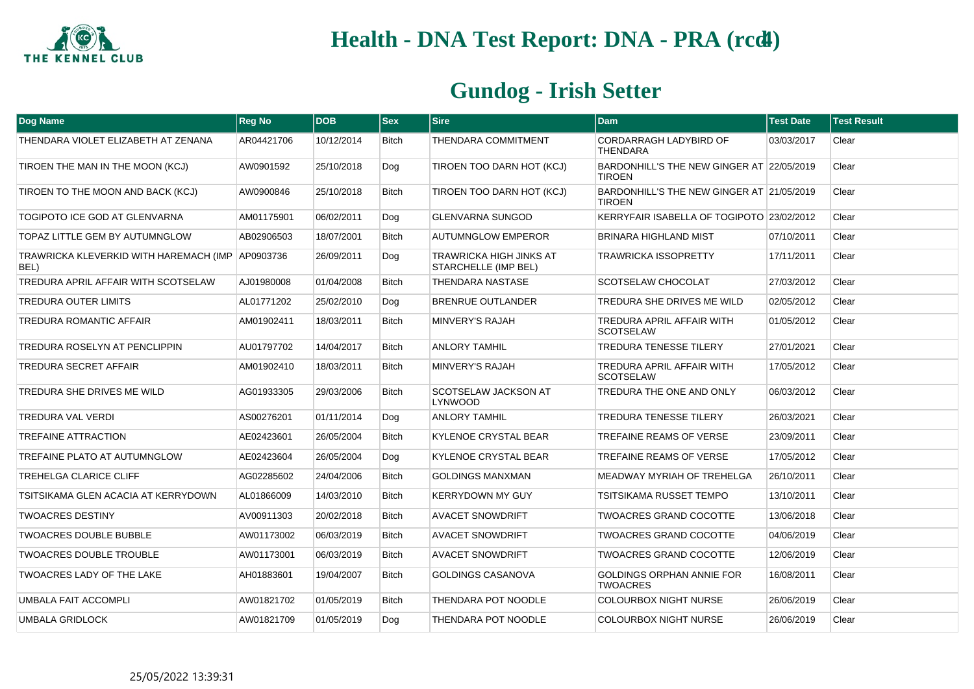

| Dog Name                                                 | <b>Reg No</b> | <b>DOB</b> | $ s_{ex} $   | <b>Sire</b>                                     | Dam                                                        | <b>Test Date</b> | <b>Test Result</b> |
|----------------------------------------------------------|---------------|------------|--------------|-------------------------------------------------|------------------------------------------------------------|------------------|--------------------|
| THENDARA VIOLET ELIZABETH AT ZENANA                      | AR04421706    | 10/12/2014 | Bitch        | <b>THENDARA COMMITMENT</b>                      | <b>CORDARRAGH LADYBIRD OF</b><br><b>THENDARA</b>           | 03/03/2017       | Clear              |
| TIROEN THE MAN IN THE MOON (KCJ)                         | AW0901592     | 25/10/2018 | Dog          | TIROEN TOO DARN HOT (KCJ)                       | BARDONHILL'S THE NEW GINGER AT 22/05/2019<br><b>TIROEN</b> |                  | Clear              |
| TIROEN TO THE MOON AND BACK (KCJ)                        | AW0900846     | 25/10/2018 | <b>Bitch</b> | TIROEN TOO DARN HOT (KCJ)                       | BARDONHILL'S THE NEW GINGER AT 21/05/2019<br><b>TIROEN</b> |                  | Clear              |
| TOGIPOTO ICE GOD AT GLENVARNA                            | AM01175901    | 06/02/2011 | Dog          | <b>GLENVARNA SUNGOD</b>                         | KERRYFAIR ISABELLA OF TOGIPOTO 23/02/2012                  |                  | Clear              |
| TOPAZ LITTLE GEM BY AUTUMNGLOW                           | AB02906503    | 18/07/2001 | <b>Bitch</b> | <b>AUTUMNGLOW EMPEROR</b>                       | <b>BRINARA HIGHLAND MIST</b>                               | 07/10/2011       | Clear              |
| TRAWRICKA KLEVERKID WITH HAREMACH (IMP AP0903736<br>BEL) |               | 26/09/2011 | Dog          | TRAWRICKA HIGH JINKS AT<br>STARCHELLE (IMP BEL) | TRAWRICKA ISSOPRETTY                                       | 17/11/2011       | Clear              |
| TREDURA APRIL AFFAIR WITH SCOTSELAW                      | AJ01980008    | 01/04/2008 | <b>Bitch</b> | <b>THENDARA NASTASE</b>                         | SCOTSELAW CHOCOLAT                                         | 27/03/2012       | Clear              |
| <b>TREDURA OUTER LIMITS</b>                              | AL01771202    | 25/02/2010 | Dog          | BRENRUE OUTLANDER                               | TREDURA SHE DRIVES ME WILD                                 | 02/05/2012       | Clear              |
| TREDURA ROMANTIC AFFAIR                                  | AM01902411    | 18/03/2011 | <b>Bitch</b> | <b>MINVERY'S RAJAH</b>                          | <b>TREDURA APRIL AFFAIR WITH</b><br><b>SCOTSELAW</b>       | 01/05/2012       | Clear              |
| <b>TREDURA ROSELYN AT PENCLIPPIN</b>                     | AU01797702    | 14/04/2017 | <b>Bitch</b> | <b>ANLORY TAMHIL</b>                            | <b>TREDURA TENESSE TILERY</b>                              | 27/01/2021       | Clear              |
| <b>TREDURA SECRET AFFAIR</b>                             | AM01902410    | 18/03/2011 | Bitch        | MINVERY'S RAJAH                                 | TREDURA APRIL AFFAIR WITH<br><b>SCOTSELAW</b>              | 17/05/2012       | Clear              |
| TREDURA SHE DRIVES ME WILD                               | AG01933305    | 29/03/2006 | <b>Bitch</b> | SCOTSELAW JACKSON AT<br><b>LYNWOOD</b>          | TREDURA THE ONE AND ONLY                                   | 06/03/2012       | Clear              |
| <b>TREDURA VAL VERDI</b>                                 | AS00276201    | 01/11/2014 | Dog          | <b>ANLORY TAMHIL</b>                            | <b>TREDURA TENESSE TILERY</b>                              | 26/03/2021       | Clear              |
| <b>TREFAINE ATTRACTION</b>                               | AE02423601    | 26/05/2004 | <b>Bitch</b> | <b>KYLENOE CRYSTAL BEAR</b>                     | TREFAINE REAMS OF VERSE                                    | 23/09/2011       | Clear              |
| TREFAINE PLATO AT AUTUMNGLOW                             | AE02423604    | 26/05/2004 | Dog          | <b>KYLENOE CRYSTAL BEAR</b>                     | TREFAINE REAMS OF VERSE                                    | 17/05/2012       | Clear              |
| <b>TREHELGA CLARICE CLIFF</b>                            | AG02285602    | 24/04/2006 | <b>Bitch</b> | <b>GOLDINGS MANXMAN</b>                         | <b>MEADWAY MYRIAH OF TREHELGA</b>                          | 26/10/2011       | Clear              |
| TSITSIKAMA GLEN ACACIA AT KERRYDOWN                      | AL01866009    | 14/03/2010 | <b>Bitch</b> | <b>KERRYDOWN MY GUY</b>                         | <b>TSITSIKAMA RUSSET TEMPO</b>                             | 13/10/2011       | Clear              |
| <b>TWOACRES DESTINY</b>                                  | AV00911303    | 20/02/2018 | Bitch        | <b>AVACET SNOWDRIFT</b>                         | <b>TWOACRES GRAND COCOTTE</b>                              | 13/06/2018       | Clear              |
| <b>TWOACRES DOUBLE BUBBLE</b>                            | AW01173002    | 06/03/2019 | <b>Bitch</b> | <b>AVACET SNOWDRIFT</b>                         | <b>TWOACRES GRAND COCOTTE</b>                              | 04/06/2019       | Clear              |
| <b>TWOACRES DOUBLE TROUBLE</b>                           | AW01173001    | 06/03/2019 | <b>Bitch</b> | <b>AVACET SNOWDRIFT</b>                         | <b>TWOACRES GRAND COCOTTE</b>                              | 12/06/2019       | Clear              |
| TWOACRES LADY OF THE LAKE                                | AH01883601    | 19/04/2007 | Bitch        | GOLDINGS CASANOVA                               | <b>GOLDINGS ORPHAN ANNIE FOR</b><br><b>TWOACRES</b>        | 16/08/2011       | Clear              |
| UMBALA FAIT ACCOMPLI                                     | AW01821702    | 01/05/2019 | <b>Bitch</b> | <b>THENDARA POT NOODLE</b>                      | <b>COLOURBOX NIGHT NURSE</b>                               | 26/06/2019       | Clear              |
| <b>UMBALA GRIDLOCK</b>                                   | AW01821709    | 01/05/2019 | Dog          | THENDARA POT NOODLE                             | <b>COLOURBOX NIGHT NURSE</b>                               | 26/06/2019       | Clear              |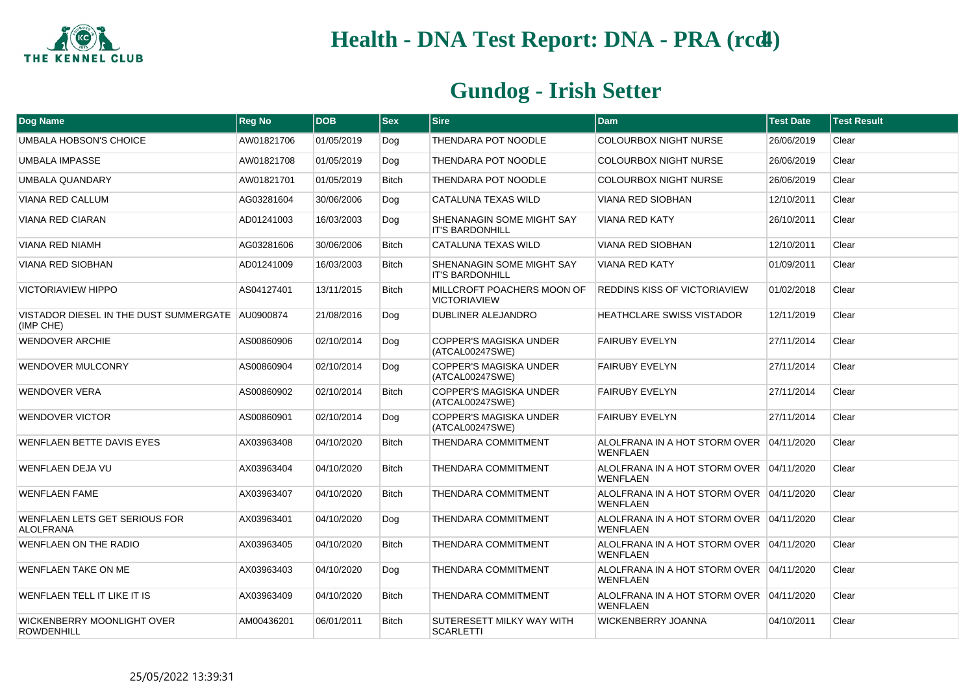

| Dog Name                                                      | <b>Reg No</b> | <b>DOB</b> | $ $ Sex      | <b>Sire</b>                                         | <b>Dam</b>                                                  | <b>Test Date</b> | <b>Test Result</b> |
|---------------------------------------------------------------|---------------|------------|--------------|-----------------------------------------------------|-------------------------------------------------------------|------------------|--------------------|
| UMBALA HOBSON'S CHOICE                                        | AW01821706    | 01/05/2019 | Dog          | <b>THENDARA POT NOODLE</b>                          | <b>COLOURBOX NIGHT NURSE</b>                                | 26/06/2019       | Clear              |
| <b>UMBALA IMPASSE</b>                                         | AW01821708    | 01/05/2019 | Dog          | THENDARA POT NOODLE                                 | <b>COLOURBOX NIGHT NURSE</b>                                | 26/06/2019       | Clear              |
| UMBALA QUANDARY                                               | AW01821701    | 01/05/2019 | <b>Bitch</b> | THENDARA POT NOODLE                                 | <b>COLOURBOX NIGHT NURSE</b>                                | 26/06/2019       | Clear              |
| VIANA RED CALLUM                                              | AG03281604    | 30/06/2006 | Dog          | CATALUNA TEXAS WILD                                 | <b>VIANA RED SIOBHAN</b>                                    | 12/10/2011       | Clear              |
| <b>VIANA RED CIARAN</b>                                       | AD01241003    | 16/03/2003 | Dog          | SHENANAGIN SOME MIGHT SAY<br><b>IT'S BARDONHILL</b> | <b>VIANA RED KATY</b>                                       | 26/10/2011       | Clear              |
| VIANA RED NIAMH                                               | AG03281606    | 30/06/2006 | <b>Bitch</b> | CATALUNA TEXAS WILD                                 | <b>VIANA RED SIOBHAN</b>                                    | 12/10/2011       | Clear              |
| VIANA RED SIOBHAN                                             | AD01241009    | 16/03/2003 | <b>Bitch</b> | SHENANAGIN SOME MIGHT SAY<br><b>IT'S BARDONHILL</b> | <b>VIANA RED KATY</b>                                       | 01/09/2011       | Clear              |
| <b>VICTORIAVIEW HIPPO</b>                                     | AS04127401    | 13/11/2015 | <b>Bitch</b> | MILLCROFT POACHERS MOON OF<br><b>VICTORIAVIEW</b>   | <b>REDDINS KISS OF VICTORIAVIEW</b>                         | 01/02/2018       | Clear              |
| VISTADOR DIESEL IN THE DUST SUMMERGATE AU0900874<br>(IMP CHE) |               | 21/08/2016 | Dog          | <b>DUBLINER ALEJANDRO</b>                           | <b>HEATHCLARE SWISS VISTADOR</b>                            | 12/11/2019       | Clear              |
| <b>WENDOVER ARCHIE</b>                                        | AS00860906    | 02/10/2014 | Dog          | COPPER'S MAGISKA UNDER<br>(ATCAL00247SWE)           | <b>FAIRUBY EVELYN</b>                                       | 27/11/2014       | Clear              |
| <b>WENDOVER MULCONRY</b>                                      | AS00860904    | 02/10/2014 | Dog          | <b>COPPER'S MAGISKA UNDER</b><br>(ATCAL00247SWE)    | <b>FAIRUBY EVELYN</b>                                       | 27/11/2014       | Clear              |
| <b>WENDOVER VERA</b>                                          | AS00860902    | 02/10/2014 | <b>Bitch</b> | <b>COPPER'S MAGISKA UNDER</b><br>(ATCAL00247SWE)    | <b>FAIRUBY EVELYN</b>                                       | 27/11/2014       | Clear              |
| <b>WENDOVER VICTOR</b>                                        | AS00860901    | 02/10/2014 | Dog          | COPPER'S MAGISKA UNDER<br>(ATCAL00247SWE)           | <b>FAIRUBY EVELYN</b>                                       | 27/11/2014       | Clear              |
| WENFLAEN BETTE DAVIS EYES                                     | AX03963408    | 04/10/2020 | <b>Bitch</b> | THENDARA COMMITMENT                                 | ALOLFRANA IN A HOT STORM OVER 04/11/2020<br><b>WENFLAEN</b> |                  | Clear              |
| WENFLAEN DEJA VU                                              | AX03963404    | 04/10/2020 | <b>Bitch</b> | <b>THENDARA COMMITMENT</b>                          | ALOLFRANA IN A HOT STORM OVER 04/11/2020<br><b>WENFLAEN</b> |                  | Clear              |
| <b>WENFLAEN FAME</b>                                          | AX03963407    | 04/10/2020 | <b>Bitch</b> | THENDARA COMMITMENT                                 | ALOLFRANA IN A HOT STORM OVER 04/11/2020<br><b>WENFLAEN</b> |                  | Clear              |
| WENFLAEN LETS GET SERIOUS FOR<br><b>ALOLFRANA</b>             | AX03963401    | 04/10/2020 | Dog          | <b>THENDARA COMMITMENT</b>                          | ALOLFRANA IN A HOT STORM OVER 04/11/2020<br><b>WENFLAEN</b> |                  | Clear              |
| <b>WENFLAEN ON THE RADIO</b>                                  | AX03963405    | 04/10/2020 | <b>Bitch</b> | THENDARA COMMITMENT                                 | ALOLFRANA IN A HOT STORM OVER 04/11/2020<br><b>WENFLAEN</b> |                  | Clear              |
| <b>WENFLAEN TAKE ON ME</b>                                    | AX03963403    | 04/10/2020 | Dog          | THENDARA COMMITMENT                                 | ALOLFRANA IN A HOT STORM OVER 04/11/2020<br><b>WENFLAEN</b> |                  | Clear              |
| WENFLAEN TELL IT LIKE IT IS                                   | AX03963409    | 04/10/2020 | <b>Bitch</b> | <b>THENDARA COMMITMENT</b>                          | ALOLFRANA IN A HOT STORM OVER 04/11/2020<br><b>WENFLAEN</b> |                  | Clear              |
| WICKENBERRY MOONLIGHT OVER<br><b>ROWDENHILL</b>               | AM00436201    | 06/01/2011 | <b>Bitch</b> | SUTERESETT MILKY WAY WITH<br><b>SCARLETTI</b>       | <b>WICKENBERRY JOANNA</b>                                   | 04/10/2011       | Clear              |